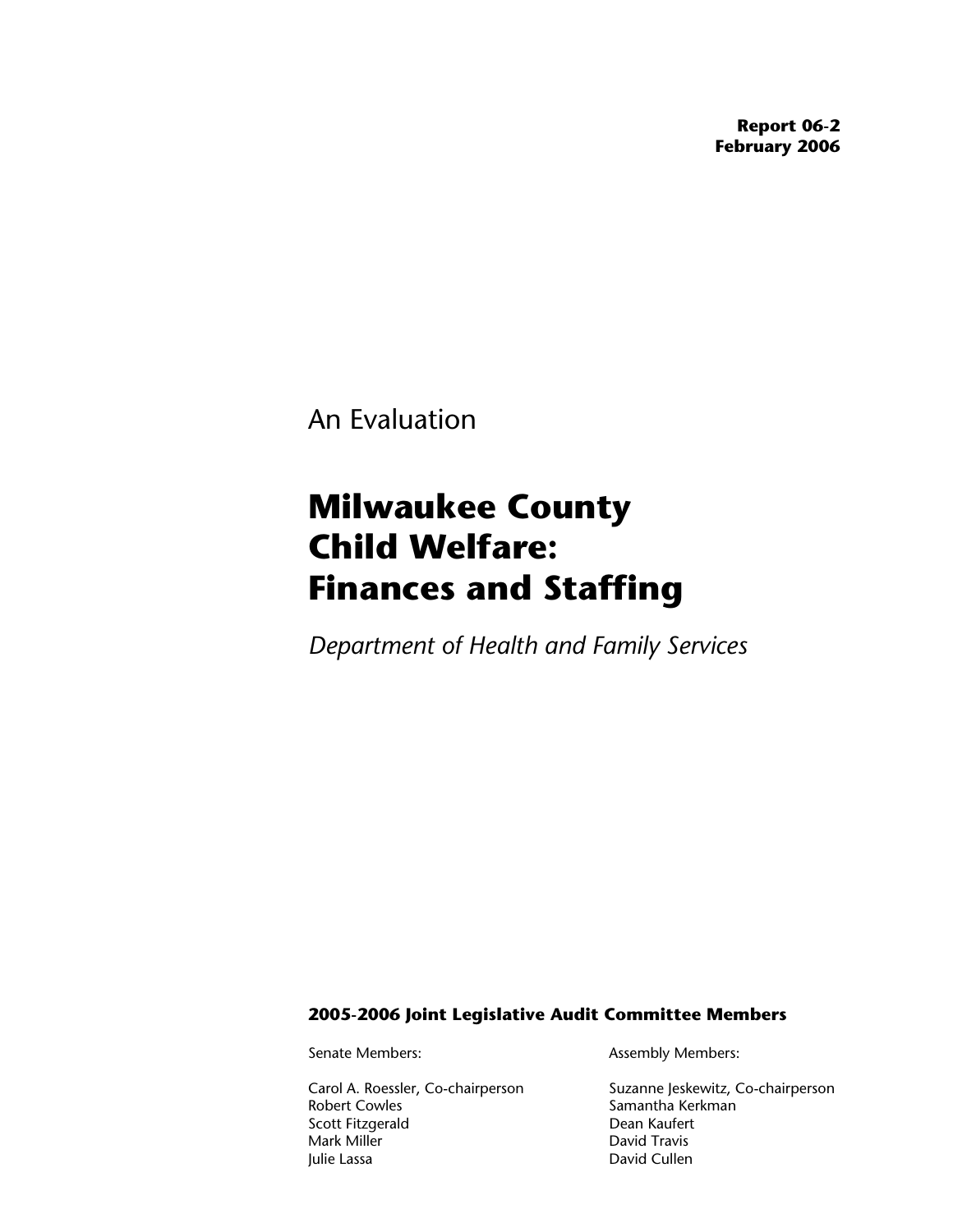**Report 06-2 February 2006** 

An Evaluation

# **Milwaukee County Child Welfare: Finances and Staffing**

*Department of Health and Family Services*

#### **2005-2006 Joint Legislative Audit Committee Members**

Scott Fitzgerald Mark Miller **David Travis** Julie Lassa **David Cullen** 

Senate Members: Assembly Members:

Carol A. Roessler, Co-chairperson Suzanne Jeskewitz, Co-chairperson<br>Robert Cowles Samantha Kerkman Samantha Kerkman<br>Dean Kaufert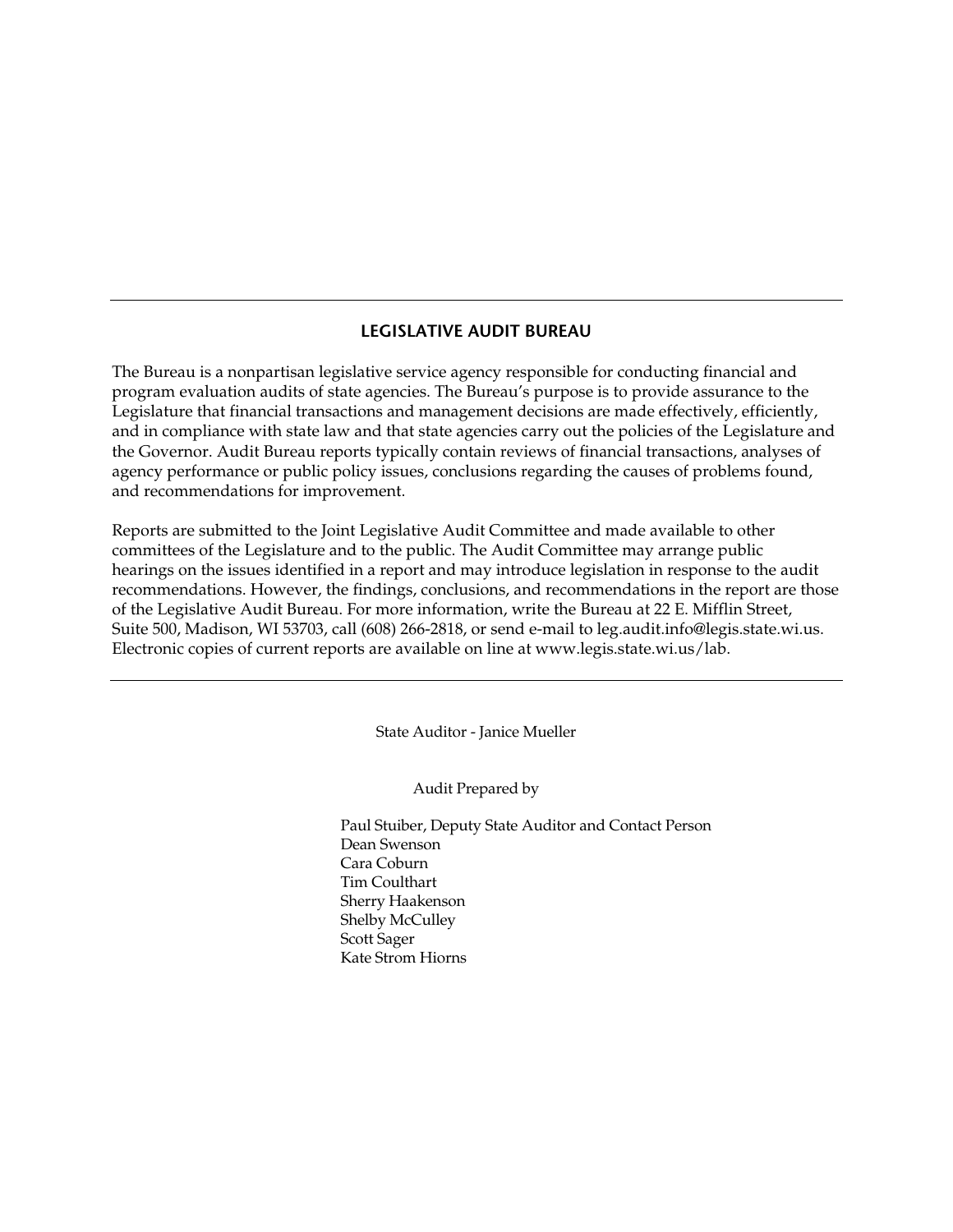#### **LEGISLATIVE AUDIT BUREAU**

The Bureau is a nonpartisan legislative service agency responsible for conducting financial and program evaluation audits of state agencies. The Bureau's purpose is to provide assurance to the Legislature that financial transactions and management decisions are made effectively, efficiently, and in compliance with state law and that state agencies carry out the policies of the Legislature and the Governor. Audit Bureau reports typically contain reviews of financial transactions, analyses of agency performance or public policy issues, conclusions regarding the causes of problems found, and recommendations for improvement.

Reports are submitted to the Joint Legislative Audit Committee and made available to other committees of the Legislature and to the public. The Audit Committee may arrange public hearings on the issues identified in a report and may introduce legislation in response to the audit recommendations. However, the findings, conclusions, and recommendations in the report are those of the Legislative Audit Bureau. For more information, write the Bureau at 22 E. Mifflin Street, Suite 500, Madison, WI 53703, call (608) 266-2818, or send e-mail to leg.audit.info@legis.state.wi.us. Electronic copies of current reports are available on line at www.legis.state.wi.us/lab.

State Auditor - Janice Mueller

Audit Prepared by

Paul Stuiber, Deputy State Auditor and Contact Person Dean Swenson Cara Coburn Tim Coulthart Sherry Haakenson Shelby McCulley Scott Sager Kate Strom Hiorns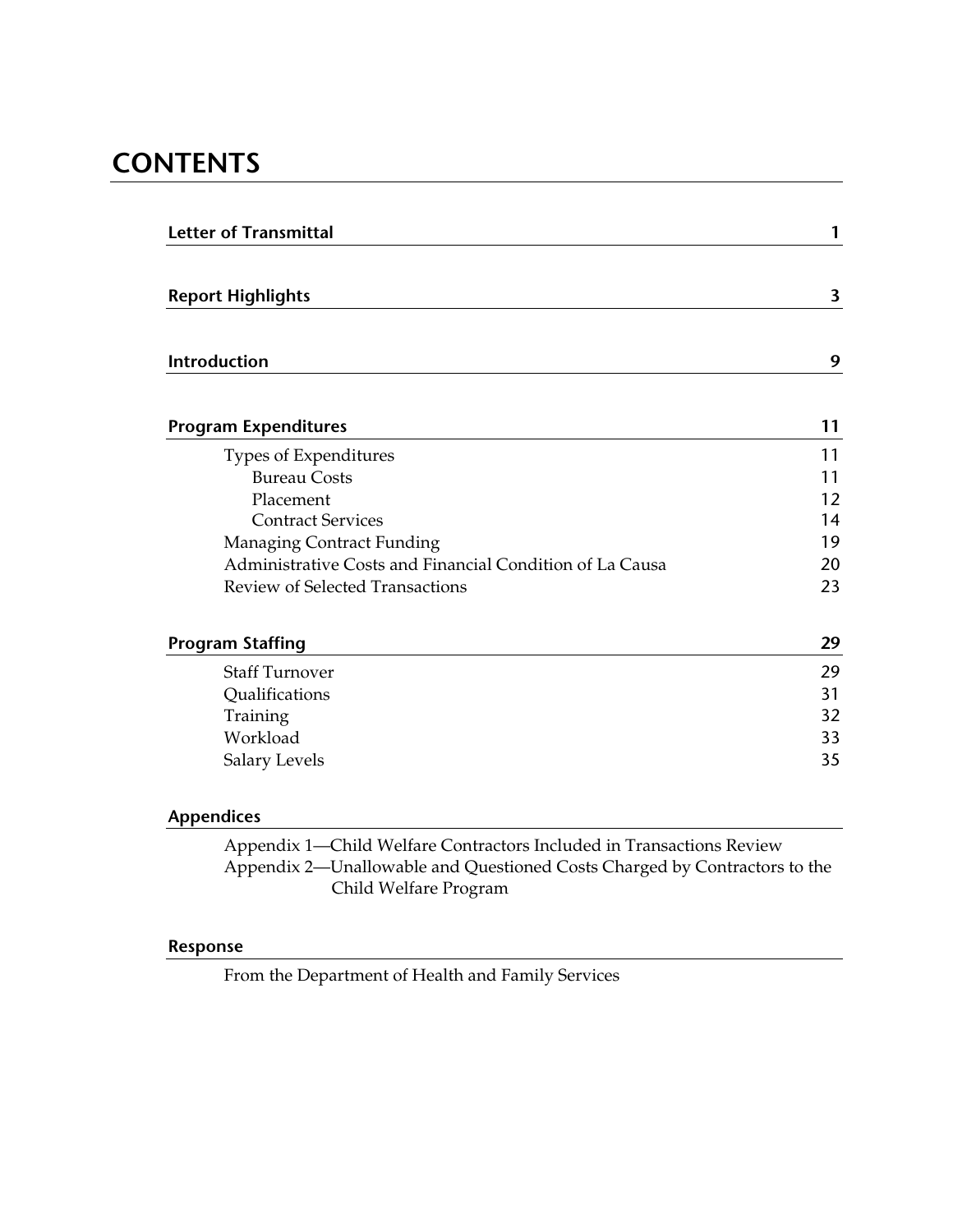# **CONTENTS**

| <b>Letter of Transmittal</b>                             | 1  |
|----------------------------------------------------------|----|
| <b>Report Highlights</b>                                 | 3  |
| Introduction                                             | 9  |
| <b>Program Expenditures</b>                              | 11 |
| Types of Expenditures                                    | 11 |
| <b>Bureau Costs</b>                                      | 11 |
| Placement                                                | 12 |
| <b>Contract Services</b>                                 | 14 |
| <b>Managing Contract Funding</b>                         | 19 |
| Administrative Costs and Financial Condition of La Causa | 20 |
| <b>Review of Selected Transactions</b>                   | 23 |
| <b>Program Staffing</b>                                  | 29 |
| <b>Staff Turnover</b>                                    | 29 |
| Qualifications                                           | 31 |
| Training                                                 | 32 |
| Workload                                                 | 33 |
| Salary Levels                                            | 35 |
| <b>Appendices</b>                                        |    |

Appendix 1—Child Welfare Contractors Included in Transactions Review Appendix 2—Unallowable and Questioned Costs Charged by Contractors to the Child Welfare Program

### **Response**

From the Department of Health and Family Services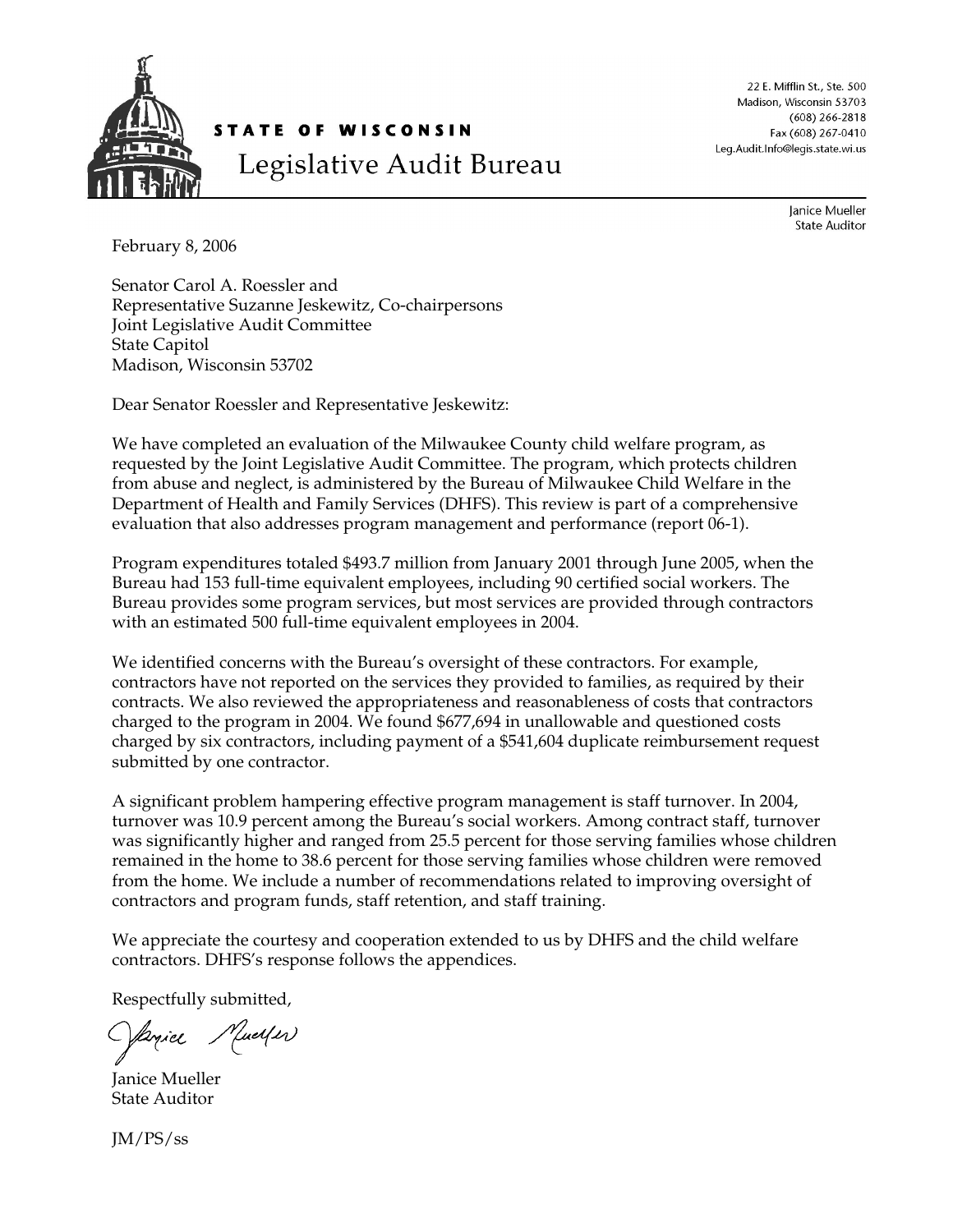

22 E. Mifflin St., Ste. 500 Madison, Wisconsin 53703  $(608)$  266-2818 Fax (608) 267-0410 Leg.Audit.Info@legis.state.wi.us

> Janice Mueller **State Auditor**

February 8, 2006

Senator Carol A. Roessler and Representative Suzanne Jeskewitz, Co-chairpersons Joint Legislative Audit Committee State Capitol Madison, Wisconsin 53702

Dear Senator Roessler and Representative Jeskewitz:

We have completed an evaluation of the Milwaukee County child welfare program, as requested by the Joint Legislative Audit Committee. The program, which protects children from abuse and neglect, is administered by the Bureau of Milwaukee Child Welfare in the Department of Health and Family Services (DHFS). This review is part of a comprehensive evaluation that also addresses program management and performance (report 06-1).

Program expenditures totaled \$493.7 million from January 2001 through June 2005, when the Bureau had 153 full-time equivalent employees, including 90 certified social workers. The Bureau provides some program services, but most services are provided through contractors with an estimated 500 full-time equivalent employees in 2004.

We identified concerns with the Bureau's oversight of these contractors. For example, contractors have not reported on the services they provided to families, as required by their contracts. We also reviewed the appropriateness and reasonableness of costs that contractors charged to the program in 2004. We found \$677,694 in unallowable and questioned costs charged by six contractors, including payment of a \$541,604 duplicate reimbursement request submitted by one contractor.

A significant problem hampering effective program management is staff turnover. In 2004, turnover was 10.9 percent among the Bureau's social workers. Among contract staff, turnover was significantly higher and ranged from 25.5 percent for those serving families whose children remained in the home to 38.6 percent for those serving families whose children were removed from the home. We include a number of recommendations related to improving oversight of contractors and program funds, staff retention, and staff training.

We appreciate the courtesy and cooperation extended to us by DHFS and the child welfare contractors. DHFS's response follows the appendices.

Respectfully submitted,

Janice Mueller

Janice Mueller State Auditor

JM/PS/ss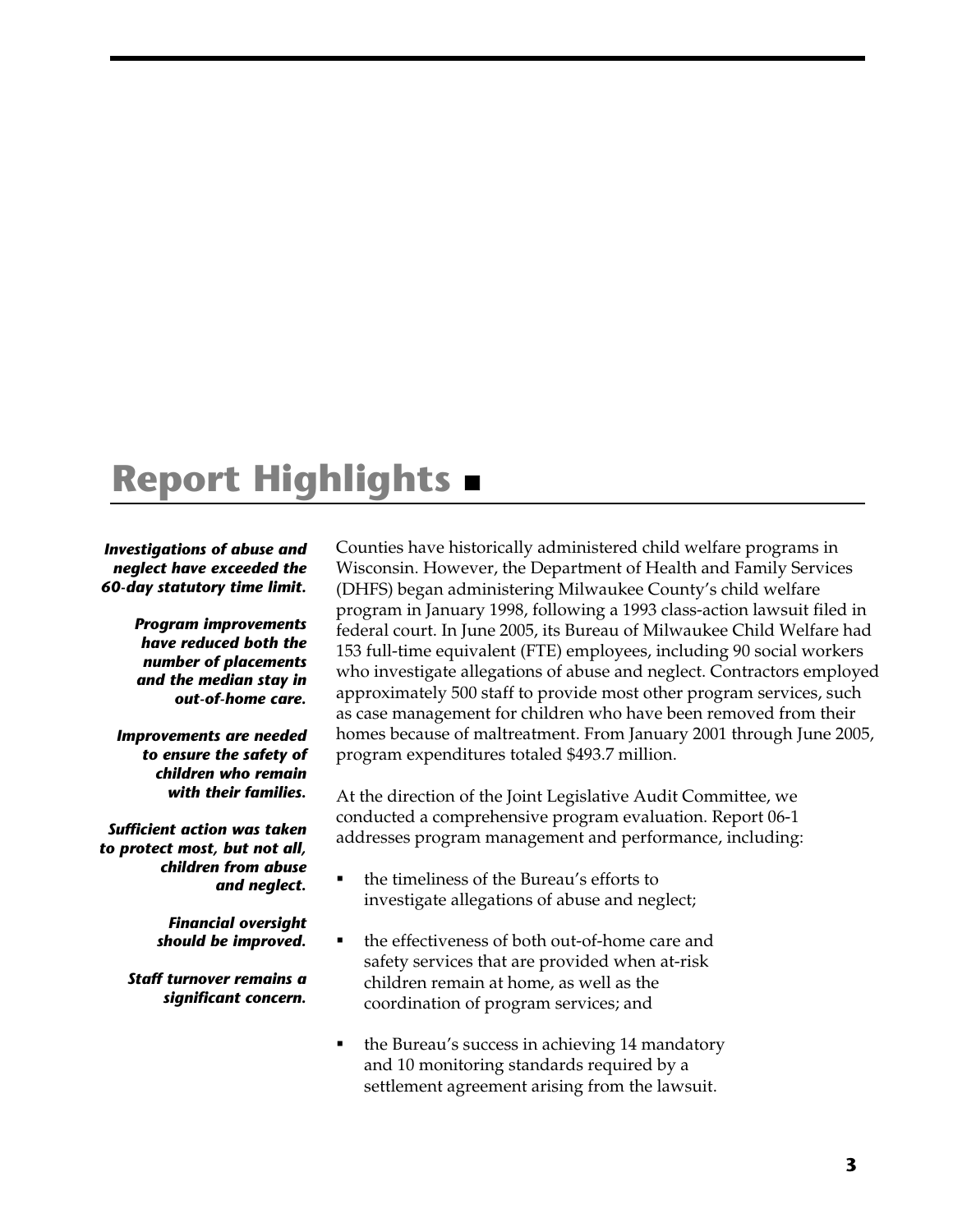# **Report Highlights**

#### *Investigations of abuse and neglect have exceeded the 60-day statutory time limit.*

*Program improvements have reduced both the number of placements and the median stay in out-of-home care.* 

*Improvements are needed to ensure the safety of children who remain with their families.* 

*Sufficient action was taken to protect most, but not all, children from abuse and neglect.* 

> *Financial oversight should be improved.*

*Staff turnover remains a significant concern.* 

Counties have historically administered child welfare programs in Wisconsin. However, the Department of Health and Family Services (DHFS) began administering Milwaukee County's child welfare program in January 1998, following a 1993 class-action lawsuit filed in federal court. In June 2005, its Bureau of Milwaukee Child Welfare had 153 full-time equivalent (FTE) employees, including 90 social workers who investigate allegations of abuse and neglect. Contractors employed approximately 500 staff to provide most other program services, such as case management for children who have been removed from their homes because of maltreatment. From January 2001 through June 2005, program expenditures totaled \$493.7 million.

At the direction of the Joint Legislative Audit Committee, we conducted a comprehensive program evaluation. Report 06-1 addresses program management and performance, including:

- the timeliness of the Bureau's efforts to investigate allegations of abuse and neglect;
- the effectiveness of both out-of-home care and safety services that are provided when at-risk children remain at home, as well as the coordination of program services; and
- the Bureau's success in achieving 14 mandatory and 10 monitoring standards required by a settlement agreement arising from the lawsuit.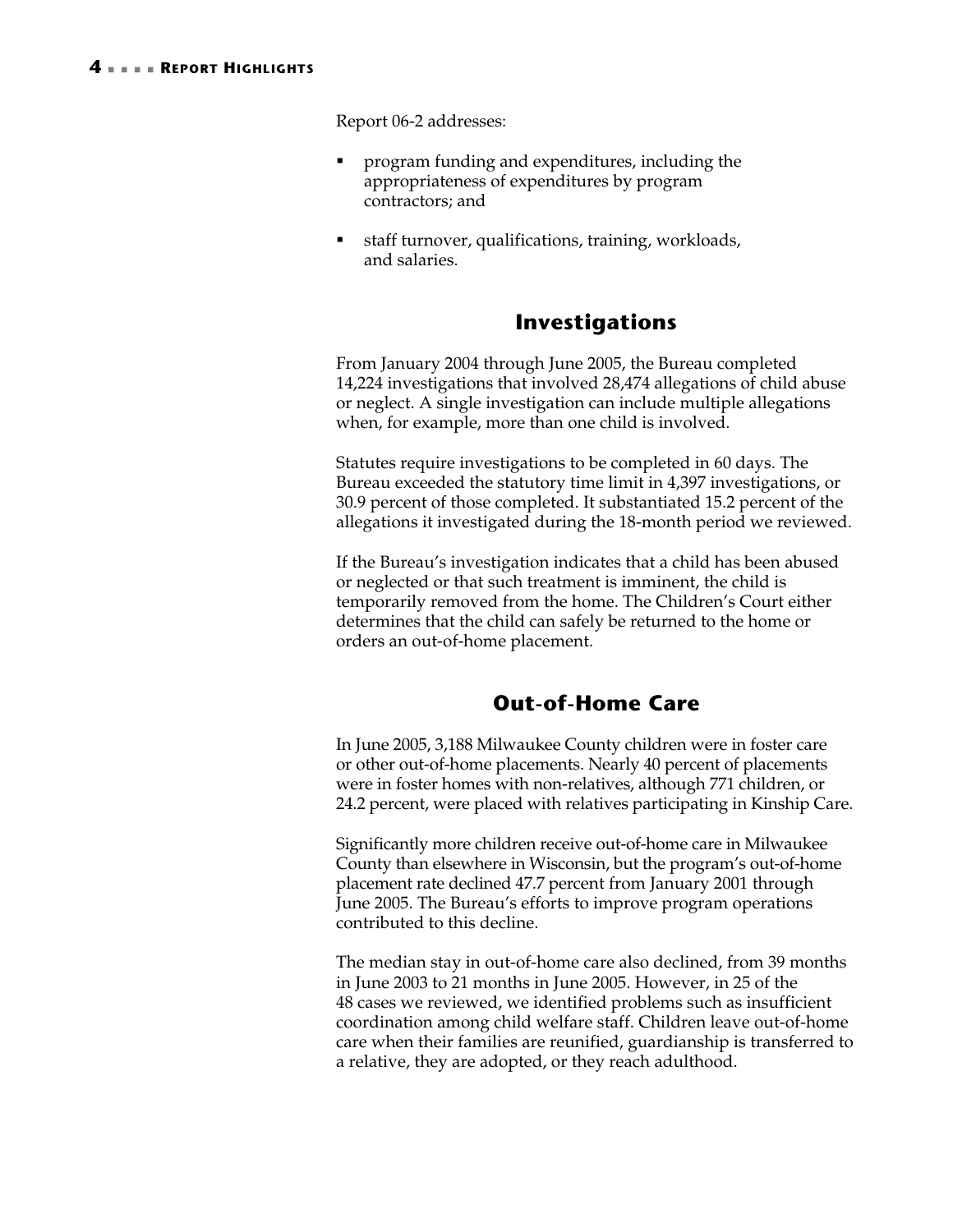Report 06-2 addresses:

- program funding and expenditures, including the appropriateness of expenditures by program contractors; and
- staff turnover, qualifications, training, workloads, and salaries.

# **Investigations**

From January 2004 through June 2005, the Bureau completed 14,224 investigations that involved 28,474 allegations of child abuse or neglect. A single investigation can include multiple allegations when, for example, more than one child is involved.

Statutes require investigations to be completed in 60 days. The Bureau exceeded the statutory time limit in 4,397 investigations, or 30.9 percent of those completed. It substantiated 15.2 percent of the allegations it investigated during the 18-month period we reviewed.

If the Bureau's investigation indicates that a child has been abused or neglected or that such treatment is imminent, the child is temporarily removed from the home. The Children's Court either determines that the child can safely be returned to the home or orders an out-of-home placement.

# **Out-of-Home Care**

In June 2005, 3,188 Milwaukee County children were in foster care or other out-of-home placements. Nearly 40 percent of placements were in foster homes with non-relatives, although 771 children, or 24.2 percent, were placed with relatives participating in Kinship Care.

Significantly more children receive out-of-home care in Milwaukee County than elsewhere in Wisconsin, but the program's out-of-home placement rate declined 47.7 percent from January 2001 through June 2005. The Bureau's efforts to improve program operations contributed to this decline.

The median stay in out-of-home care also declined, from 39 months in June 2003 to 21 months in June 2005. However, in 25 of the 48 cases we reviewed, we identified problems such as insufficient coordination among child welfare staff. Children leave out-of-home care when their families are reunified, guardianship is transferred to a relative, they are adopted, or they reach adulthood.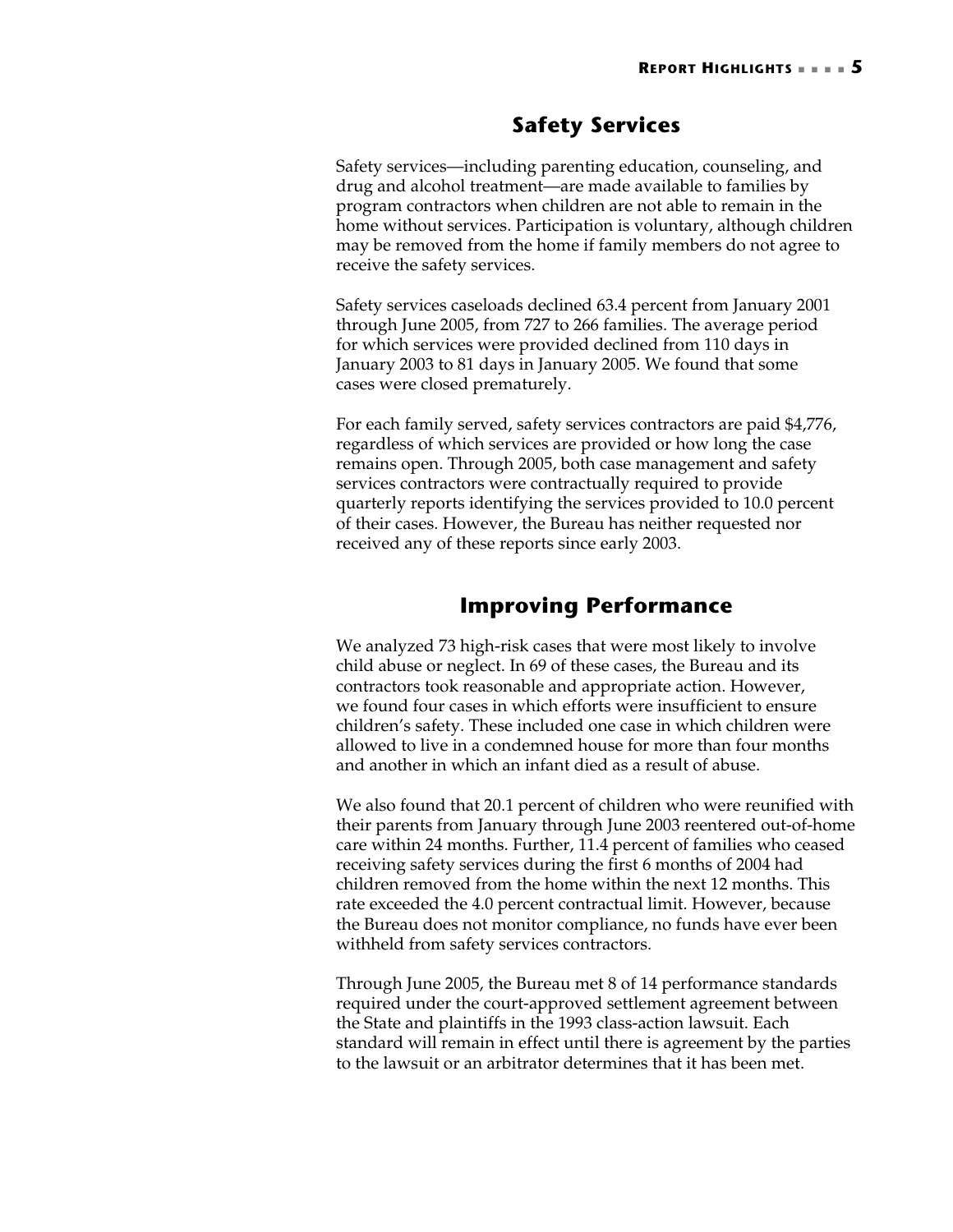# **Safety Services**

Safety services—including parenting education, counseling, and drug and alcohol treatment—are made available to families by program contractors when children are not able to remain in the home without services. Participation is voluntary, although children may be removed from the home if family members do not agree to receive the safety services.

Safety services caseloads declined 63.4 percent from January 2001 through June 2005, from 727 to 266 families. The average period for which services were provided declined from 110 days in January 2003 to 81 days in January 2005. We found that some cases were closed prematurely.

For each family served, safety services contractors are paid \$4,776, regardless of which services are provided or how long the case remains open. Through 2005, both case management and safety services contractors were contractually required to provide quarterly reports identifying the services provided to 10.0 percent of their cases. However, the Bureau has neither requested nor received any of these reports since early 2003.

# **Improving Performance**

We analyzed 73 high-risk cases that were most likely to involve child abuse or neglect. In 69 of these cases, the Bureau and its contractors took reasonable and appropriate action. However, we found four cases in which efforts were insufficient to ensure children's safety. These included one case in which children were allowed to live in a condemned house for more than four months and another in which an infant died as a result of abuse.

We also found that 20.1 percent of children who were reunified with their parents from January through June 2003 reentered out-of-home care within 24 months. Further, 11.4 percent of families who ceased receiving safety services during the first 6 months of 2004 had children removed from the home within the next 12 months. This rate exceeded the 4.0 percent contractual limit. However, because the Bureau does not monitor compliance, no funds have ever been withheld from safety services contractors.

Through June 2005, the Bureau met 8 of 14 performance standards required under the court-approved settlement agreement between the State and plaintiffs in the 1993 class-action lawsuit. Each standard will remain in effect until there is agreement by the parties to the lawsuit or an arbitrator determines that it has been met.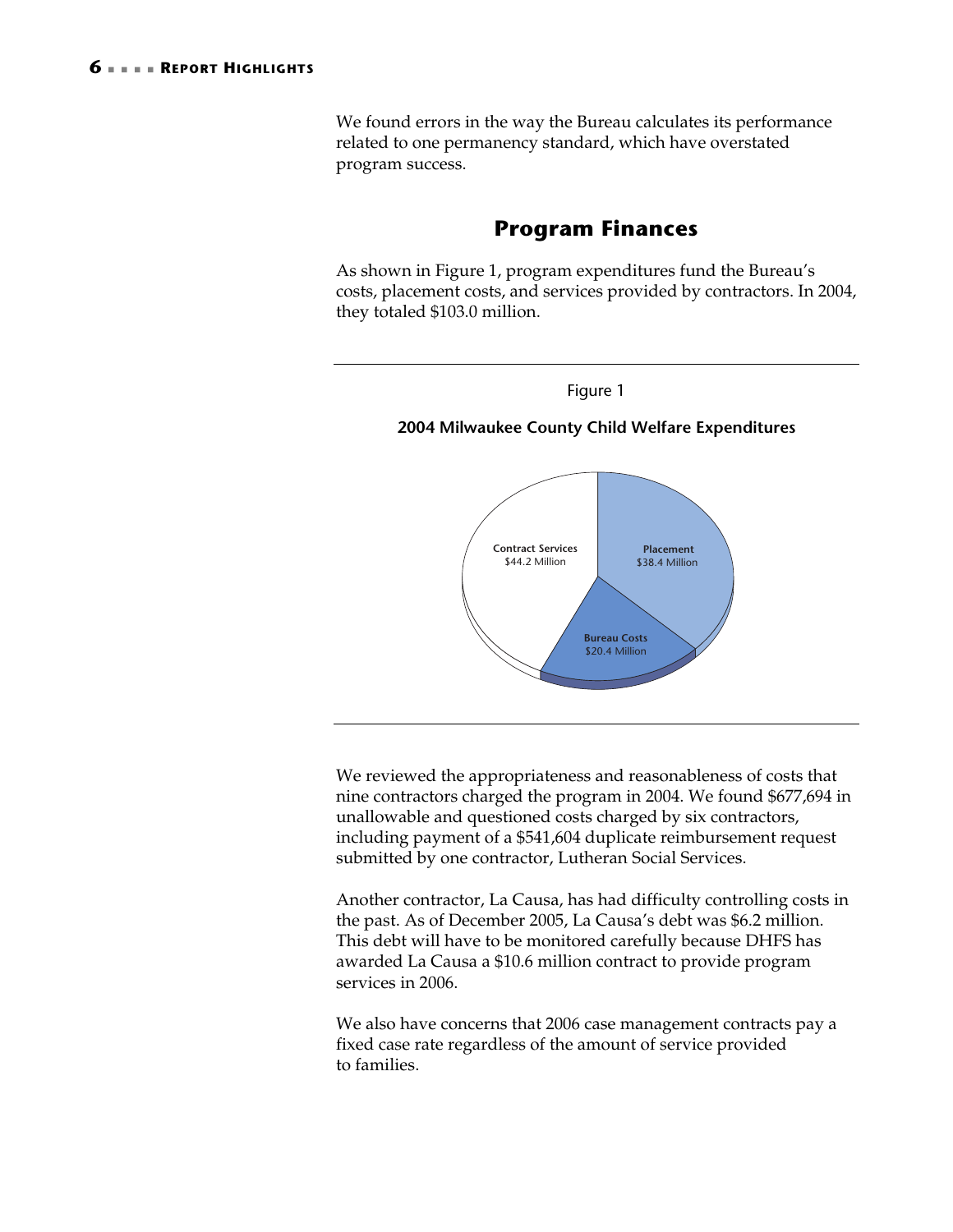We found errors in the way the Bureau calculates its performance related to one permanency standard, which have overstated program success.

# **Program Finances**

As shown in Figure 1, program expenditures fund the Bureau's costs, placement costs, and services provided by contractors. In 2004, they totaled \$103.0 million.



We reviewed the appropriateness and reasonableness of costs that nine contractors charged the program in 2004. We found \$677,694 in unallowable and questioned costs charged by six contractors, including payment of a \$541,604 duplicate reimbursement request submitted by one contractor, Lutheran Social Services.

Another contractor, La Causa, has had difficulty controlling costs in the past. As of December 2005, La Causa's debt was \$6.2 million. This debt will have to be monitored carefully because DHFS has awarded La Causa a \$10.6 million contract to provide program services in 2006.

We also have concerns that 2006 case management contracts pay a fixed case rate regardless of the amount of service provided to families.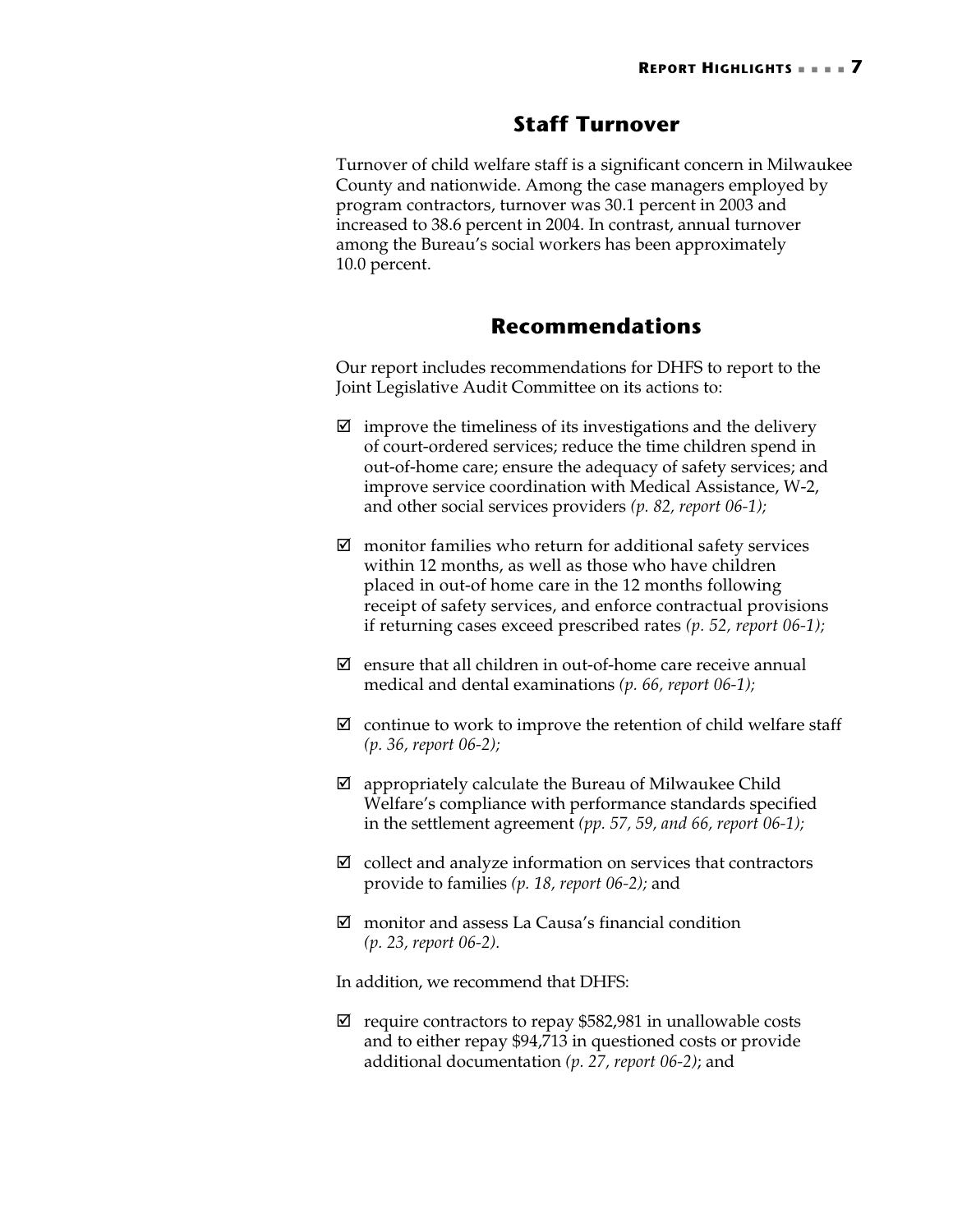### **Staff Turnover**

Turnover of child welfare staff is a significant concern in Milwaukee County and nationwide. Among the case managers employed by program contractors, turnover was 30.1 percent in 2003 and increased to 38.6 percent in 2004. In contrast, annual turnover among the Bureau's social workers has been approximately 10.0 percent.

### **Recommendations**

Our report includes recommendations for DHFS to report to the Joint Legislative Audit Committee on its actions to:

- $\boxtimes$  improve the timeliness of its investigations and the delivery of court-ordered services; reduce the time children spend in out-of-home care; ensure the adequacy of safety services; and improve service coordination with Medical Assistance, W-2, and other social services providers *(p. 82, report 06-1);*
- $\boxtimes$  monitor families who return for additional safety services within 12 months, as well as those who have children placed in out-of home care in the 12 months following receipt of safety services, and enforce contractual provisions if returning cases exceed prescribed rates *(p. 52, report 06-1);*
- $\boxtimes$  ensure that all children in out-of-home care receive annual medical and dental examinations *(p. 66, report 06-1);*
- $\boxtimes$  continue to work to improve the retention of child welfare staff *(p. 36, report 06-2);*
- $\boxtimes$  appropriately calculate the Bureau of Milwaukee Child Welfare's compliance with performance standards specified in the settlement agreement *(pp. 57, 59, and 66, report 06-1);*
- $\boxtimes$  collect and analyze information on services that contractors provide to families *(p. 18, report 06-2);* and
- $\boxtimes$  monitor and assess La Causa's financial condition *(p. 23, report 06-2).*

In addition, we recommend that DHFS:

 $\boxtimes$  require contractors to repay \$582,981 in unallowable costs and to either repay \$94,713 in questioned costs or provide additional documentation *(p. 27, report 06-2)*; and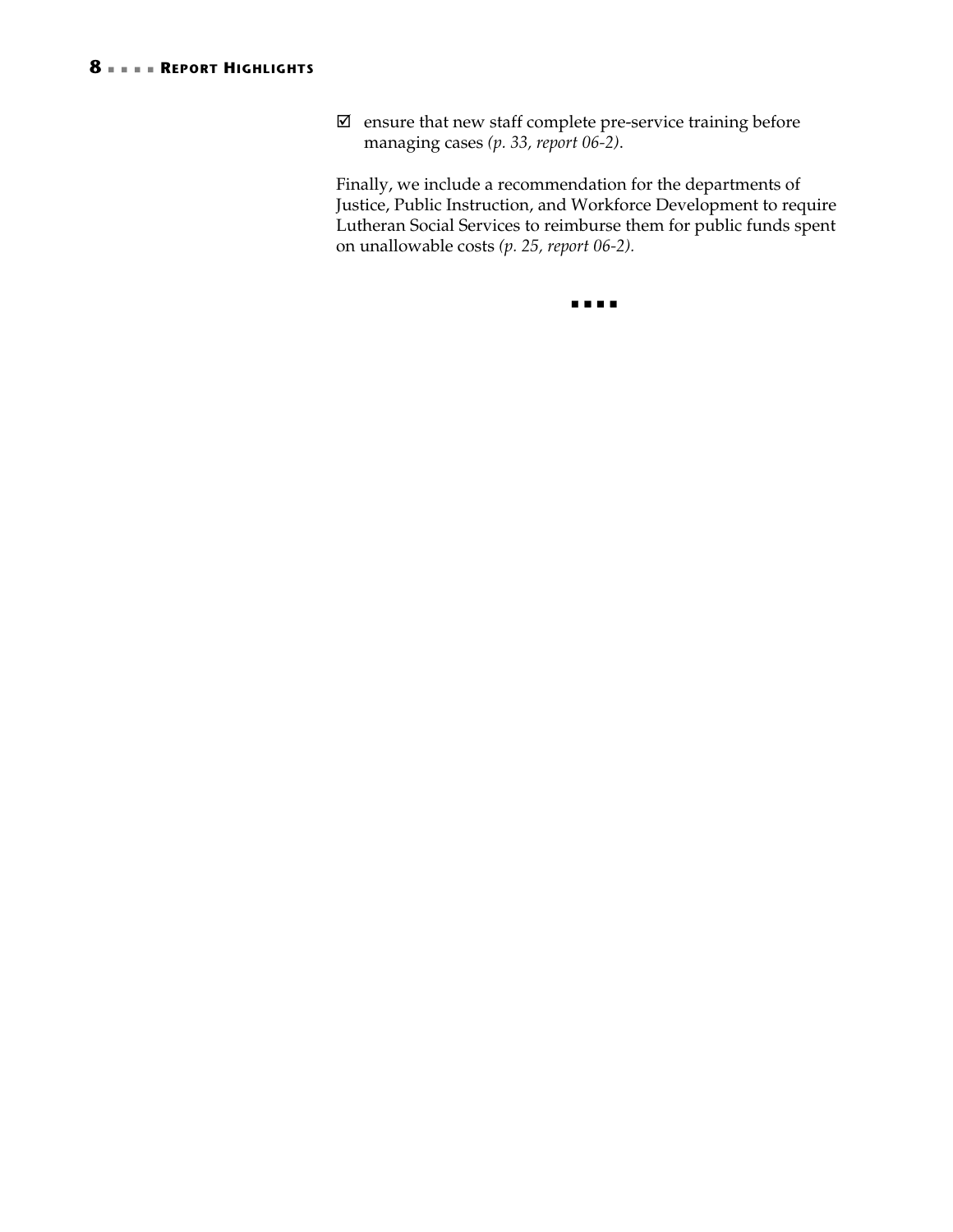$\boxtimes\;$  ensure that new staff complete pre-service training before managing cases *(p. 33, report 06-2)*.

Finally, we include a recommendation for the departments of Justice, Public Instruction, and Workforce Development to require Lutheran Social Services to reimburse them for public funds spent on unallowable costs *(p. 25, report 06-2).*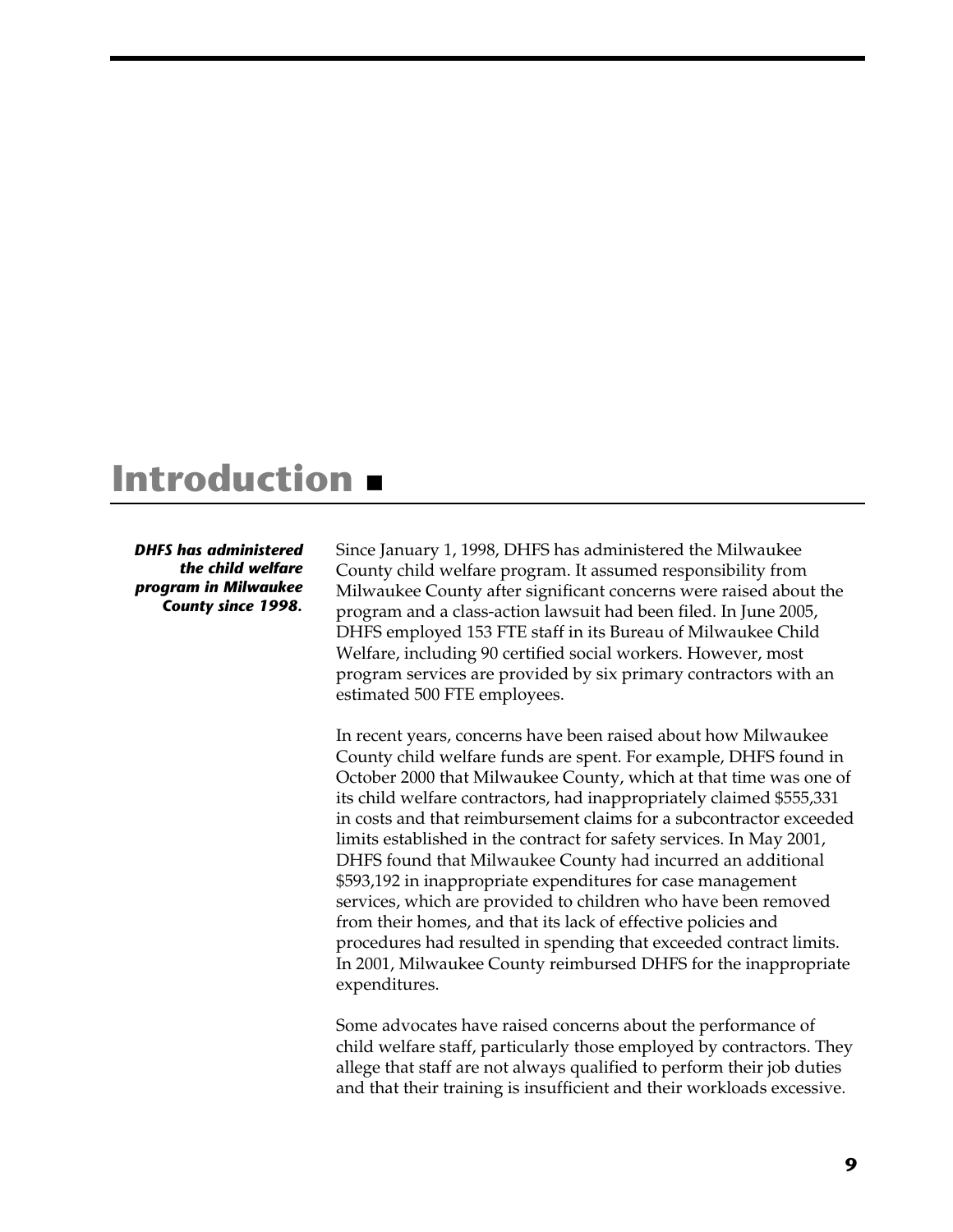# **Introduction**

*DHFS has administered the child welfare program in Milwaukee County since 1998.* 

Since January 1, 1998, DHFS has administered the Milwaukee County child welfare program. It assumed responsibility from Milwaukee County after significant concerns were raised about the program and a class-action lawsuit had been filed. In June 2005, DHFS employed 153 FTE staff in its Bureau of Milwaukee Child Welfare, including 90 certified social workers. However, most program services are provided by six primary contractors with an estimated 500 FTE employees.

In recent years, concerns have been raised about how Milwaukee County child welfare funds are spent. For example, DHFS found in October 2000 that Milwaukee County, which at that time was one of its child welfare contractors, had inappropriately claimed \$555,331 in costs and that reimbursement claims for a subcontractor exceeded limits established in the contract for safety services. In May 2001, DHFS found that Milwaukee County had incurred an additional \$593,192 in inappropriate expenditures for case management services, which are provided to children who have been removed from their homes, and that its lack of effective policies and procedures had resulted in spending that exceeded contract limits. In 2001, Milwaukee County reimbursed DHFS for the inappropriate expenditures.

Some advocates have raised concerns about the performance of child welfare staff, particularly those employed by contractors. They allege that staff are not always qualified to perform their job duties and that their training is insufficient and their workloads excessive.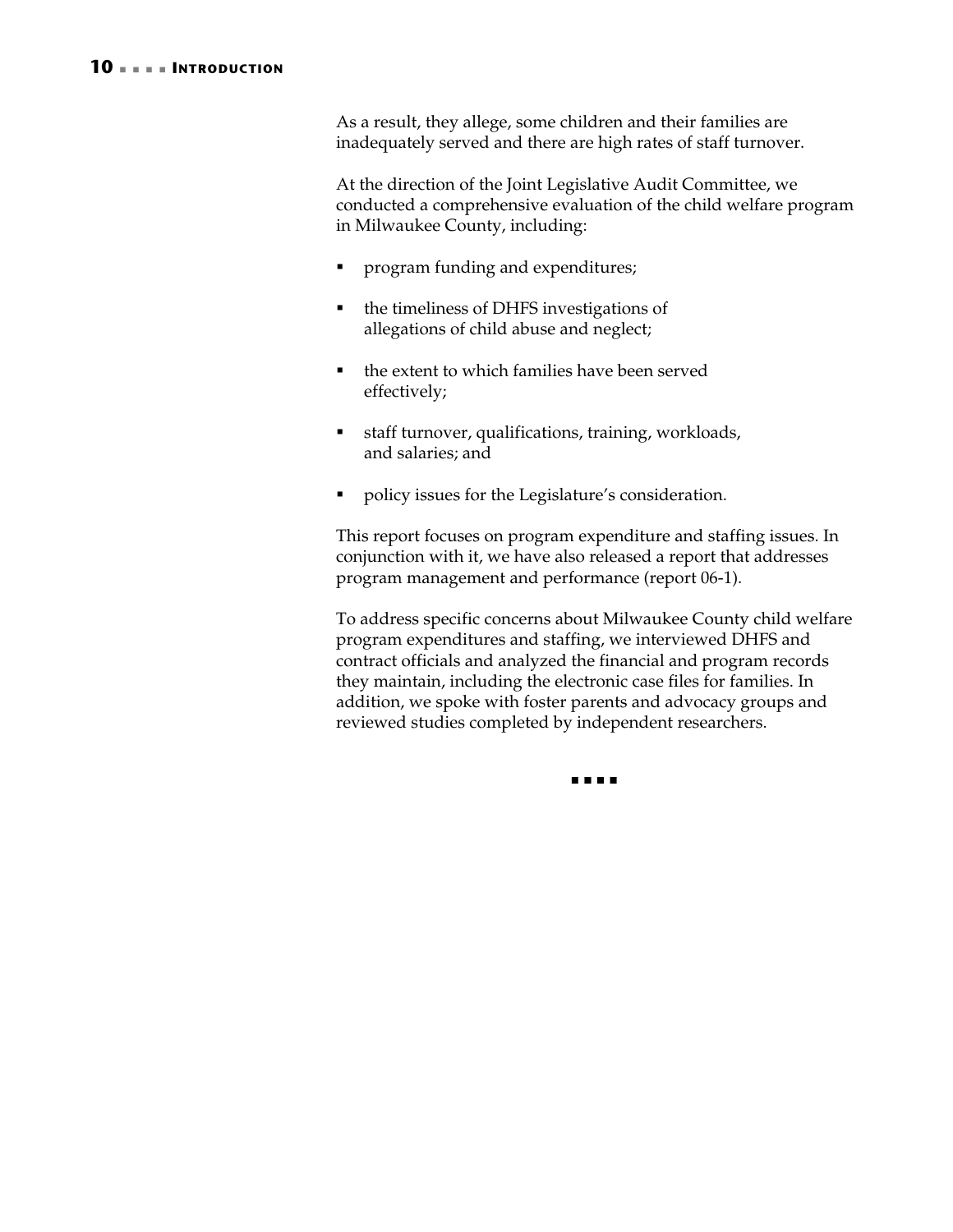As a result, they allege, some children and their families are inadequately served and there are high rates of staff turnover.

At the direction of the Joint Legislative Audit Committee, we conducted a comprehensive evaluation of the child welfare program in Milwaukee County, including:

- program funding and expenditures;
- the timeliness of DHFS investigations of allegations of child abuse and neglect;
- the extent to which families have been served effectively;
- staff turnover, qualifications, training, workloads, and salaries; and
- policy issues for the Legislature's consideration.

This report focuses on program expenditure and staffing issues. In conjunction with it, we have also released a report that addresses program management and performance (report 06-1).

To address specific concerns about Milwaukee County child welfare program expenditures and staffing, we interviewed DHFS and contract officials and analyzed the financial and program records they maintain, including the electronic case files for families. In addition, we spoke with foster parents and advocacy groups and reviewed studies completed by independent researchers.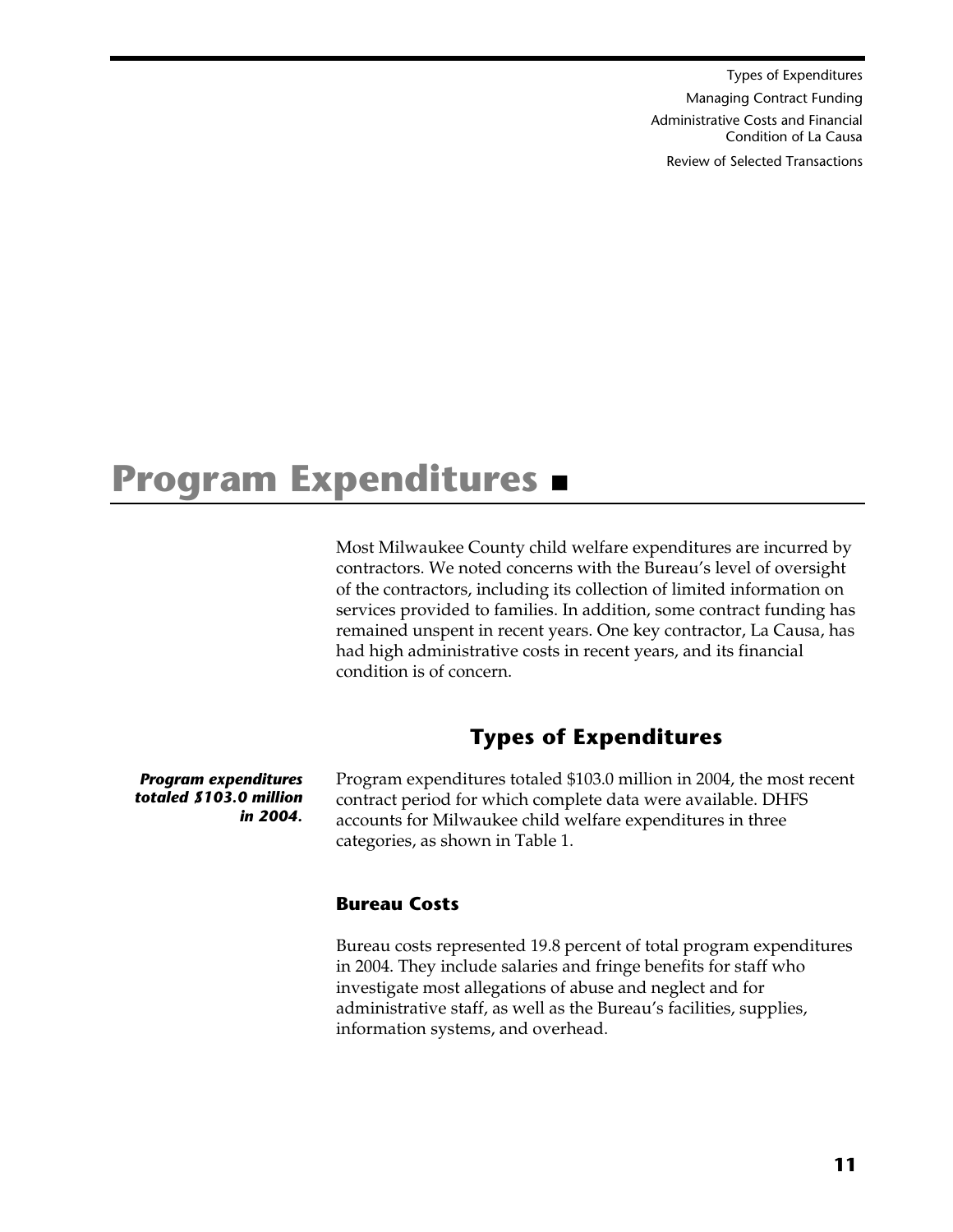Types of Expenditures Managing Contract Funding Administrative Costs and Financial Condition of La Causa Review of Selected Transactions

# **Program Expenditures**

Most Milwaukee County child welfare expenditures are incurred by contractors. We noted concerns with the Bureau's level of oversight of the contractors, including its collection of limited information on services provided to families. In addition, some contract funding has remained unspent in recent years. One key contractor, La Causa, has had high administrative costs in recent years, and its financial condition is of concern.

# **Types of Expenditures**

*Program expenditures totaled \$103.0 million in 2004.* 

Program expenditures totaled \$103.0 million in 2004, the most recent contract period for which complete data were available. DHFS accounts for Milwaukee child welfare expenditures in three categories, as shown in Table 1.

#### **Bureau Costs**

Bureau costs represented 19.8 percent of total program expenditures in 2004. They include salaries and fringe benefits for staff who investigate most allegations of abuse and neglect and for administrative staff, as well as the Bureau's facilities, supplies, information systems, and overhead.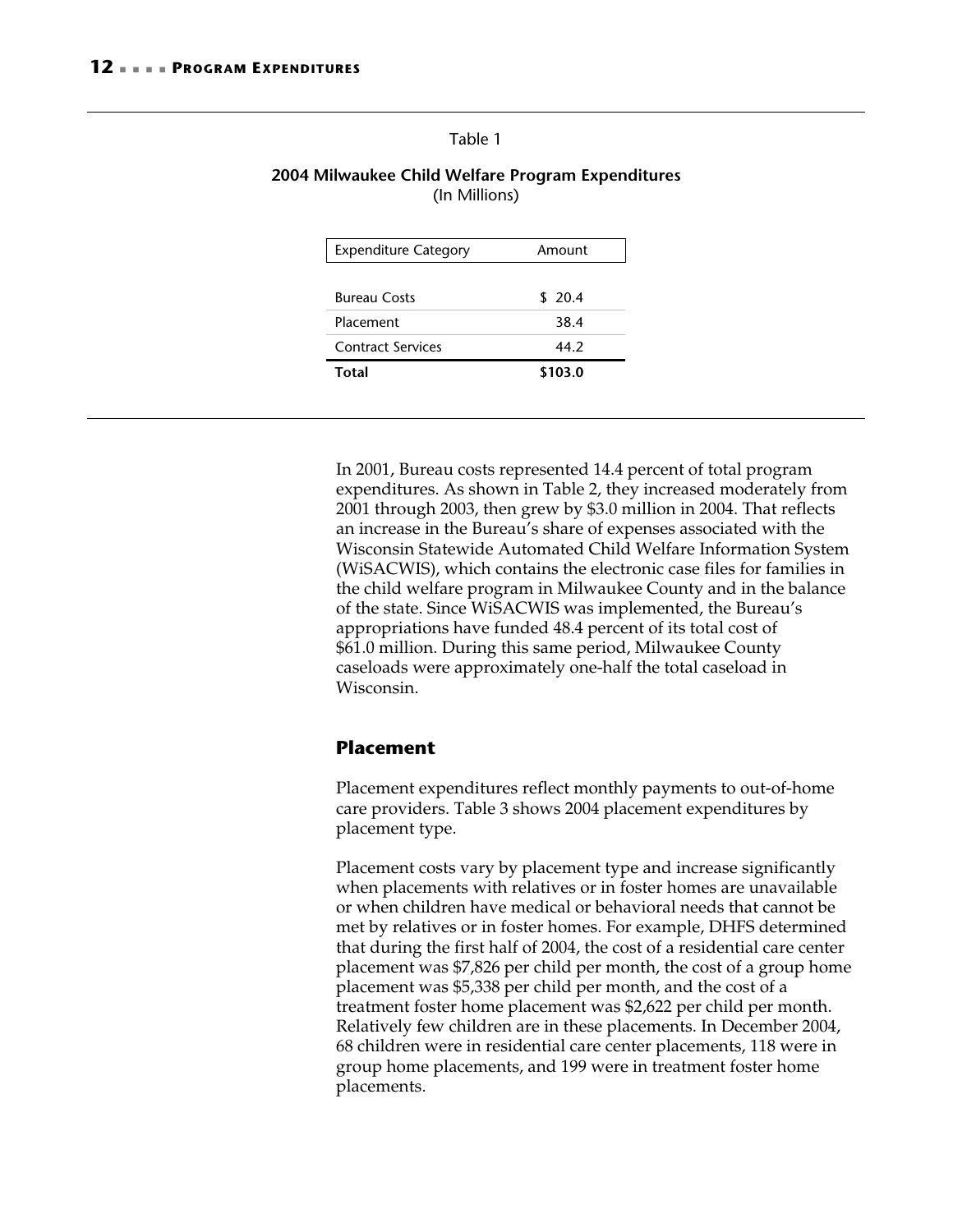#### Table 1

#### **2004 Milwaukee Child Welfare Program Expenditures**  (In Millions)

| <b>Expenditure Category</b> | Amount  |
|-----------------------------|---------|
|                             |         |
| <b>Bureau Costs</b>         | \$20.4  |
| Placement                   | 38.4    |
| <b>Contract Services</b>    | 44.2    |
| Total                       | \$103.0 |
|                             |         |

In 2001, Bureau costs represented 14.4 percent of total program expenditures. As shown in Table 2, they increased moderately from 2001 through 2003, then grew by \$3.0 million in 2004. That reflects an increase in the Bureau's share of expenses associated with the Wisconsin Statewide Automated Child Welfare Information System (WiSACWIS), which contains the electronic case files for families in the child welfare program in Milwaukee County and in the balance of the state. Since WiSACWIS was implemented, the Bureau's appropriations have funded 48.4 percent of its total cost of \$61.0 million. During this same period, Milwaukee County caseloads were approximately one-half the total caseload in Wisconsin.

#### **Placement**

Placement expenditures reflect monthly payments to out-of-home care providers. Table 3 shows 2004 placement expenditures by placement type.

Placement costs vary by placement type and increase significantly when placements with relatives or in foster homes are unavailable or when children have medical or behavioral needs that cannot be met by relatives or in foster homes. For example, DHFS determined that during the first half of 2004, the cost of a residential care center placement was \$7,826 per child per month, the cost of a group home placement was \$5,338 per child per month, and the cost of a treatment foster home placement was \$2,622 per child per month. Relatively few children are in these placements. In December 2004, 68 children were in residential care center placements, 118 were in group home placements, and 199 were in treatment foster home placements.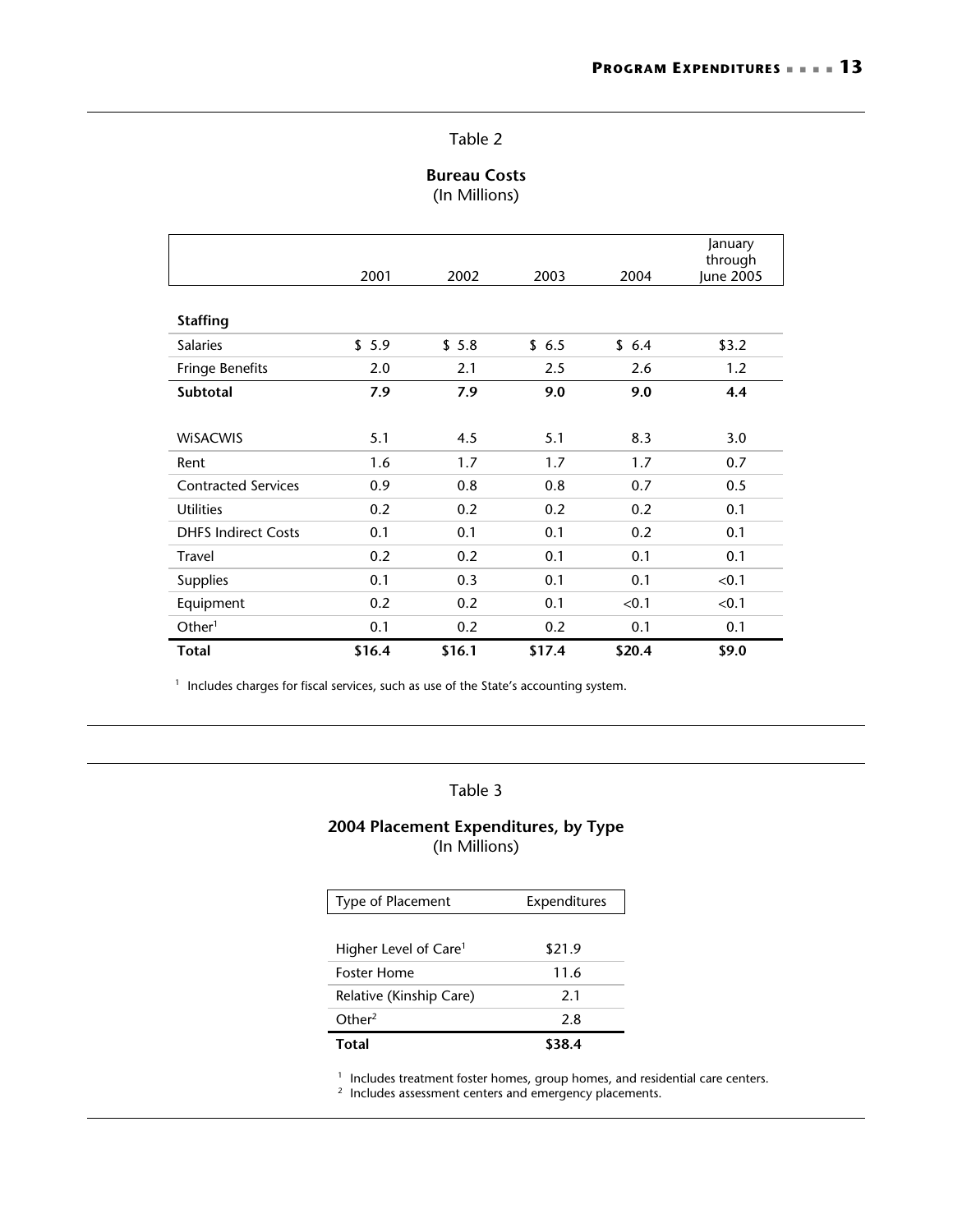#### Table 2

#### **Bureau Costs**  (In Millions)

|                            | 2001   | 2002   | 2003   | 2004   | January<br>through<br>June 2005 |
|----------------------------|--------|--------|--------|--------|---------------------------------|
| <b>Staffing</b>            |        |        |        |        |                                 |
| <b>Salaries</b>            | \$5.9  | \$5.8  | \$6.5  | \$6.4  | \$3.2                           |
| <b>Fringe Benefits</b>     | 2.0    | 2.1    | 2.5    | 2.6    | 1.2                             |
| <b>Subtotal</b>            | 7.9    | 7.9    | 9.0    | 9.0    | 4.4                             |
|                            |        |        |        |        |                                 |
| <b>WISACWIS</b>            | 5.1    | 4.5    | 5.1    | 8.3    | 3.0                             |
| Rent                       | 1.6    | 1.7    | 1.7    | 1.7    | 0.7                             |
| <b>Contracted Services</b> | 0.9    | 0.8    | 0.8    | 0.7    | 0.5                             |
| <b>Utilities</b>           | 0.2    | 0.2    | 0.2    | 0.2    | 0.1                             |
| <b>DHFS Indirect Costs</b> | 0.1    | 0.1    | 0.1    | 0.2    | 0.1                             |
| <b>Travel</b>              | 0.2    | 0.2    | 0.1    | 0.1    | 0.1                             |
| <b>Supplies</b>            | 0.1    | 0.3    | 0.1    | 0.1    | < 0.1                           |
| Equipment                  | 0.2    | 0.2    | 0.1    | < 0.1  | < 0.1                           |
| Other <sup>1</sup>         | 0.1    | 0.2    | 0.2    | 0.1    | 0.1                             |
| <b>Total</b>               | \$16.4 | \$16.1 | \$17.4 | \$20.4 | \$9.0                           |

 $1$  Includes charges for fiscal services, such as use of the State's accounting system.

#### Table 3

#### **2004 Placement Expenditures, by Type**  (In Millions)

| Type of Placement                 | Expenditures |
|-----------------------------------|--------------|
|                                   |              |
| Higher Level of Care <sup>1</sup> | \$21.9       |
| <b>Foster Home</b>                | 11.6         |
| Relative (Kinship Care)           | 21           |
| Other <sup>2</sup>                | 2.8          |
| Total                             |              |

<sup>1</sup> Includes treatment foster homes, group homes, and residential care centers.<br><sup>2</sup> Includes assessment centers and emergency placements.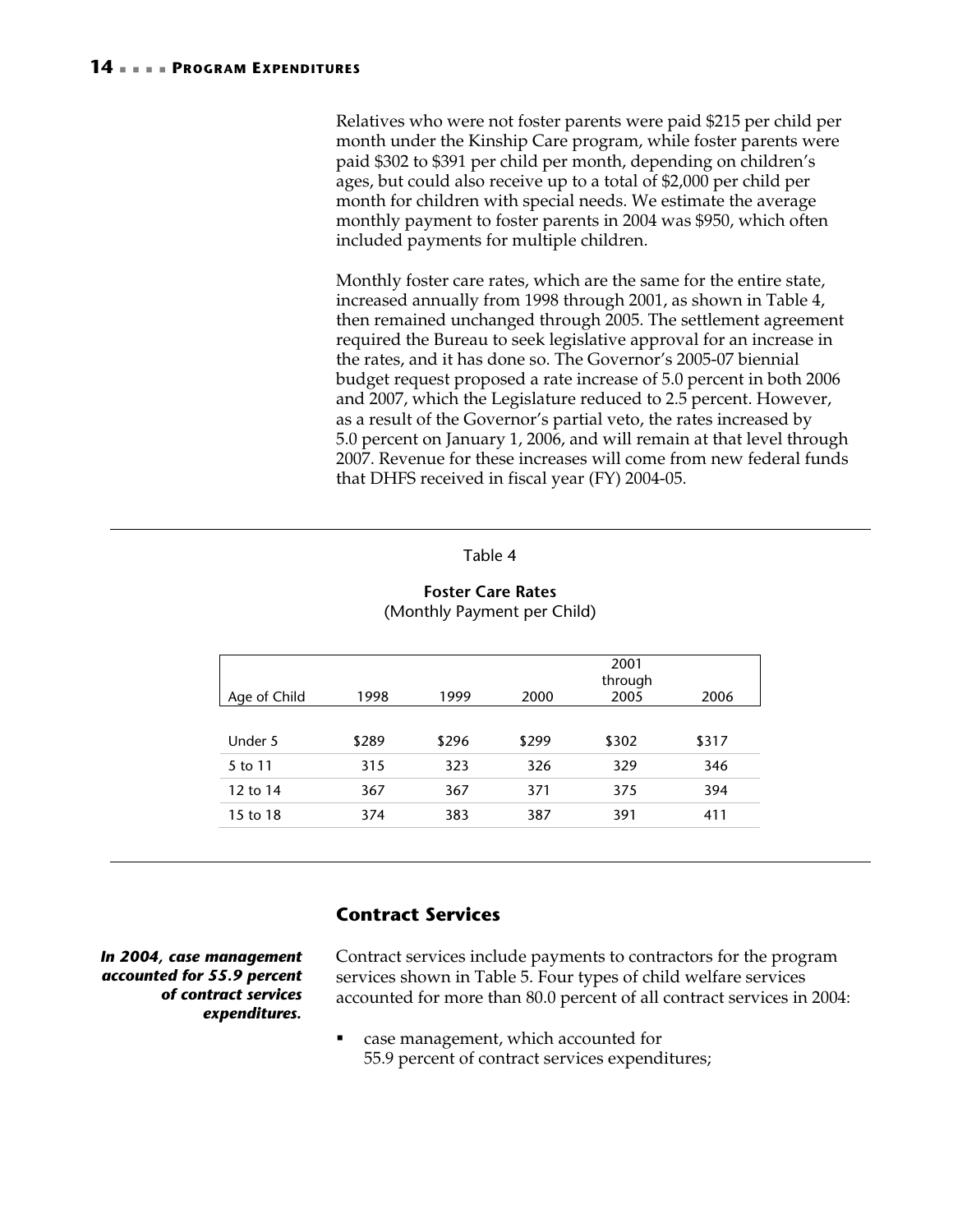Relatives who were not foster parents were paid \$215 per child per month under the Kinship Care program, while foster parents were paid \$302 to \$391 per child per month, depending on children's ages, but could also receive up to a total of \$2,000 per child per month for children with special needs. We estimate the average monthly payment to foster parents in 2004 was \$950, which often included payments for multiple children.

Monthly foster care rates, which are the same for the entire state, increased annually from 1998 through 2001, as shown in Table 4, then remained unchanged through 2005. The settlement agreement required the Bureau to seek legislative approval for an increase in the rates, and it has done so. The Governor's 2005-07 biennial budget request proposed a rate increase of 5.0 percent in both 2006 and 2007, which the Legislature reduced to 2.5 percent. However, as a result of the Governor's partial veto, the rates increased by 5.0 percent on January 1, 2006, and will remain at that level through 2007. Revenue for these increases will come from new federal funds that DHFS received in fiscal year (FY) 2004-05.

#### Table 4

#### **Foster Care Rates**  (Monthly Payment per Child)

|       |       |       | 2001<br>through |       |
|-------|-------|-------|-----------------|-------|
| 1998  | 1999  | 2000  | 2005            | 2006  |
|       |       |       |                 |       |
| \$289 | \$296 | \$299 | \$302           | \$317 |
| 315   | 323   | 326   | 329             | 346   |
| 367   | 367   | 371   | 375             | 394   |
| 374   | 383   | 387   | 391             | 411   |
|       |       |       |                 |       |

### **Contract Services**

*In 2004, case management accounted for 55.9 percent of contract services expenditures.* 

Contract services include payments to contractors for the program services shown in Table 5. Four types of child welfare services accounted for more than 80.0 percent of all contract services in 2004:

 case management, which accounted for 55.9 percent of contract services expenditures;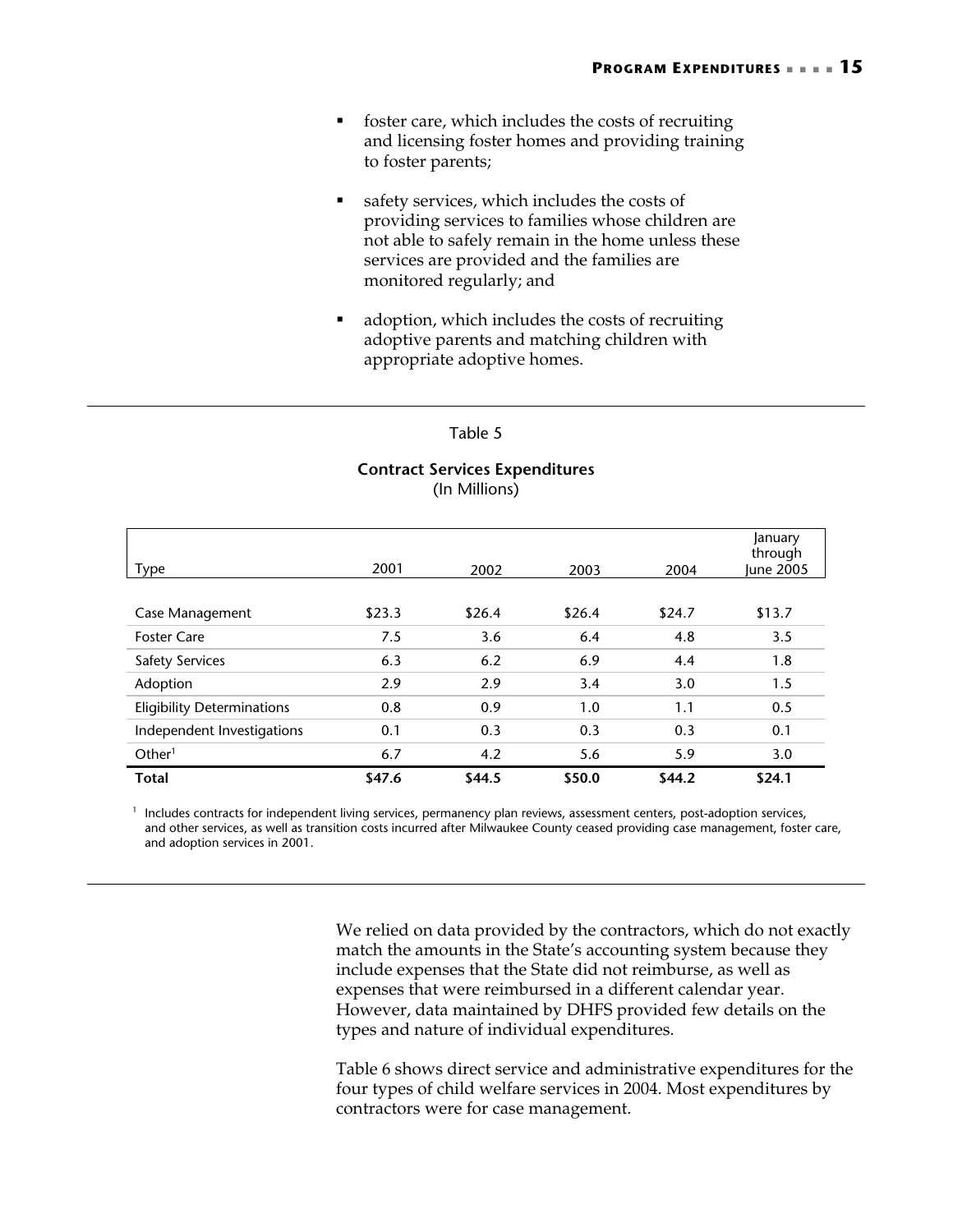- foster care, which includes the costs of recruiting and licensing foster homes and providing training to foster parents;
- safety services, which includes the costs of providing services to families whose children are not able to safely remain in the home unless these services are provided and the families are monitored regularly; and
- adoption, which includes the costs of recruiting adoptive parents and matching children with appropriate adoptive homes.

#### Table 5

#### **Contract Services Expenditures** (In Millions)

| Type                              | 2001   | 2002   | 2003   | 2004   | January<br>through<br>June 2005 |
|-----------------------------------|--------|--------|--------|--------|---------------------------------|
|                                   |        |        |        |        |                                 |
| Case Management                   | \$23.3 | \$26.4 | \$26.4 | \$24.7 | \$13.7                          |
| <b>Foster Care</b>                | 7.5    | 3.6    | 6.4    | 4.8    | 3.5                             |
| <b>Safety Services</b>            | 6.3    | 6.2    | 6.9    | 4.4    | 1.8                             |
| Adoption                          | 2.9    | 2.9    | 3.4    | 3.0    | 1.5                             |
| <b>Eligibility Determinations</b> | 0.8    | 0.9    | 1.0    | 1.1    | 0.5                             |
| Independent Investigations        | 0.1    | 0.3    | 0.3    | 0.3    | 0.1                             |
| Other <sup>1</sup>                | 6.7    | 4.2    | 5.6    | 5.9    | 3.0                             |
| <b>Total</b>                      | \$47.6 | \$44.5 | \$50.0 | \$44.2 | \$24.1                          |

<sup>1</sup> Includes contracts for independent living services, permanency plan reviews, assessment centers, post-adoption services, and other services, as well as transition costs incurred after Milwaukee County ceased providing case management, foster care, and adoption services in 2001.

> We relied on data provided by the contractors, which do not exactly match the amounts in the State's accounting system because they include expenses that the State did not reimburse, as well as expenses that were reimbursed in a different calendar year. However, data maintained by DHFS provided few details on the types and nature of individual expenditures.

> Table 6 shows direct service and administrative expenditures for the four types of child welfare services in 2004. Most expenditures by contractors were for case management.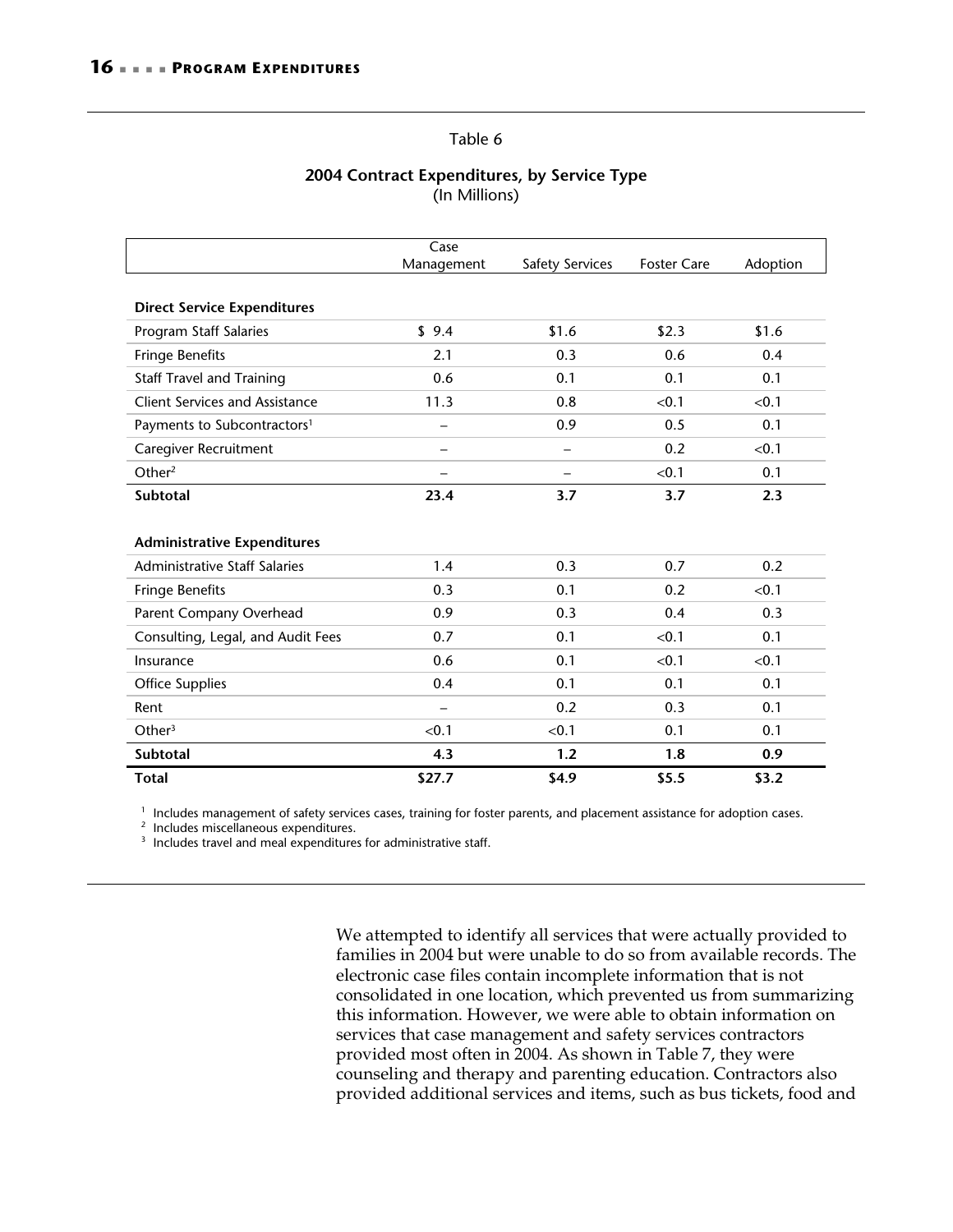#### Table 6

#### **2004 Contract Expenditures, by Service Type**  (In Millions)

|                                         | Case<br>Management       | <b>Safety Services</b>   | <b>Foster Care</b> | Adoption |
|-----------------------------------------|--------------------------|--------------------------|--------------------|----------|
|                                         |                          |                          |                    |          |
| <b>Direct Service Expenditures</b>      |                          |                          |                    |          |
| Program Staff Salaries                  | \$9.4                    | \$1.6                    | \$2.3              | \$1.6    |
| <b>Fringe Benefits</b>                  | 2.1                      | 0.3                      | 0.6                | 0.4      |
| <b>Staff Travel and Training</b>        | 0.6                      | 0.1                      | 0.1                | 0.1      |
| <b>Client Services and Assistance</b>   | 11.3                     | 0.8                      | < 0.1              | < 0.1    |
| Payments to Subcontractors <sup>1</sup> | —                        | 0.9                      | 0.5                | 0.1      |
| Caregiver Recruitment                   |                          | $\overline{\phantom{0}}$ | 0.2                | < 0.1    |
| Other $2$                               | $\overline{\phantom{0}}$ | $\overline{\phantom{0}}$ | < 0.1              | 0.1      |
| <b>Subtotal</b>                         | 23.4                     | 3.7                      | 3.7                | 2.3      |
|                                         |                          |                          |                    |          |
| <b>Administrative Expenditures</b>      |                          |                          |                    |          |
| <b>Administrative Staff Salaries</b>    | 1.4                      | 0.3                      | 0.7                | 0.2      |
| <b>Fringe Benefits</b>                  | 0.3                      | 0.1                      | 0.2                | < 0.1    |
| Parent Company Overhead                 | 0.9                      | 0.3                      | 0.4                | 0.3      |
| Consulting, Legal, and Audit Fees       | 0.7                      | 0.1                      | < 0.1              | 0.1      |
| Insurance                               | 0.6                      | 0.1                      | < 0.1              | < 0.1    |
| <b>Office Supplies</b>                  | 0.4                      | 0.1                      | 0.1                | 0.1      |
| Rent                                    |                          | 0.2                      | 0.3                | 0.1      |
| Other <sup>3</sup>                      | < 0.1                    | < 0.1                    | 0.1                | 0.1      |
| <b>Subtotal</b>                         | 4.3                      | 1.2                      | 1.8                | 0.9      |
| <b>Total</b>                            | \$27.7                   | \$4.9                    | \$5.5              | \$3.2    |

<sup>1</sup> Includes management of safety services cases, training for foster parents, and placement assistance for adoption cases.<br><sup>2</sup> Includes miscellaneous expenditures.<br><sup>3</sup> Includes travel and meal expenditures for administra

We attempted to identify all services that were actually provided to families in 2004 but were unable to do so from available records. The electronic case files contain incomplete information that is not consolidated in one location, which prevented us from summarizing this information. However, we were able to obtain information on services that case management and safety services contractors provided most often in 2004. As shown in Table 7, they were counseling and therapy and parenting education. Contractors also provided additional services and items, such as bus tickets, food and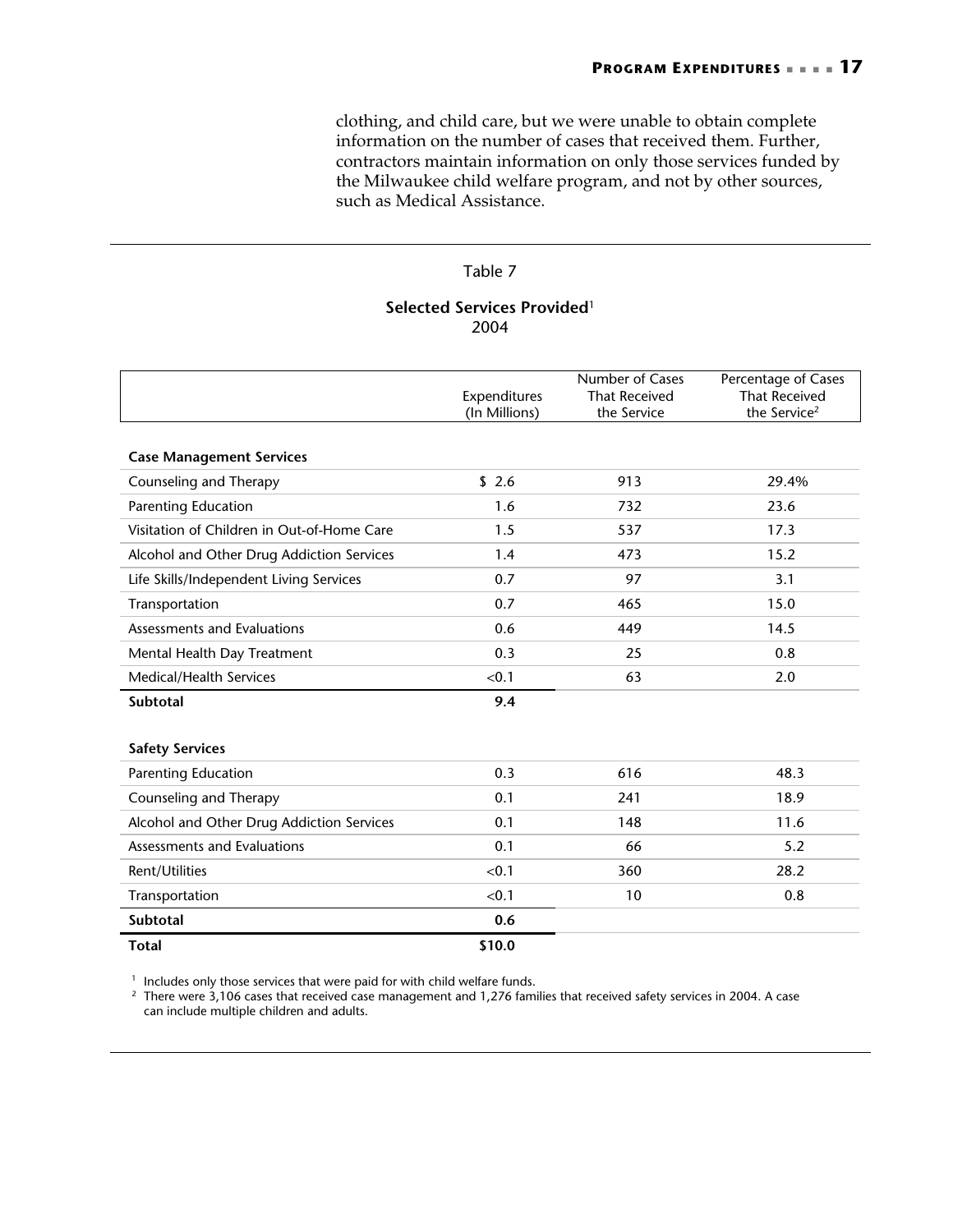clothing, and child care, but we were unable to obtain complete information on the number of cases that received them. Further, contractors maintain information on only those services funded by the Milwaukee child welfare program, and not by other sources, such as Medical Assistance.

#### Table 7

#### **Selected Services Provided**<sup>1</sup> 2004

|                                            | Expenditures  | Number of Cases<br><b>That Received</b> | Percentage of Cases<br><b>That Received</b> |
|--------------------------------------------|---------------|-----------------------------------------|---------------------------------------------|
|                                            | (In Millions) | the Service                             | the Service <sup>2</sup>                    |
| <b>Case Management Services</b>            |               |                                         |                                             |
| Counseling and Therapy                     | \$2.6         | 913                                     | 29.4%                                       |
| <b>Parenting Education</b>                 | 1.6           | 732                                     | 23.6                                        |
| Visitation of Children in Out-of-Home Care | 1.5           | 537                                     | 17.3                                        |
| Alcohol and Other Drug Addiction Services  | 1.4           | 473                                     | 15.2                                        |
| Life Skills/Independent Living Services    | 0.7           | 97                                      | 3.1                                         |
| Transportation                             | 0.7           | 465                                     | 15.0                                        |
| Assessments and Evaluations                | 0.6           | 449                                     | 14.5                                        |
| Mental Health Day Treatment                | 0.3           | 25                                      | 0.8                                         |
| Medical/Health Services                    | < 0.1         | 63                                      | 2.0                                         |
| <b>Subtotal</b>                            | 9.4           |                                         |                                             |
|                                            |               |                                         |                                             |
| <b>Safety Services</b>                     |               |                                         |                                             |
| Parenting Education                        | 0.3           | 616                                     | 48.3                                        |
| Counseling and Therapy                     | 0.1           | 241                                     | 18.9                                        |
| Alcohol and Other Drug Addiction Services  | 0.1           | 148                                     | 11.6                                        |
| Assessments and Evaluations                | 0.1           | 66                                      | 5.2                                         |
| Rent/Utilities                             | < 0.1         | 360                                     | 28.2                                        |
| Transportation                             | < 0.1         | 10                                      | 0.8                                         |
| Subtotal                                   | 0.6           |                                         |                                             |
| <b>Total</b>                               | \$10.0        |                                         |                                             |

<sup>1</sup> Includes only those services that were paid for with child welfare funds.<br><sup>2</sup> There were 3,106 cases that received case management and 1,276 families that received safety services in 2004. A case can include multiple children and adults.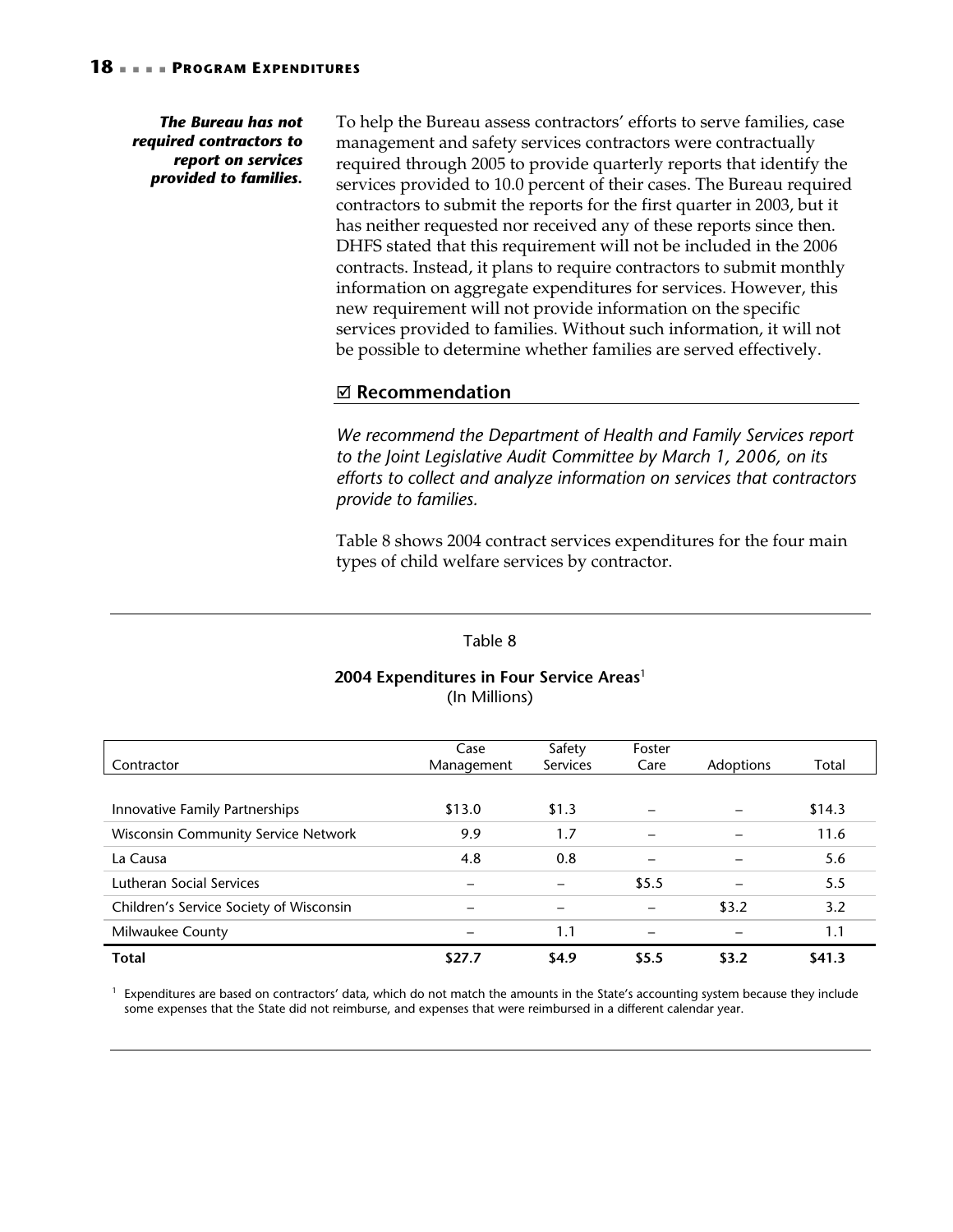#### *The Bureau has not required contractors to report on services provided to families.*

To help the Bureau assess contractors' efforts to serve families, case management and safety services contractors were contractually required through 2005 to provide quarterly reports that identify the services provided to 10.0 percent of their cases. The Bureau required contractors to submit the reports for the first quarter in 2003, but it has neither requested nor received any of these reports since then. DHFS stated that this requirement will not be included in the 2006 contracts. Instead, it plans to require contractors to submit monthly information on aggregate expenditures for services. However, this new requirement will not provide information on the specific services provided to families. Without such information, it will not be possible to determine whether families are served effectively.

#### ; **Recommendation**

*We recommend the Department of Health and Family Services report to the Joint Legislative Audit Committee by March 1, 2006, on its efforts to collect and analyze information on services that contractors provide to families.* 

Table 8 shows 2004 contract services expenditures for the four main types of child welfare services by contractor.

#### Table 8

#### **2004 Expenditures in Four Service Areas**<sup>1</sup> (In Millions)

|                                            | Case       | Safety          | Foster |           |        |
|--------------------------------------------|------------|-----------------|--------|-----------|--------|
| Contractor                                 | Management | <b>Services</b> | Care   | Adoptions | Total  |
|                                            |            |                 |        |           |        |
| Innovative Family Partnerships             | \$13.0     | \$1.3           |        |           | \$14.3 |
| <b>Wisconsin Community Service Network</b> | 9.9        | 1.7             |        |           | 11.6   |
| La Causa                                   | 4.8        | 0.8             |        |           | 5.6    |
| Lutheran Social Services                   |            |                 | \$5.5  |           | 5.5    |
| Children's Service Society of Wisconsin    |            |                 |        | \$3.2     | 3.2    |
| Milwaukee County                           |            | 1.1             |        |           | 1.1    |
| <b>Total</b>                               | \$27.7     | \$4.9           | \$5.5  | \$3.2     | \$41.3 |

 $1$  Expenditures are based on contractors' data, which do not match the amounts in the State's accounting system because they include some expenses that the State did not reimburse, and expenses that were reimbursed in a different calendar year.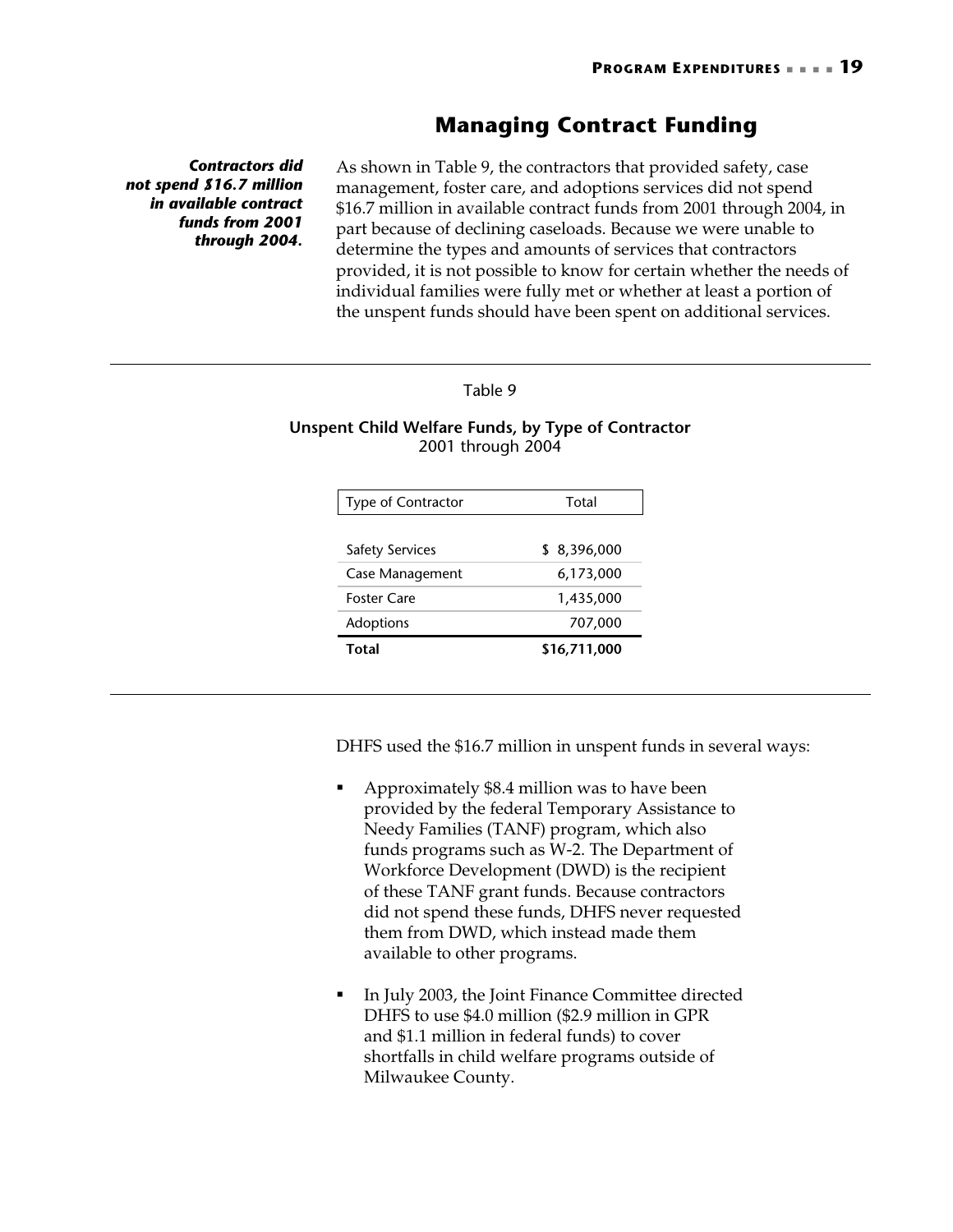# **Managing Contract Funding**

*Contractors did not spend \$16.7 million in available contract funds from 2001 through 2004.* 

As shown in Table 9, the contractors that provided safety, case management, foster care, and adoptions services did not spend \$16.7 million in available contract funds from 2001 through 2004, in part because of declining caseloads. Because we were unable to determine the types and amounts of services that contractors provided, it is not possible to know for certain whether the needs of individual families were fully met or whether at least a portion of the unspent funds should have been spent on additional services.

#### Table 9

#### **Unspent Child Welfare Funds, by Type of Contractor**  2001 through 2004

| Type of Contractor     | Total        |
|------------------------|--------------|
|                        |              |
| <b>Safety Services</b> | \$8,396,000  |
| Case Management        | 6,173,000    |
| Foster Care            | 1,435,000    |
| Adoptions              | 707,000      |
| Total                  | \$16,711,000 |

DHFS used the \$16.7 million in unspent funds in several ways:

- Approximately \$8.4 million was to have been provided by the federal Temporary Assistance to Needy Families (TANF) program, which also funds programs such as W-2. The Department of Workforce Development (DWD) is the recipient of these TANF grant funds. Because contractors did not spend these funds, DHFS never requested them from DWD, which instead made them available to other programs.
- In July 2003, the Joint Finance Committee directed DHFS to use \$4.0 million (\$2.9 million in GPR and \$1.1 million in federal funds) to cover shortfalls in child welfare programs outside of Milwaukee County.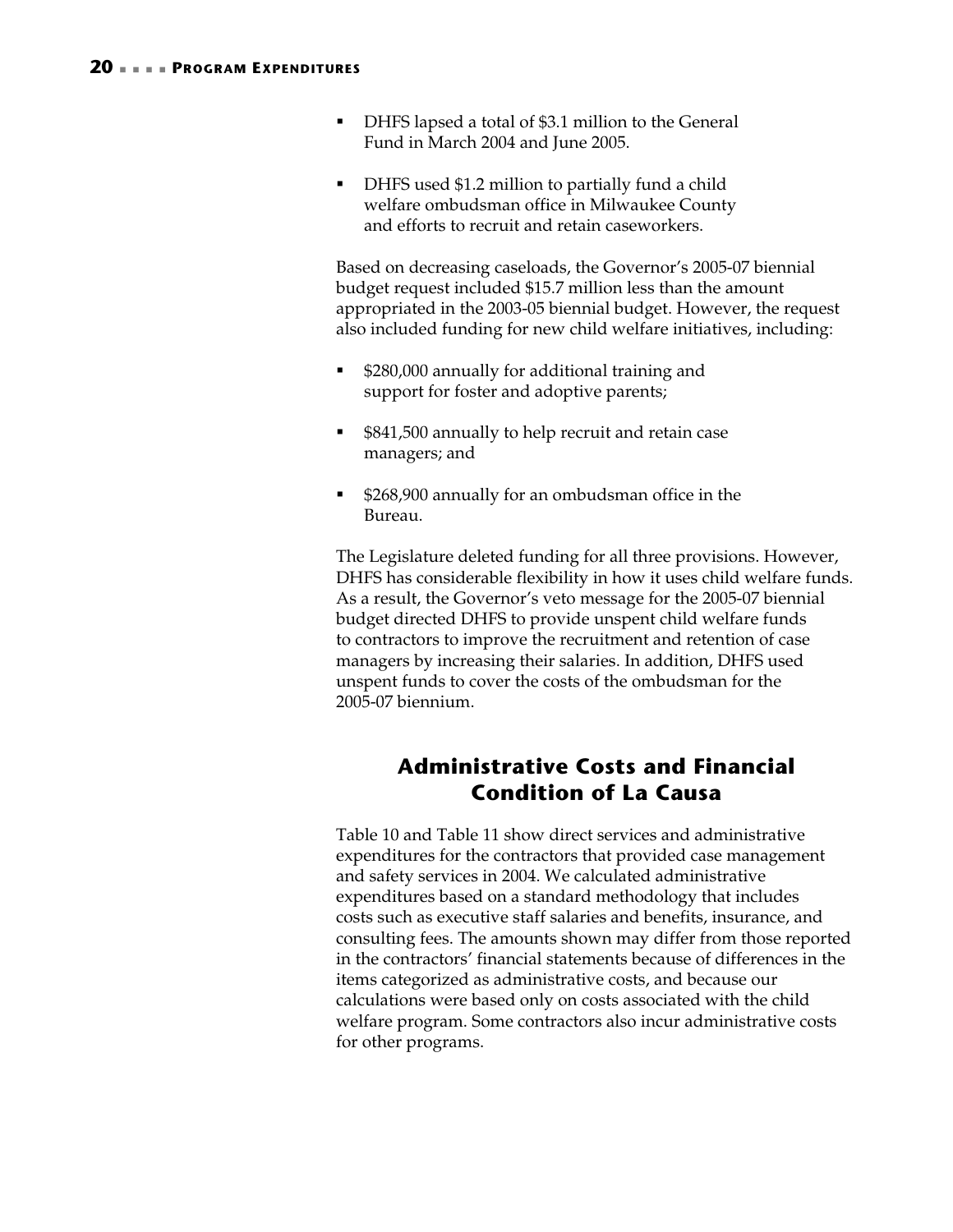- DHFS lapsed a total of \$3.1 million to the General Fund in March 2004 and June 2005.
- DHFS used \$1.2 million to partially fund a child welfare ombudsman office in Milwaukee County and efforts to recruit and retain caseworkers.

Based on decreasing caseloads, the Governor's 2005-07 biennial budget request included \$15.7 million less than the amount appropriated in the 2003-05 biennial budget. However, the request also included funding for new child welfare initiatives, including:

- **\$280,000 annually for additional training and** support for foster and adoptive parents;
- **5841,500 annually to help recruit and retain case** managers; and
- **5268,900 annually for an ombudsman office in the** Bureau.

The Legislature deleted funding for all three provisions. However, DHFS has considerable flexibility in how it uses child welfare funds. As a result, the Governor's veto message for the 2005-07 biennial budget directed DHFS to provide unspent child welfare funds to contractors to improve the recruitment and retention of case managers by increasing their salaries. In addition, DHFS used unspent funds to cover the costs of the ombudsman for the 2005-07 biennium.

# **Administrative Costs and Financial Condition of La Causa**

Table 10 and Table 11 show direct services and administrative expenditures for the contractors that provided case management and safety services in 2004. We calculated administrative expenditures based on a standard methodology that includes costs such as executive staff salaries and benefits, insurance, and consulting fees. The amounts shown may differ from those reported in the contractors' financial statements because of differences in the items categorized as administrative costs, and because our calculations were based only on costs associated with the child welfare program. Some contractors also incur administrative costs for other programs.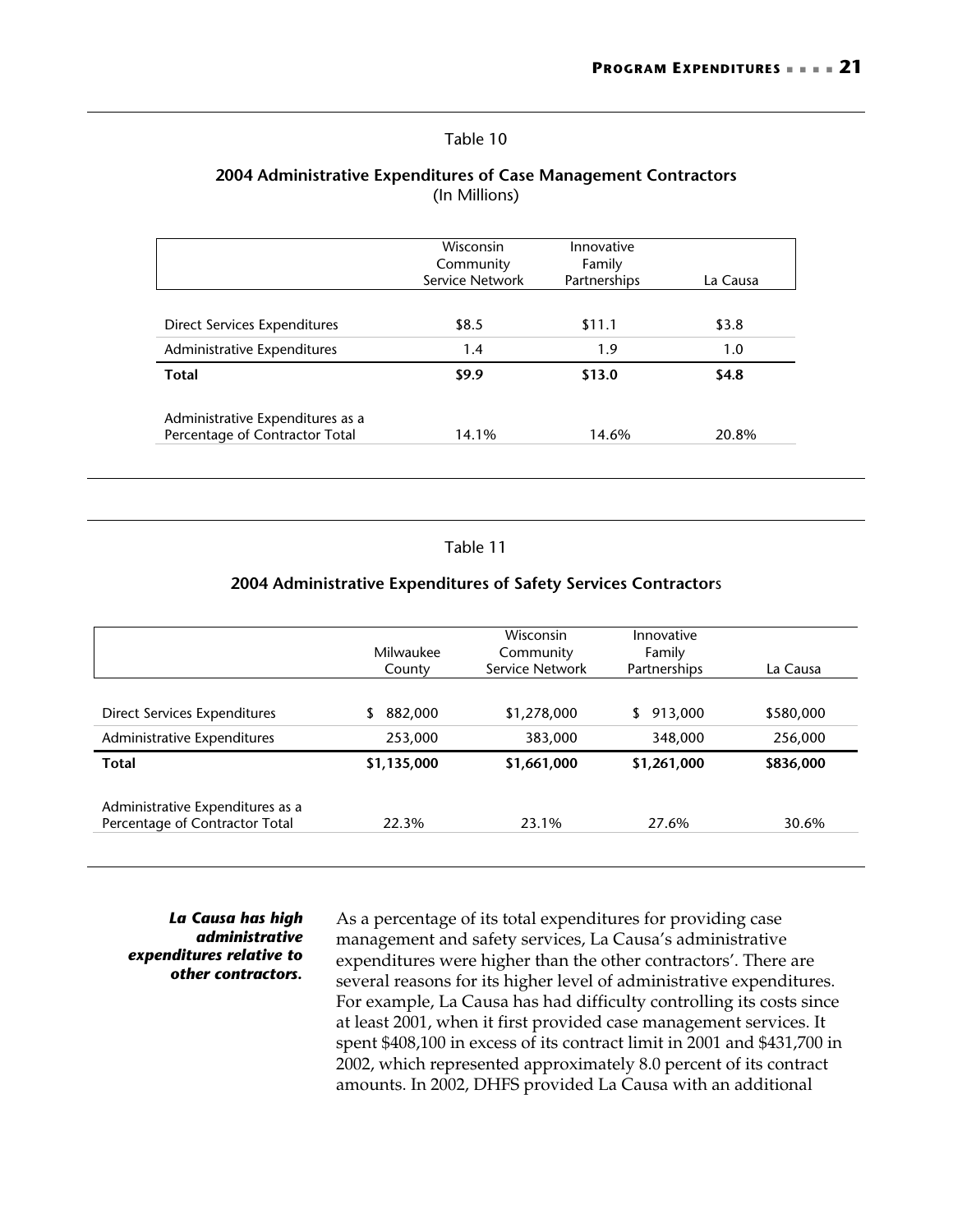#### Table 10

#### **2004 Administrative Expenditures of Case Management Contractors**  (In Millions)

|                                  | <b>Wisconsin</b><br>Community<br>Service Network | Innovative<br>Family<br>Partnerships | La Causa |
|----------------------------------|--------------------------------------------------|--------------------------------------|----------|
| Direct Services Expenditures     | \$8.5                                            | \$11.1                               | \$3.8    |
| Administrative Expenditures      | 1.4                                              | 1.9                                  | 1.0      |
| <b>Total</b>                     | \$9.9                                            | \$13.0                               | \$4.8    |
| Administrative Expenditures as a |                                                  |                                      |          |
| Percentage of Contractor Total   | 14.1%                                            | 14.6%                                | 20.8%    |

#### Table 11

#### **2004 Administrative Expenditures of Safety Services Contractor**s

|                                                                    | Milwaukee<br>County | Wisconsin<br>Community<br>Service Network | Innovative<br>Family<br>Partnerships | La Causa  |
|--------------------------------------------------------------------|---------------------|-------------------------------------------|--------------------------------------|-----------|
| Direct Services Expenditures                                       | 882,000             | \$1,278,000                               | 913,000<br>\$                        | \$580,000 |
| Administrative Expenditures                                        | 253,000             | 383,000                                   | 348,000                              | 256,000   |
| <b>Total</b>                                                       | \$1,135,000         | \$1,661,000                               | \$1,261,000                          | \$836,000 |
| Administrative Expenditures as a<br>Percentage of Contractor Total | 22.3%               | 23.1%                                     | 27.6%                                | 30.6%     |

*La Causa has high administrative expenditures relative to other contractors.* 

As a percentage of its total expenditures for providing case management and safety services, La Causa's administrative expenditures were higher than the other contractors'. There are several reasons for its higher level of administrative expenditures. For example, La Causa has had difficulty controlling its costs since at least 2001, when it first provided case management services. It spent \$408,100 in excess of its contract limit in 2001 and \$431,700 in 2002, which represented approximately 8.0 percent of its contract amounts. In 2002, DHFS provided La Causa with an additional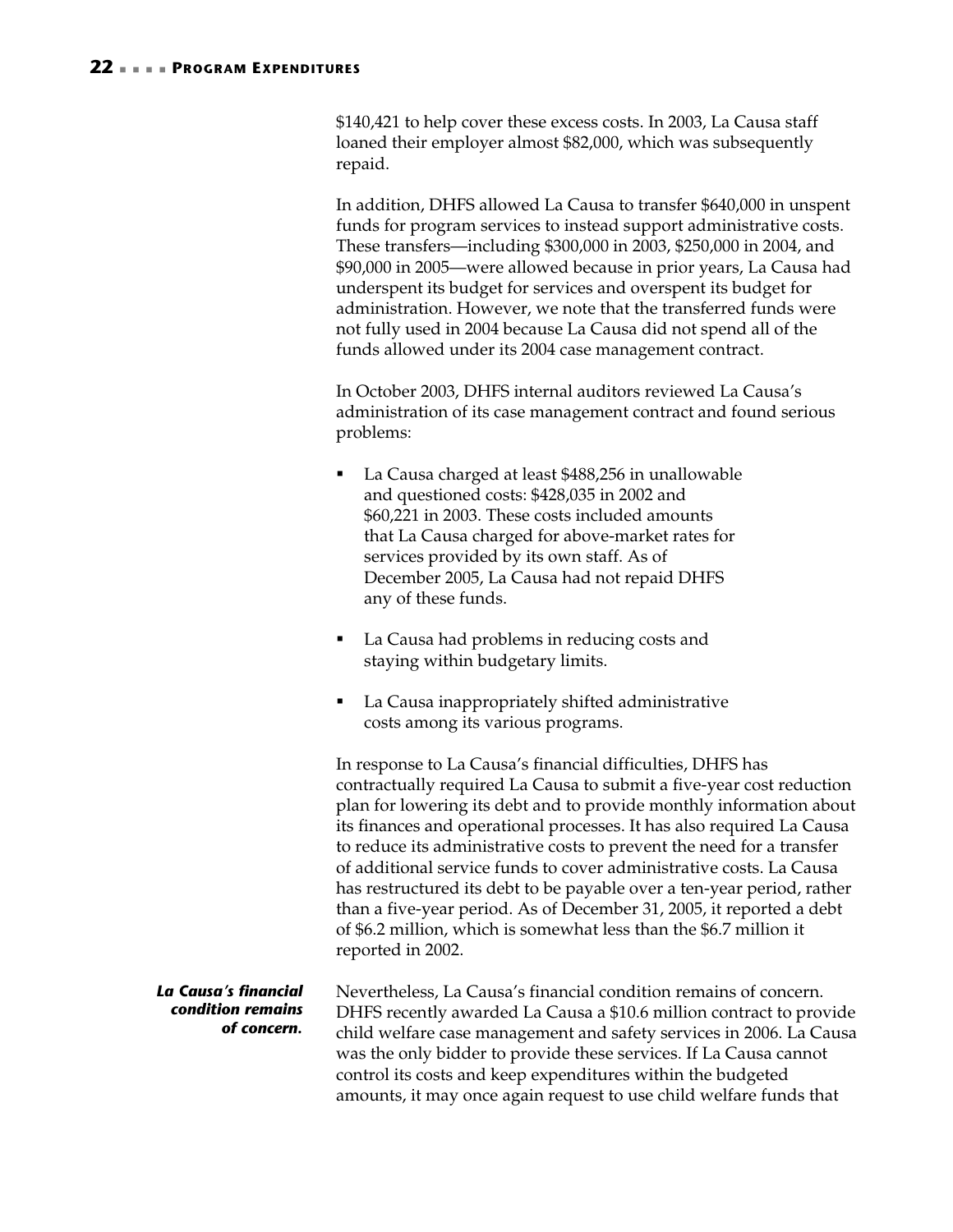\$140,421 to help cover these excess costs. In 2003, La Causa staff loaned their employer almost \$82,000, which was subsequently repaid.

In addition, DHFS allowed La Causa to transfer \$640,000 in unspent funds for program services to instead support administrative costs. These transfers—including \$300,000 in 2003, \$250,000 in 2004, and \$90,000 in 2005—were allowed because in prior years, La Causa had underspent its budget for services and overspent its budget for administration. However, we note that the transferred funds were not fully used in 2004 because La Causa did not spend all of the funds allowed under its 2004 case management contract.

In October 2003, DHFS internal auditors reviewed La Causa's administration of its case management contract and found serious problems:

- La Causa charged at least \$488,256 in unallowable and questioned costs: \$428,035 in 2002 and \$60,221 in 2003. These costs included amounts that La Causa charged for above-market rates for services provided by its own staff. As of December 2005, La Causa had not repaid DHFS any of these funds.
- La Causa had problems in reducing costs and staying within budgetary limits.
- La Causa inappropriately shifted administrative costs among its various programs.

In response to La Causa's financial difficulties, DHFS has contractually required La Causa to submit a five-year cost reduction plan for lowering its debt and to provide monthly information about its finances and operational processes. It has also required La Causa to reduce its administrative costs to prevent the need for a transfer of additional service funds to cover administrative costs. La Causa has restructured its debt to be payable over a ten-year period, rather than a five-year period. As of December 31, 2005, it reported a debt of \$6.2 million, which is somewhat less than the \$6.7 million it reported in 2002.

Nevertheless, La Causa's financial condition remains of concern. DHFS recently awarded La Causa a \$10.6 million contract to provide child welfare case management and safety services in 2006. La Causa was the only bidder to provide these services. If La Causa cannot control its costs and keep expenditures within the budgeted amounts, it may once again request to use child welfare funds that *La Causa's financial condition remains of concern.*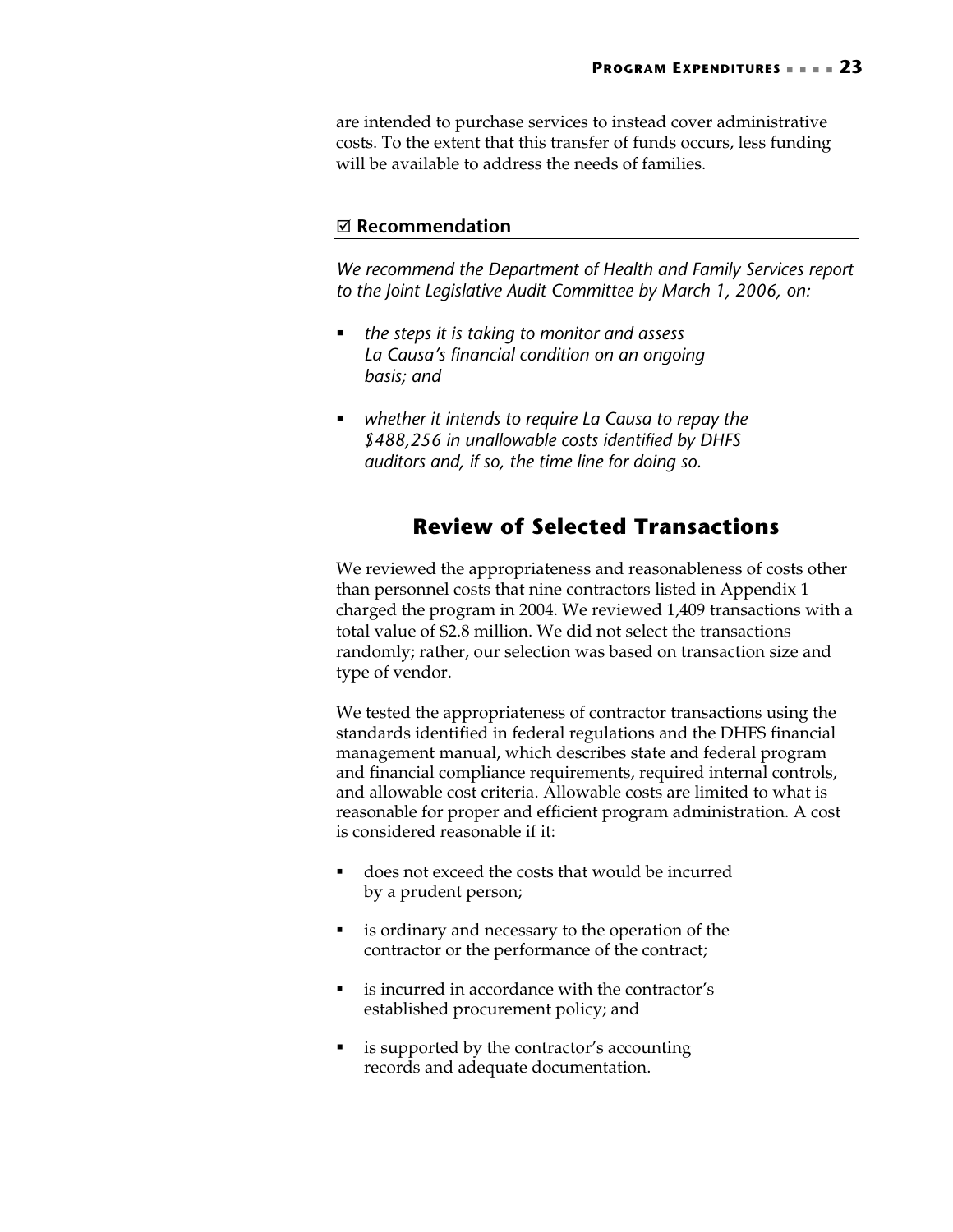are intended to purchase services to instead cover administrative costs. To the extent that this transfer of funds occurs, less funding will be available to address the needs of families.

#### ; **Recommendation**

*We recommend the Department of Health and Family Services report to the Joint Legislative Audit Committee by March 1, 2006, on:* 

- *the steps it is taking to monitor and assess La Causa's financial condition on an ongoing basis; and*
- *whether it intends to require La Causa to repay the \$488,256 in unallowable costs identified by DHFS auditors and, if so, the time line for doing so.*

# **Review of Selected Transactions**

We reviewed the appropriateness and reasonableness of costs other than personnel costs that nine contractors listed in Appendix 1 charged the program in 2004. We reviewed 1,409 transactions with a total value of \$2.8 million. We did not select the transactions randomly; rather, our selection was based on transaction size and type of vendor.

We tested the appropriateness of contractor transactions using the standards identified in federal regulations and the DHFS financial management manual, which describes state and federal program and financial compliance requirements, required internal controls, and allowable cost criteria. Allowable costs are limited to what is reasonable for proper and efficient program administration. A cost is considered reasonable if it:

- does not exceed the costs that would be incurred by a prudent person;
- is ordinary and necessary to the operation of the contractor or the performance of the contract;
- is incurred in accordance with the contractor's established procurement policy; and
- is supported by the contractor's accounting records and adequate documentation.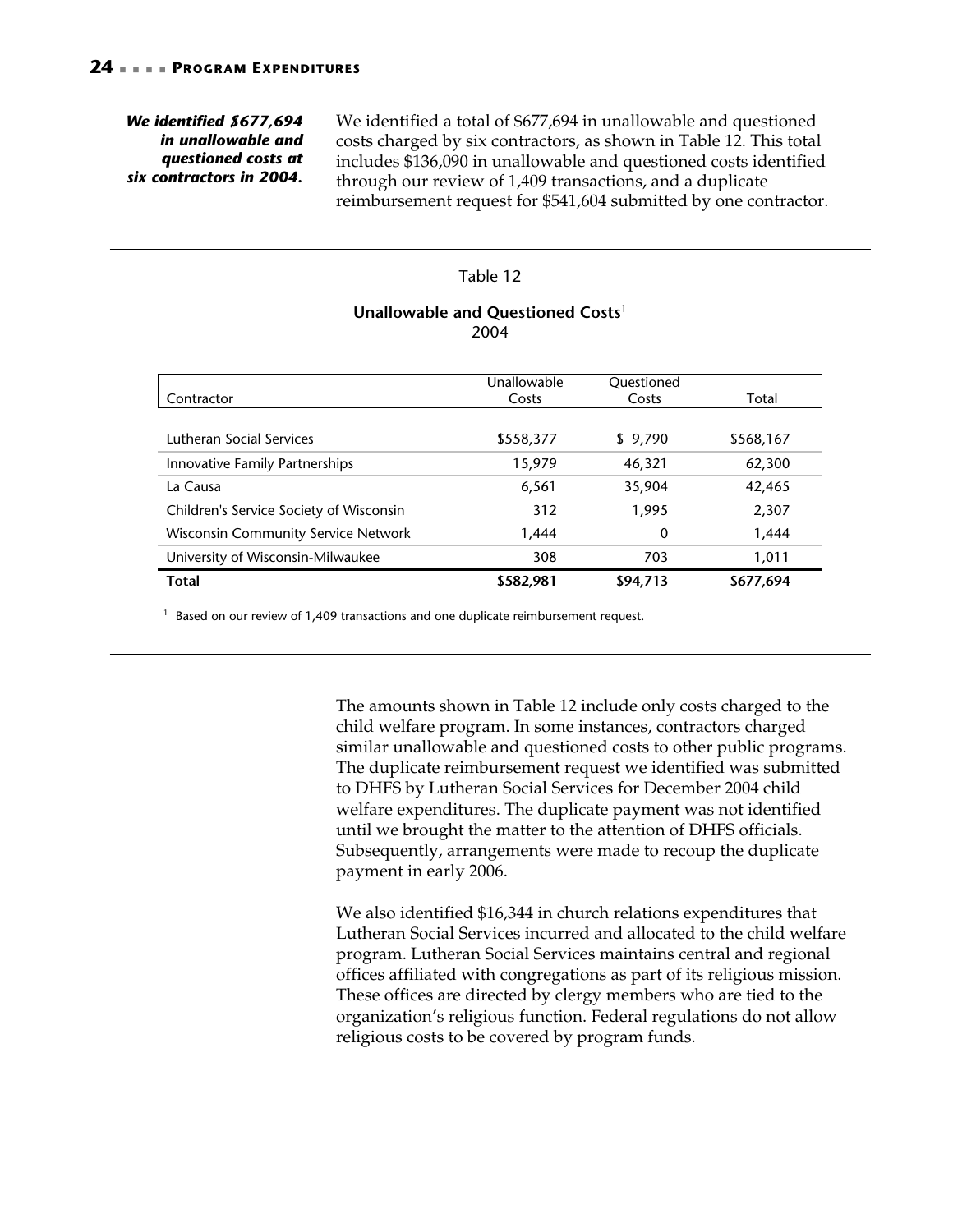#### *We identified \$677,694 in unallowable and questioned costs at six contractors in 2004.*

We identified a total of \$677,694 in unallowable and questioned costs charged by six contractors, as shown in Table 12. This total includes \$136,090 in unallowable and questioned costs identified through our review of 1,409 transactions, and a duplicate reimbursement request for \$541,604 submitted by one contractor.

#### Table 12

#### **Unallowable and Questioned Costs**<sup>1</sup> 2004

|                                            | Unallowable | Questioned |           |
|--------------------------------------------|-------------|------------|-----------|
| Contractor                                 | Costs       | Costs      | Total     |
|                                            |             |            |           |
| Lutheran Social Services                   | \$558,377   | \$9,790    | \$568,167 |
| Innovative Family Partnerships             | 15,979      | 46,321     | 62,300    |
| La Causa                                   | 6,561       | 35,904     | 42,465    |
| Children's Service Society of Wisconsin    | 312         | 1,995      | 2,307     |
| <b>Wisconsin Community Service Network</b> | 1,444       | 0          | 1,444     |
| University of Wisconsin-Milwaukee          | 308         | 703        | 1,011     |
| <b>Total</b>                               | \$582,981   | \$94,713   | \$677,694 |

 $1$  Based on our review of 1,409 transactions and one duplicate reimbursement request.

The amounts shown in Table 12 include only costs charged to the child welfare program. In some instances, contractors charged similar unallowable and questioned costs to other public programs. The duplicate reimbursement request we identified was submitted to DHFS by Lutheran Social Services for December 2004 child welfare expenditures. The duplicate payment was not identified until we brought the matter to the attention of DHFS officials. Subsequently, arrangements were made to recoup the duplicate payment in early 2006.

We also identified \$16,344 in church relations expenditures that Lutheran Social Services incurred and allocated to the child welfare program. Lutheran Social Services maintains central and regional offices affiliated with congregations as part of its religious mission. These offices are directed by clergy members who are tied to the organization's religious function. Federal regulations do not allow religious costs to be covered by program funds.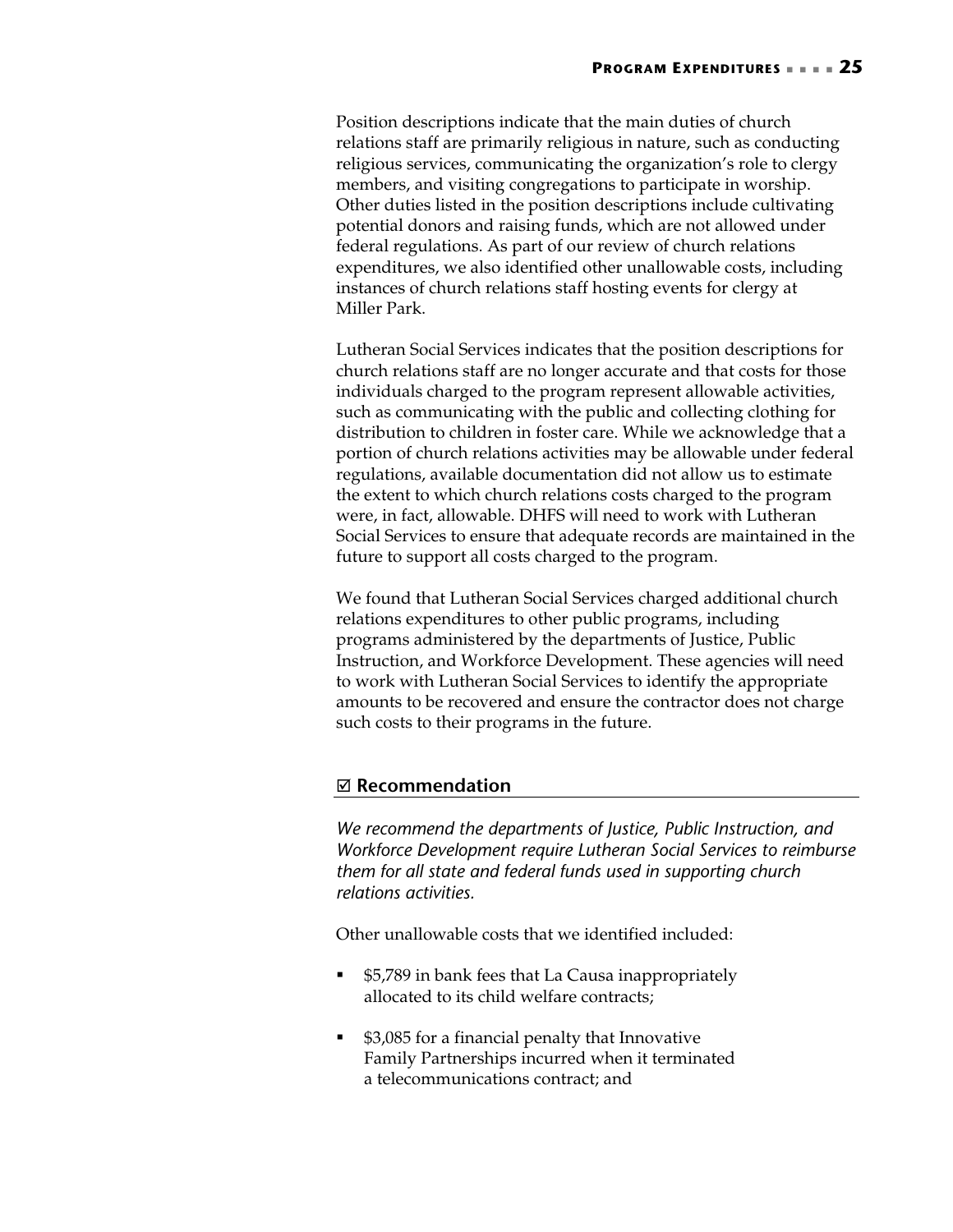Position descriptions indicate that the main duties of church relations staff are primarily religious in nature, such as conducting religious services, communicating the organization's role to clergy members, and visiting congregations to participate in worship. Other duties listed in the position descriptions include cultivating potential donors and raising funds, which are not allowed under federal regulations. As part of our review of church relations expenditures, we also identified other unallowable costs, including instances of church relations staff hosting events for clergy at Miller Park.

Lutheran Social Services indicates that the position descriptions for church relations staff are no longer accurate and that costs for those individuals charged to the program represent allowable activities, such as communicating with the public and collecting clothing for distribution to children in foster care. While we acknowledge that a portion of church relations activities may be allowable under federal regulations, available documentation did not allow us to estimate the extent to which church relations costs charged to the program were, in fact, allowable. DHFS will need to work with Lutheran Social Services to ensure that adequate records are maintained in the future to support all costs charged to the program.

We found that Lutheran Social Services charged additional church relations expenditures to other public programs, including programs administered by the departments of Justice, Public Instruction, and Workforce Development. These agencies will need to work with Lutheran Social Services to identify the appropriate amounts to be recovered and ensure the contractor does not charge such costs to their programs in the future.

### ; **Recommendation**

*We recommend the departments of Justice, Public Instruction, and Workforce Development require Lutheran Social Services to reimburse them for all state and federal funds used in supporting church relations activities.* 

Other unallowable costs that we identified included:

- **55,789** in bank fees that La Causa inappropriately allocated to its child welfare contracts;
- \$3,085 for a financial penalty that Innovative Family Partnerships incurred when it terminated a telecommunications contract; and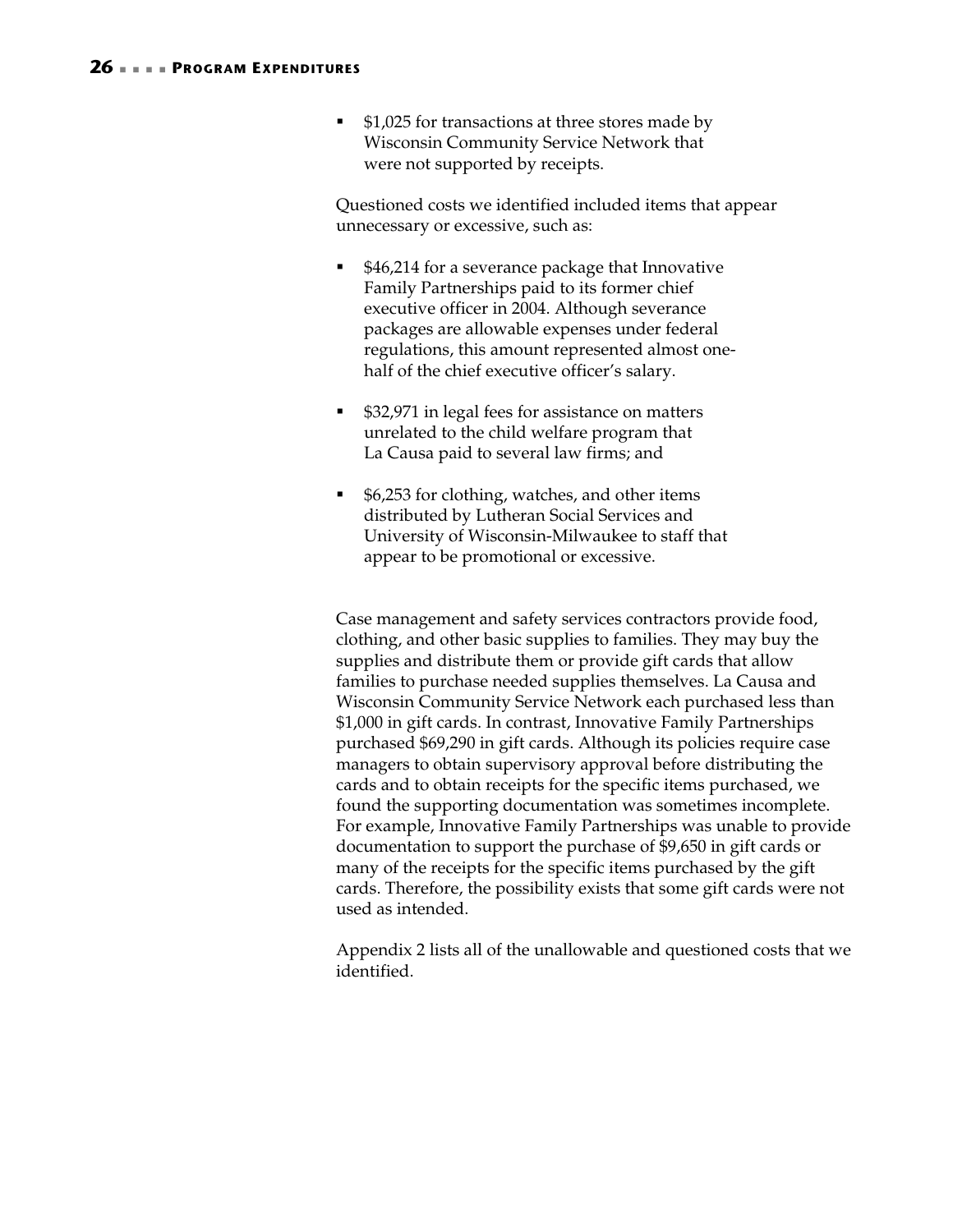■ \$1,025 for transactions at three stores made by Wisconsin Community Service Network that were not supported by receipts.

Questioned costs we identified included items that appear unnecessary or excessive, such as:

- \$46,214 for a severance package that Innovative Family Partnerships paid to its former chief executive officer in 2004. Although severance packages are allowable expenses under federal regulations, this amount represented almost onehalf of the chief executive officer's salary.
- \$32,971 in legal fees for assistance on matters unrelated to the child welfare program that La Causa paid to several law firms; and
- \$6,253 for clothing, watches, and other items distributed by Lutheran Social Services and University of Wisconsin-Milwaukee to staff that appear to be promotional or excessive.

Case management and safety services contractors provide food, clothing, and other basic supplies to families. They may buy the supplies and distribute them or provide gift cards that allow families to purchase needed supplies themselves. La Causa and Wisconsin Community Service Network each purchased less than \$1,000 in gift cards. In contrast, Innovative Family Partnerships purchased \$69,290 in gift cards. Although its policies require case managers to obtain supervisory approval before distributing the cards and to obtain receipts for the specific items purchased, we found the supporting documentation was sometimes incomplete. For example, Innovative Family Partnerships was unable to provide documentation to support the purchase of \$9,650 in gift cards or many of the receipts for the specific items purchased by the gift cards. Therefore, the possibility exists that some gift cards were not used as intended.

Appendix 2 lists all of the unallowable and questioned costs that we identified.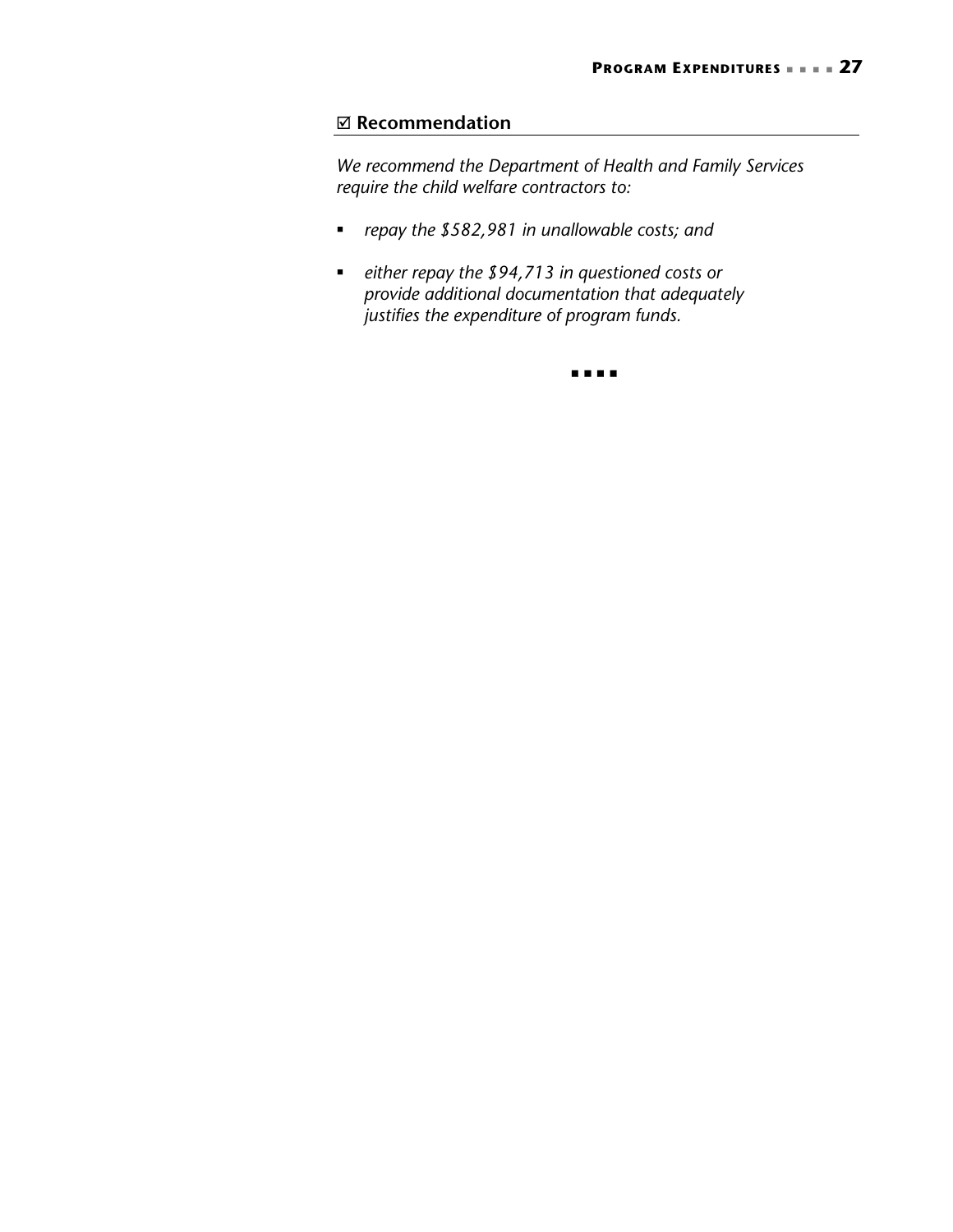#### ; **Recommendation**

*We recommend the Department of Health and Family Services require the child welfare contractors to:* 

- *repay the \$582,981 in unallowable costs; and*
- *either repay the \$94,713 in questioned costs or provide additional documentation that adequately justifies the expenditure of program funds.*

 $\begin{array}{ccccccccccccc} \bullet & \bullet & \bullet & \bullet & \bullet & \bullet & \bullet \end{array}$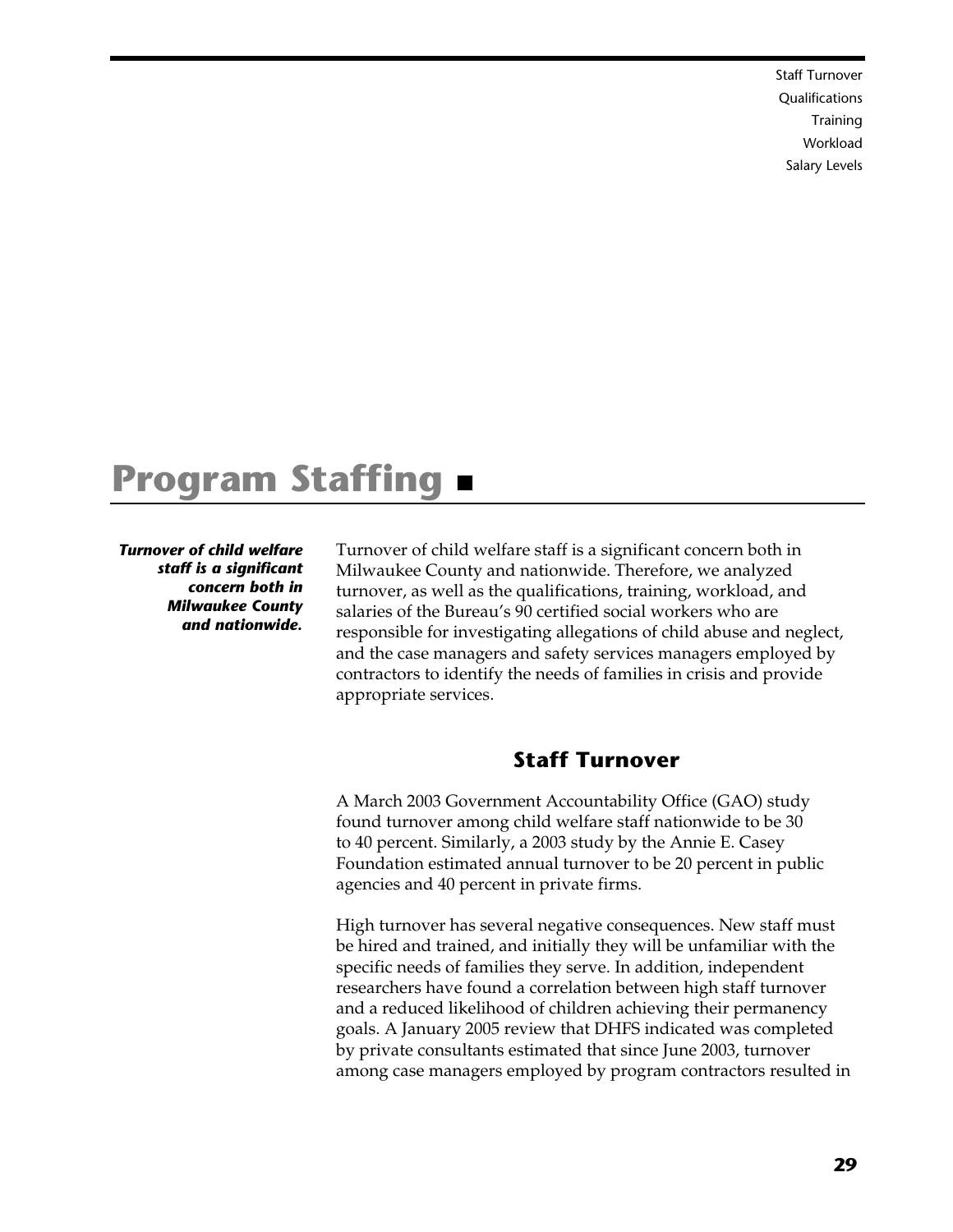Staff Turnover Qualifications **Training**  Workload Salary Levels

# **Program Staffing**

*Turnover of child welfare staff is a significant concern both in Milwaukee County and nationwide.* 

Turnover of child welfare staff is a significant concern both in Milwaukee County and nationwide. Therefore, we analyzed turnover, as well as the qualifications, training, workload, and salaries of the Bureau's 90 certified social workers who are responsible for investigating allegations of child abuse and neglect, and the case managers and safety services managers employed by contractors to identify the needs of families in crisis and provide appropriate services.

# **Staff Turnover**

A March 2003 Government Accountability Office (GAO) study found turnover among child welfare staff nationwide to be 30 to 40 percent. Similarly, a 2003 study by the Annie E. Casey Foundation estimated annual turnover to be 20 percent in public agencies and 40 percent in private firms.

High turnover has several negative consequences. New staff must be hired and trained, and initially they will be unfamiliar with the specific needs of families they serve. In addition, independent researchers have found a correlation between high staff turnover and a reduced likelihood of children achieving their permanency goals. A January 2005 review that DHFS indicated was completed by private consultants estimated that since June 2003, turnover among case managers employed by program contractors resulted in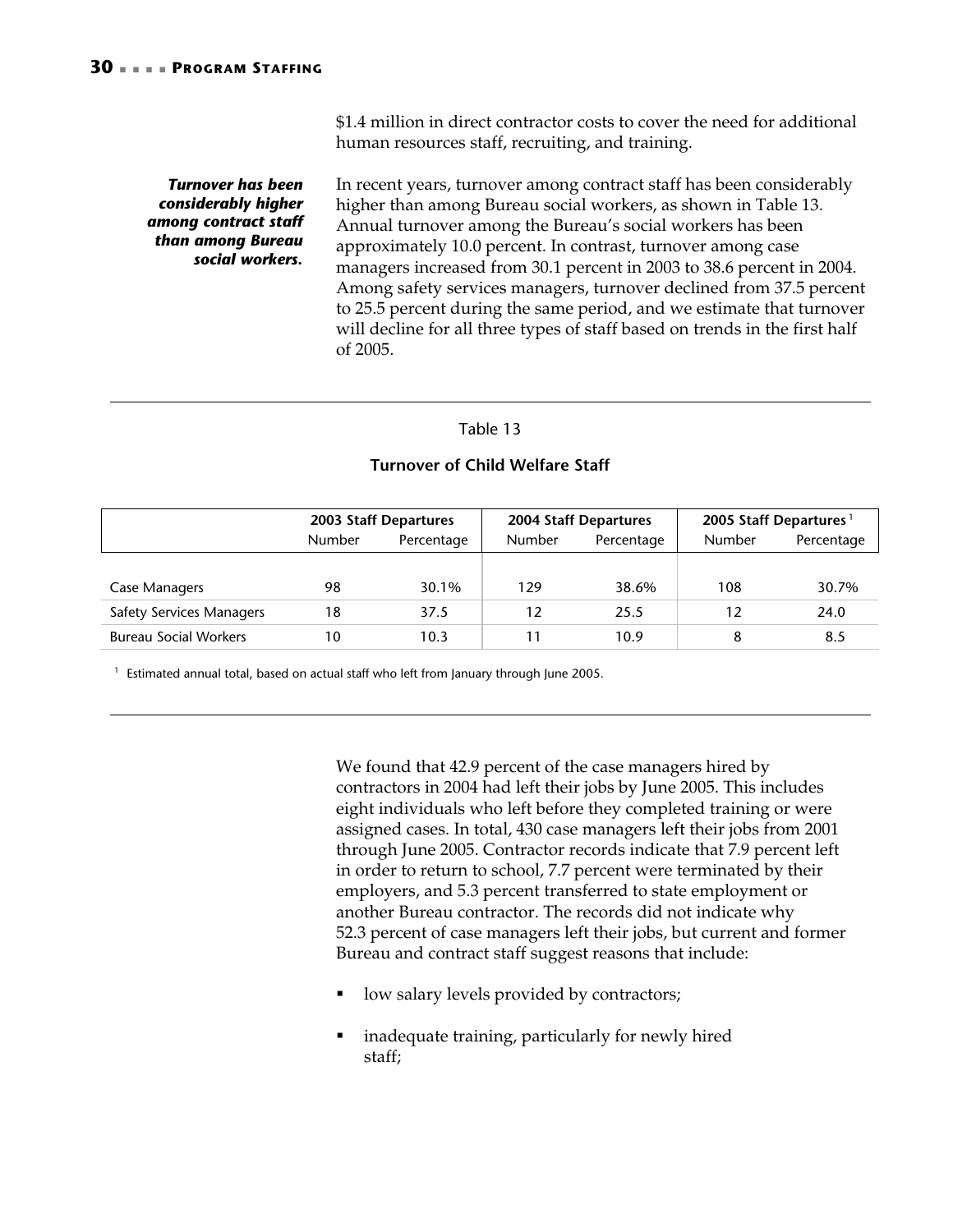\$1.4 million in direct contractor costs to cover the need for additional human resources staff, recruiting, and training.

#### *Turnover has been considerably higher among contract staff than among Bureau social workers.*

In recent years, turnover among contract staff has been considerably higher than among Bureau social workers, as shown in Table 13. Annual turnover among the Bureau's social workers has been approximately 10.0 percent. In contrast, turnover among case managers increased from 30.1 percent in 2003 to 38.6 percent in 2004. Among safety services managers, turnover declined from 37.5 percent to 25.5 percent during the same period, and we estimate that turnover will decline for all three types of staff based on trends in the first half of 2005.

#### Table 13

#### **Turnover of Child Welfare Staff**

|                                 | <b>2003 Staff Departures</b> |            |                             | 2004 Staff Departures | 2005 Staff Departures <sup>1</sup> |            |
|---------------------------------|------------------------------|------------|-----------------------------|-----------------------|------------------------------------|------------|
|                                 | <b>Number</b>                | Percentage | <b>Number</b><br>Percentage |                       | <b>Number</b>                      | Percentage |
|                                 |                              |            |                             |                       |                                    |            |
| Case Managers                   | 98                           | 30.1%      | 129                         | 38.6%                 | 108                                | 30.7%      |
| <b>Safety Services Managers</b> | 18                           | 37.5       | 12                          | 25.5                  | 12                                 | 24.0       |
| <b>Bureau Social Workers</b>    | 10                           | 10.3       | 11                          | 10.9                  | 8                                  | 8.5        |

 $1$  Estimated annual total, based on actual staff who left from January through June 2005.

We found that 42.9 percent of the case managers hired by contractors in 2004 had left their jobs by June 2005. This includes eight individuals who left before they completed training or were assigned cases. In total, 430 case managers left their jobs from 2001 through June 2005. Contractor records indicate that 7.9 percent left in order to return to school, 7.7 percent were terminated by their employers, and 5.3 percent transferred to state employment or another Bureau contractor. The records did not indicate why 52.3 percent of case managers left their jobs, but current and former Bureau and contract staff suggest reasons that include:

- low salary levels provided by contractors;
- inadequate training, particularly for newly hired staff;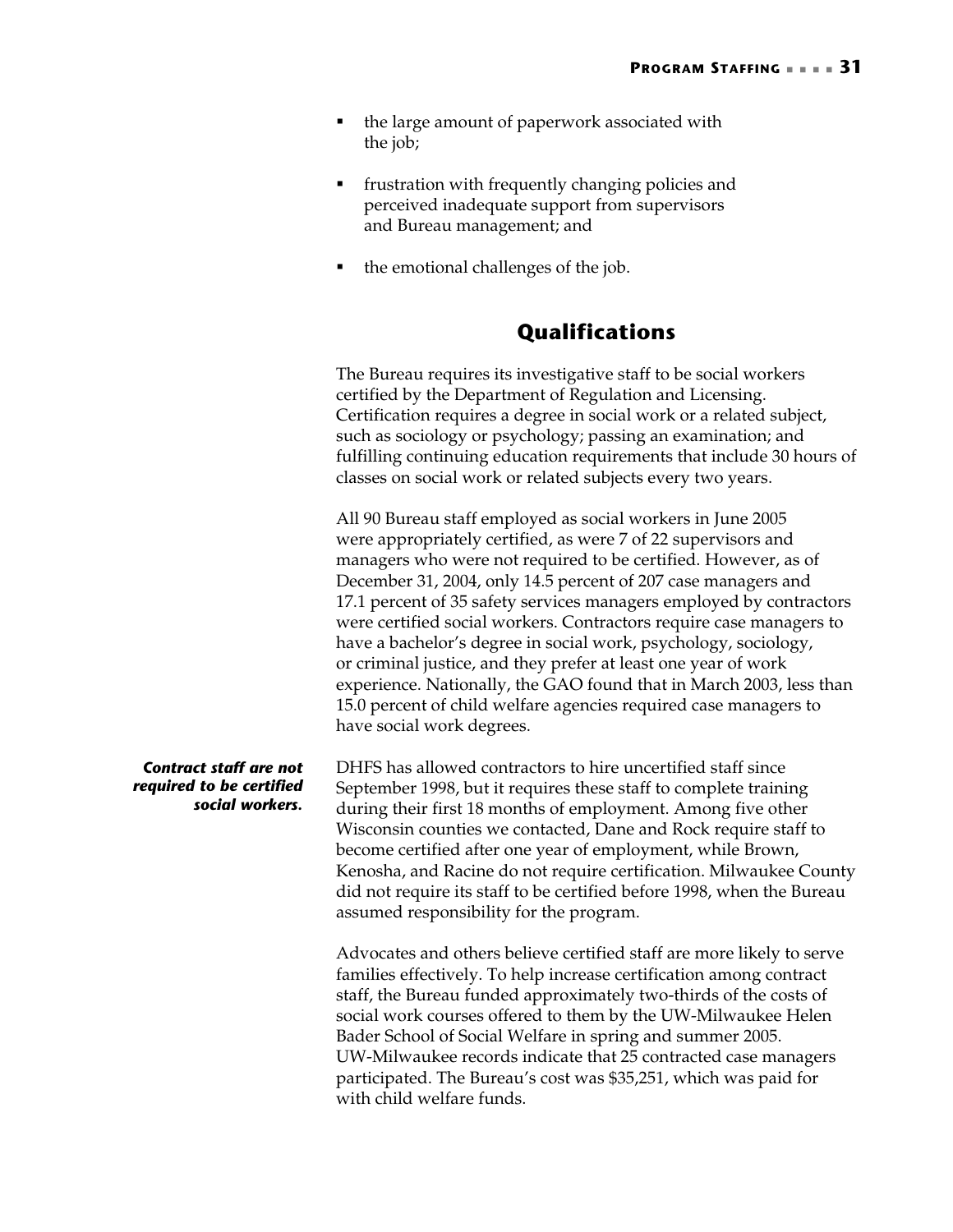- the large amount of paperwork associated with the job;
- **Figure 1** frustration with frequently changing policies and perceived inadequate support from supervisors and Bureau management; and
- the emotional challenges of the job.

# **Qualifications**

The Bureau requires its investigative staff to be social workers certified by the Department of Regulation and Licensing. Certification requires a degree in social work or a related subject, such as sociology or psychology; passing an examination; and fulfilling continuing education requirements that include 30 hours of classes on social work or related subjects every two years.

All 90 Bureau staff employed as social workers in June 2005 were appropriately certified, as were 7 of 22 supervisors and managers who were not required to be certified. However, as of December 31, 2004, only 14.5 percent of 207 case managers and 17.1 percent of 35 safety services managers employed by contractors were certified social workers. Contractors require case managers to have a bachelor's degree in social work, psychology, sociology, or criminal justice, and they prefer at least one year of work experience. Nationally, the GAO found that in March 2003, less than 15.0 percent of child welfare agencies required case managers to have social work degrees.

DHFS has allowed contractors to hire uncertified staff since September 1998, but it requires these staff to complete training during their first 18 months of employment. Among five other Wisconsin counties we contacted, Dane and Rock require staff to become certified after one year of employment, while Brown, Kenosha, and Racine do not require certification. Milwaukee County did not require its staff to be certified before 1998, when the Bureau

assumed responsibility for the program.

Advocates and others believe certified staff are more likely to serve families effectively. To help increase certification among contract staff, the Bureau funded approximately two-thirds of the costs of social work courses offered to them by the UW-Milwaukee Helen Bader School of Social Welfare in spring and summer 2005. UW-Milwaukee records indicate that 25 contracted case managers participated. The Bureau's cost was \$35,251, which was paid for with child welfare funds.

#### *Contract staff are not required to be certified social workers.*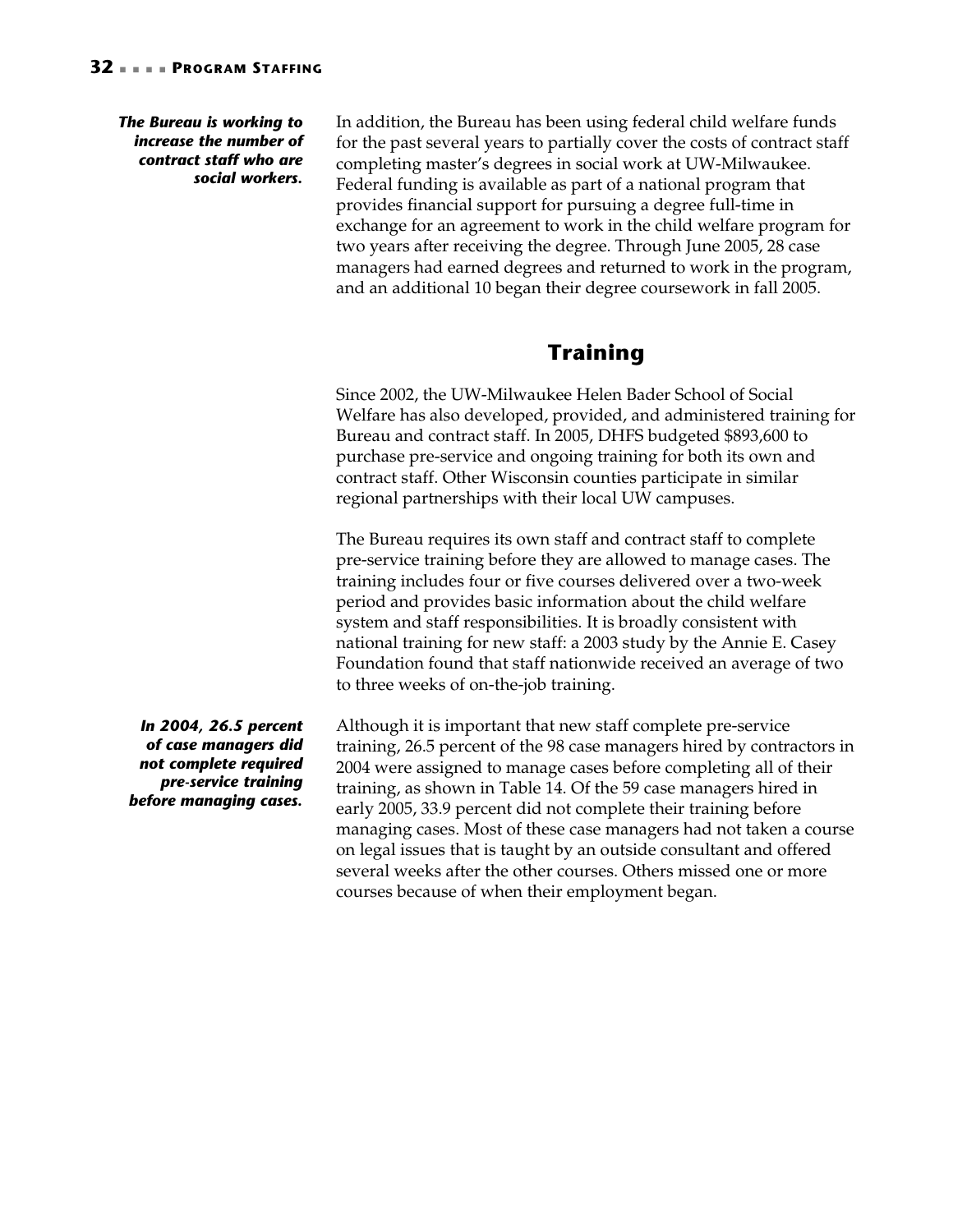#### *The Bureau is working to increase the number of contract staff who are social workers.*

In addition, the Bureau has been using federal child welfare funds for the past several years to partially cover the costs of contract staff completing master's degrees in social work at UW-Milwaukee. Federal funding is available as part of a national program that provides financial support for pursuing a degree full-time in exchange for an agreement to work in the child welfare program for two years after receiving the degree. Through June 2005, 28 case managers had earned degrees and returned to work in the program, and an additional 10 began their degree coursework in fall 2005.

# **Training**

Since 2002, the UW-Milwaukee Helen Bader School of Social Welfare has also developed, provided, and administered training for Bureau and contract staff. In 2005, DHFS budgeted \$893,600 to purchase pre-service and ongoing training for both its own and contract staff. Other Wisconsin counties participate in similar regional partnerships with their local UW campuses.

The Bureau requires its own staff and contract staff to complete pre-service training before they are allowed to manage cases. The training includes four or five courses delivered over a two-week period and provides basic information about the child welfare system and staff responsibilities. It is broadly consistent with national training for new staff: a 2003 study by the Annie E. Casey Foundation found that staff nationwide received an average of two to three weeks of on-the-job training.

*In 2004, 26.5 percent of case managers did not complete required pre-service training before managing cases.* 

Although it is important that new staff complete pre-service training, 26.5 percent of the 98 case managers hired by contractors in 2004 were assigned to manage cases before completing all of their training, as shown in Table 14. Of the 59 case managers hired in early 2005, 33.9 percent did not complete their training before managing cases. Most of these case managers had not taken a course on legal issues that is taught by an outside consultant and offered several weeks after the other courses. Others missed one or more courses because of when their employment began.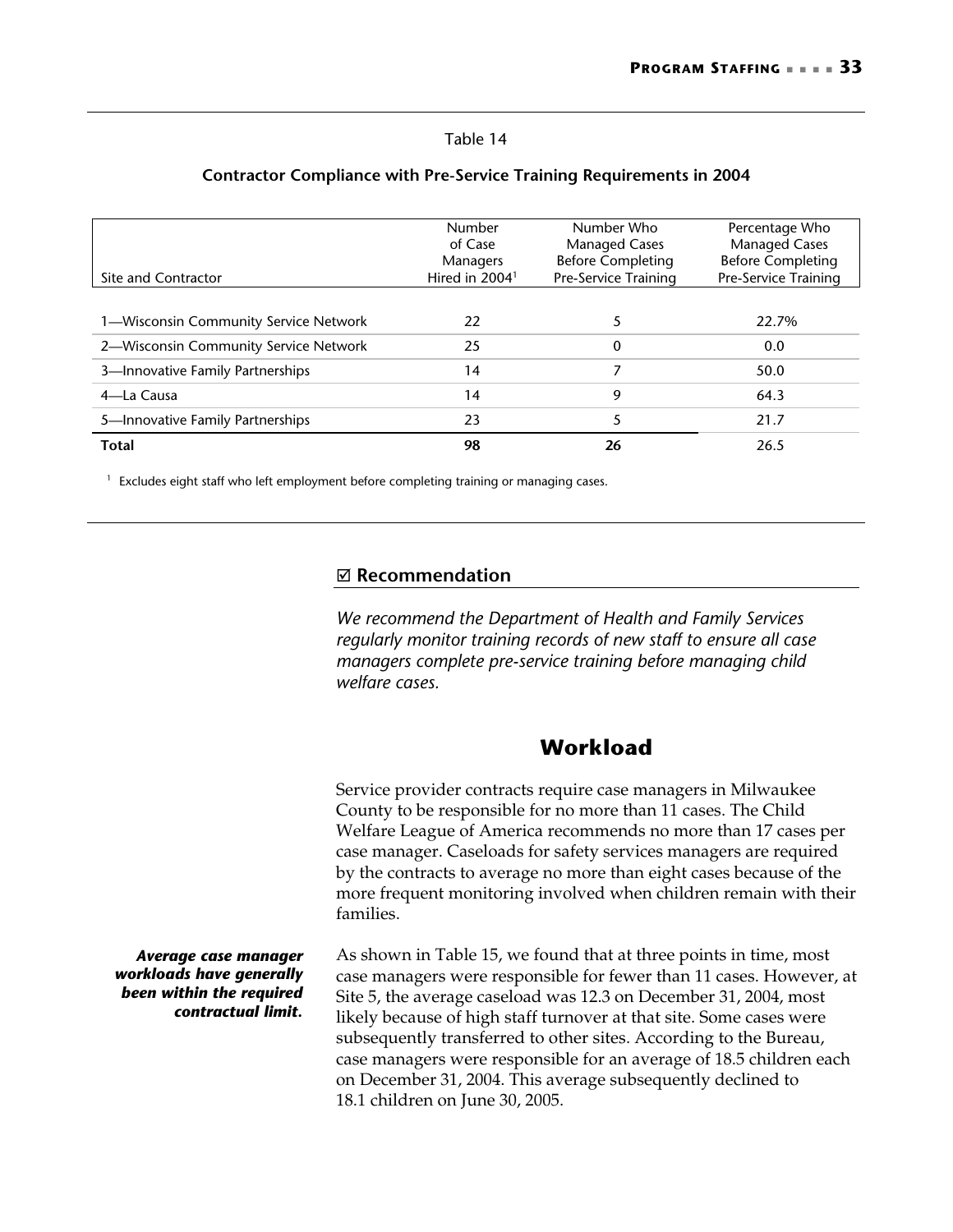#### Table 14

| Site and Contractor                   | Number<br>of Case<br><b>Managers</b><br>Hired in $20041$ | Number Who<br><b>Managed Cases</b><br><b>Before Completing</b><br>Pre-Service Training | Percentage Who<br><b>Managed Cases</b><br><b>Before Completing</b><br>Pre-Service Training |
|---------------------------------------|----------------------------------------------------------|----------------------------------------------------------------------------------------|--------------------------------------------------------------------------------------------|
| 1—Wisconsin Community Service Network | 22                                                       |                                                                                        | 22.7%                                                                                      |
| 2-Wisconsin Community Service Network | 25                                                       | 0                                                                                      | 0.0                                                                                        |
| 3-Innovative Family Partnerships      | 14                                                       |                                                                                        | 50.0                                                                                       |
| 4-La Causa                            | 14                                                       | 9                                                                                      | 64.3                                                                                       |
| 5-Innovative Family Partnerships      | 23                                                       |                                                                                        | 21.7                                                                                       |
| <b>Total</b>                          | 98                                                       | 26                                                                                     | 26.5                                                                                       |

#### **Contractor Compliance with Pre-Service Training Requirements in 2004**

<sup>1</sup> Excludes eight staff who left employment before completing training or managing cases.

#### ; **Recommendation**

*We recommend the Department of Health and Family Services regularly monitor training records of new staff to ensure all case managers complete pre-service training before managing child welfare cases.* 

# **Workload**

Service provider contracts require case managers in Milwaukee County to be responsible for no more than 11 cases. The Child Welfare League of America recommends no more than 17 cases per case manager. Caseloads for safety services managers are required by the contracts to average no more than eight cases because of the more frequent monitoring involved when children remain with their families.

*Average case manager workloads have generally been within the required contractual limit.* 

As shown in Table 15, we found that at three points in time, most case managers were responsible for fewer than 11 cases. However, at Site 5, the average caseload was 12.3 on December 31, 2004, most likely because of high staff turnover at that site. Some cases were subsequently transferred to other sites. According to the Bureau, case managers were responsible for an average of 18.5 children each on December 31, 2004. This average subsequently declined to 18.1 children on June 30, 2005.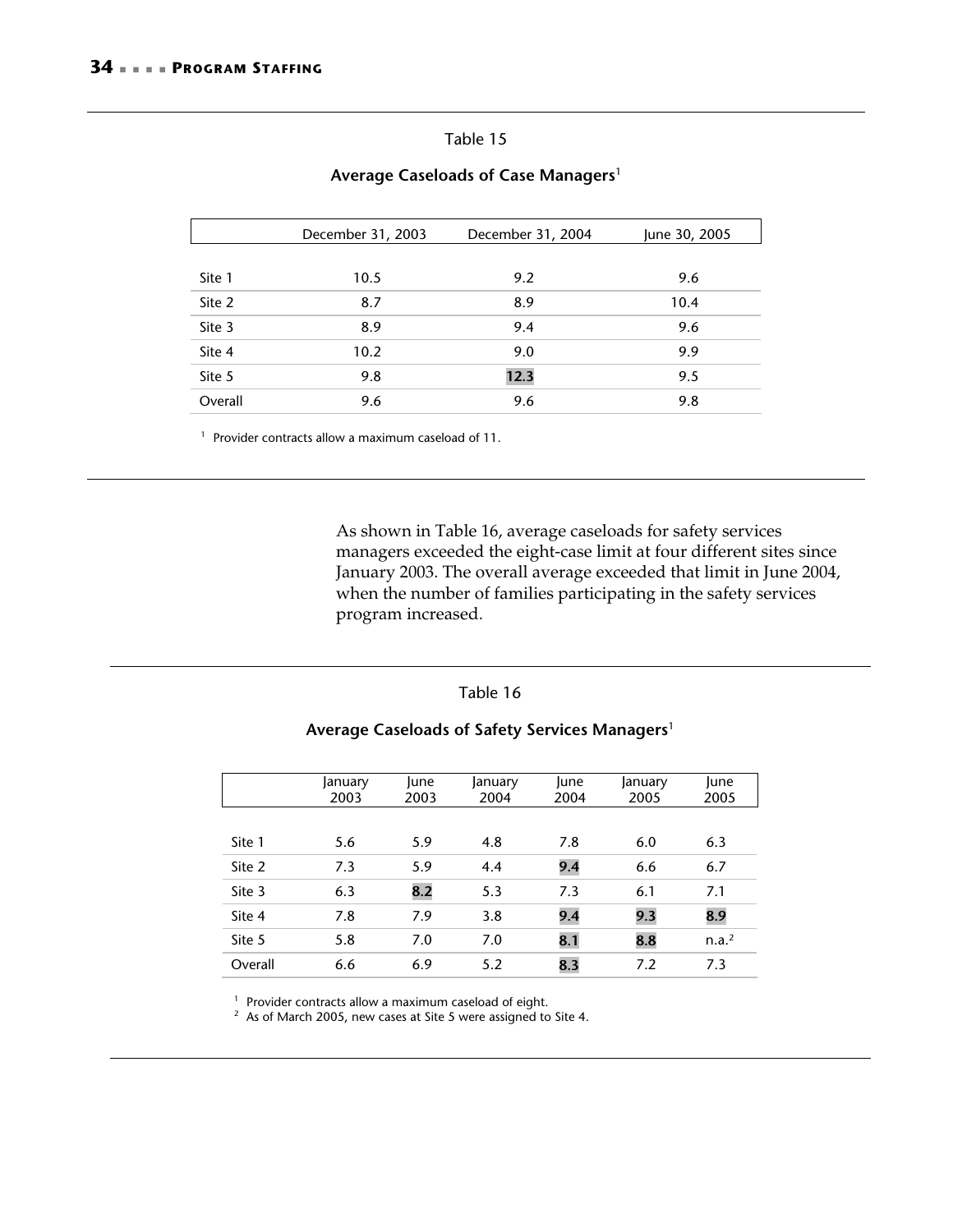|         | December 31, 2003 | December 31, 2004 | June 30, 2005 |
|---------|-------------------|-------------------|---------------|
|         |                   |                   |               |
| Site 1  | 10.5              | 9.2               | 9.6           |
| Site 2  | 8.7               | 8.9               | 10.4          |
| Site 3  | 8.9               | 9.4               | 9.6           |
| Site 4  | 10.2              | 9.0               | 9.9           |
| Site 5  | 9.8               | 12.3              | 9.5           |
| Overall | 9.6               | 9.6               | 9.8           |

#### **Average Caseloads of Case Managers**<sup>1</sup>

<sup>1</sup> Provider contracts allow a maximum caseload of 11.

As shown in Table 16, average caseloads for safety services managers exceeded the eight-case limit at four different sites since January 2003. The overall average exceeded that limit in June 2004, when the number of families participating in the safety services program increased.

#### Table 16

#### **Average Caseloads of Safety Services Managers**<sup>1</sup>

|         | January<br>2003 | lune<br>2003 | January<br>2004 | lune<br>2004 | January<br>2005 | lune<br>2005      |
|---------|-----------------|--------------|-----------------|--------------|-----------------|-------------------|
|         |                 |              |                 |              |                 |                   |
| Site 1  | 5.6             | 5.9          | 4.8             | 7.8          | 6.0             | 6.3               |
| Site 2  | 7.3             | 5.9          | 4.4             | 9.4          | 6.6             | 6.7               |
| Site 3  | 6.3             | 8.2          | 5.3             | 7.3          | 6.1             | 7.1               |
| Site 4  | 7.8             | 7.9          | 3.8             | 9.4          | 9.3             | 8.9               |
| Site 5  | 5.8             | 7.0          | 7.0             | 8.1          | 8.8             | n.a. <sup>2</sup> |
| Overall | 6.6             | 6.9          | 5.2             | 8.3          | 7.2             | 7.3               |

<sup>1</sup> Provider contracts allow a maximum caseload of eight.<br><sup>2</sup> As of March 2005, new cases at Site 5 were assigned to Site 4.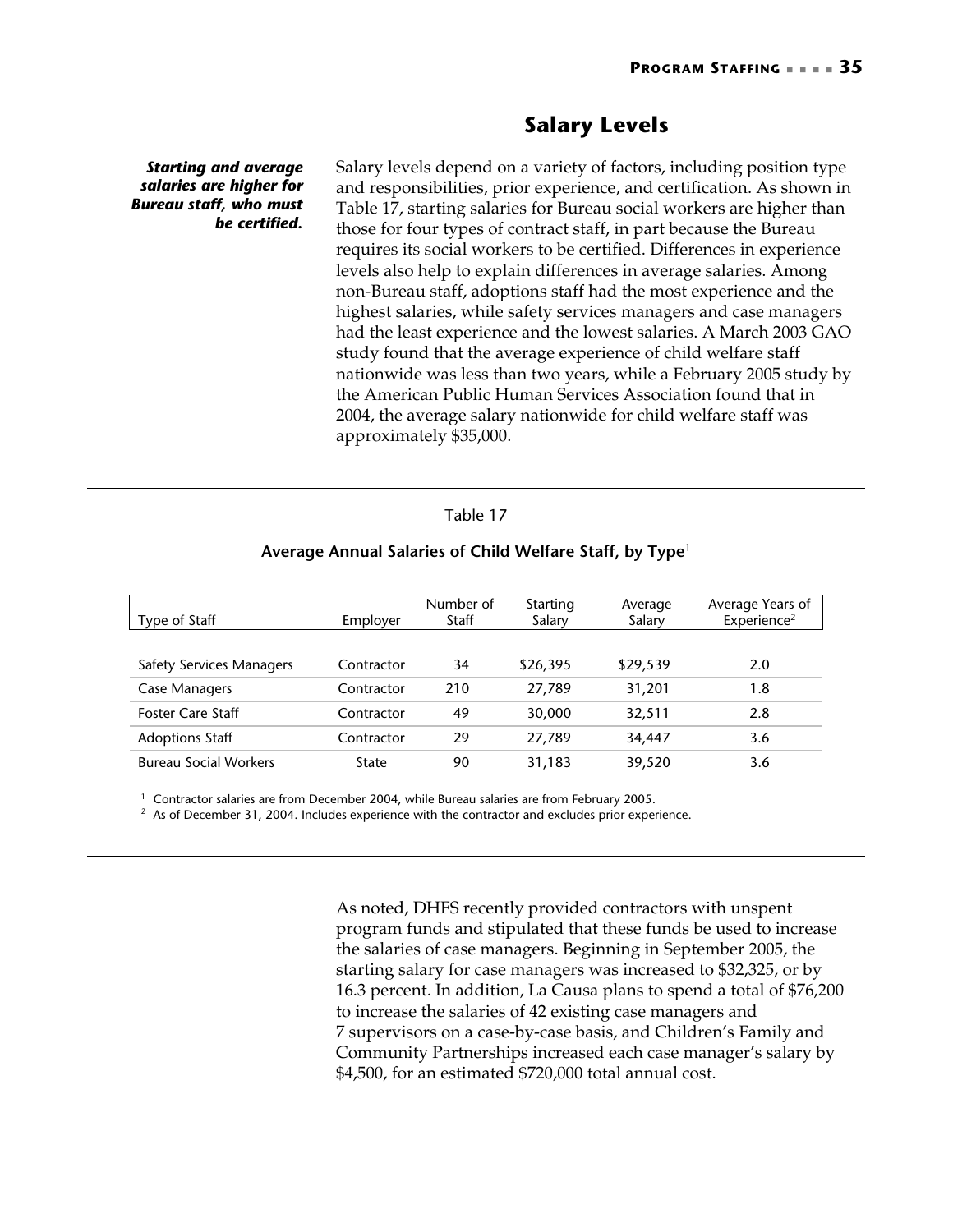# **Salary Levels**

*Starting and average salaries are higher for Bureau staff, who must be certified.* 

Salary levels depend on a variety of factors, including position type and responsibilities, prior experience, and certification. As shown in Table 17, starting salaries for Bureau social workers are higher than those for four types of contract staff, in part because the Bureau requires its social workers to be certified. Differences in experience levels also help to explain differences in average salaries. Among non-Bureau staff, adoptions staff had the most experience and the highest salaries, while safety services managers and case managers had the least experience and the lowest salaries. A March 2003 GAO study found that the average experience of child welfare staff nationwide was less than two years, while a February 2005 study by the American Public Human Services Association found that in 2004, the average salary nationwide for child welfare staff was approximately \$35,000.

#### Table 17

| Type of Staff                | Employer     | Number of<br><b>Staff</b> | Starting<br>Salary | Average<br>Salary | Average Years of<br>Experience <sup>2</sup> |
|------------------------------|--------------|---------------------------|--------------------|-------------------|---------------------------------------------|
|                              |              |                           |                    |                   |                                             |
| Safety Services Managers     | Contractor   | 34                        | \$26,395           | \$29,539          | 2.0                                         |
| Case Managers                | Contractor   | 210                       | 27,789             | 31,201            | 1.8                                         |
| <b>Foster Care Staff</b>     | Contractor   | 49                        | 30,000             | 32,511            | 2.8                                         |
| <b>Adoptions Staff</b>       | Contractor   | 29                        | 27,789             | 34,447            | 3.6                                         |
| <b>Bureau Social Workers</b> | <b>State</b> | 90                        | 31,183             | 39,520            | 3.6                                         |

#### **Average Annual Salaries of Child Welfare Staff, by Type**<sup>1</sup>

<sup>1</sup> Contractor salaries are from December 2004, while Bureau salaries are from February 2005.<br><sup>2</sup> As of December 31, 2004. Includes experience with the contractor and excludes prior experience.

As noted, DHFS recently provided contractors with unspent program funds and stipulated that these funds be used to increase the salaries of case managers. Beginning in September 2005, the starting salary for case managers was increased to \$32,325, or by 16.3 percent. In addition, La Causa plans to spend a total of \$76,200 to increase the salaries of 42 existing case managers and 7 supervisors on a case-by-case basis, and Children's Family and Community Partnerships increased each case manager's salary by \$4,500, for an estimated \$720,000 total annual cost.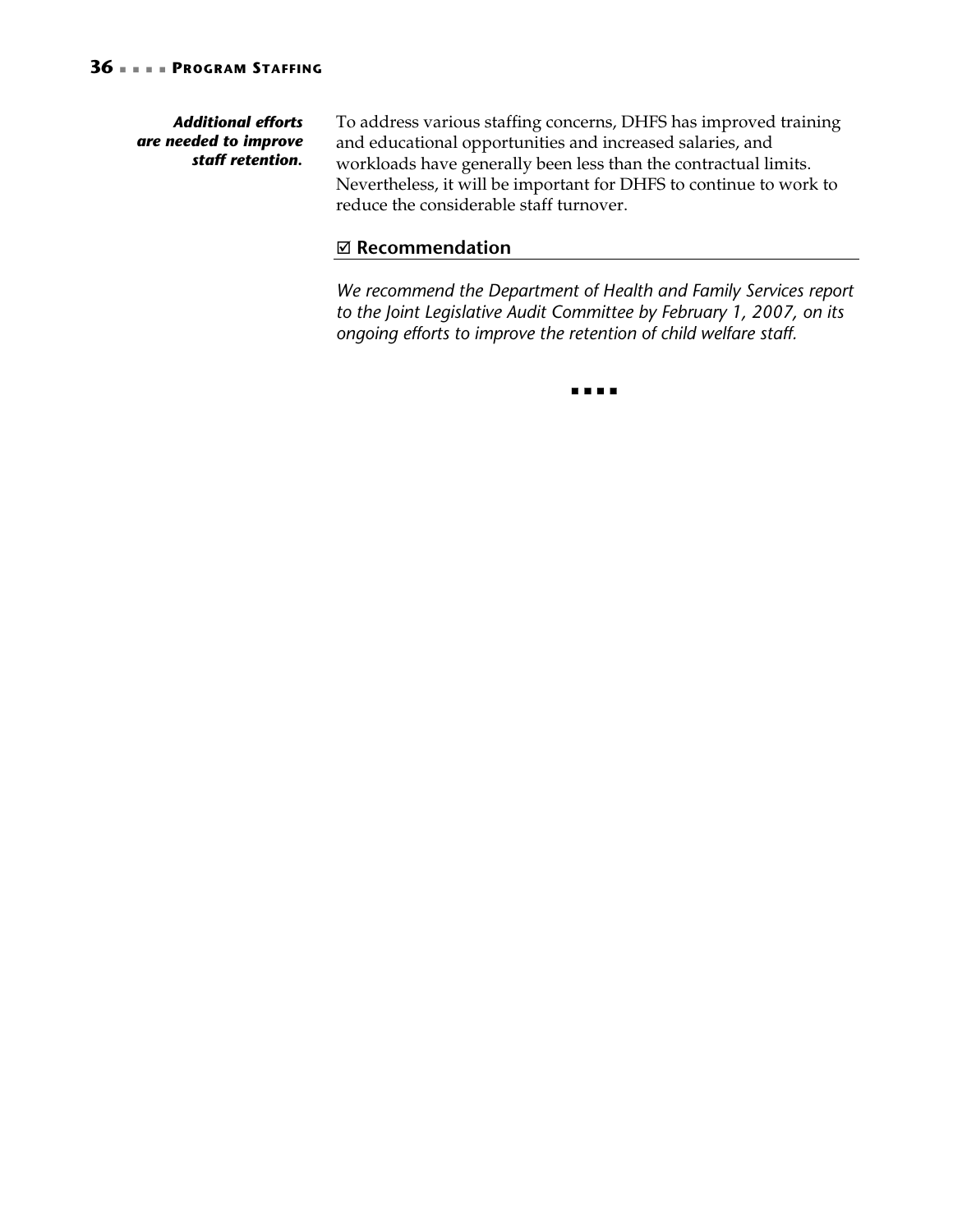#### *Additional efforts are needed to improve staff retention.*

To address various staffing concerns, DHFS has improved training and educational opportunities and increased salaries, and workloads have generally been less than the contractual limits. Nevertheless, it will be important for DHFS to continue to work to reduce the considerable staff turnover.

### ; **Recommendation**

*We recommend the Department of Health and Family Services report to the Joint Legislative Audit Committee by February 1, 2007, on its ongoing efforts to improve the retention of child welfare staff.* 

 $\begin{array}{ccccccccccccc} \bullet & \bullet & \bullet & \bullet & \bullet & \bullet & \bullet \end{array}$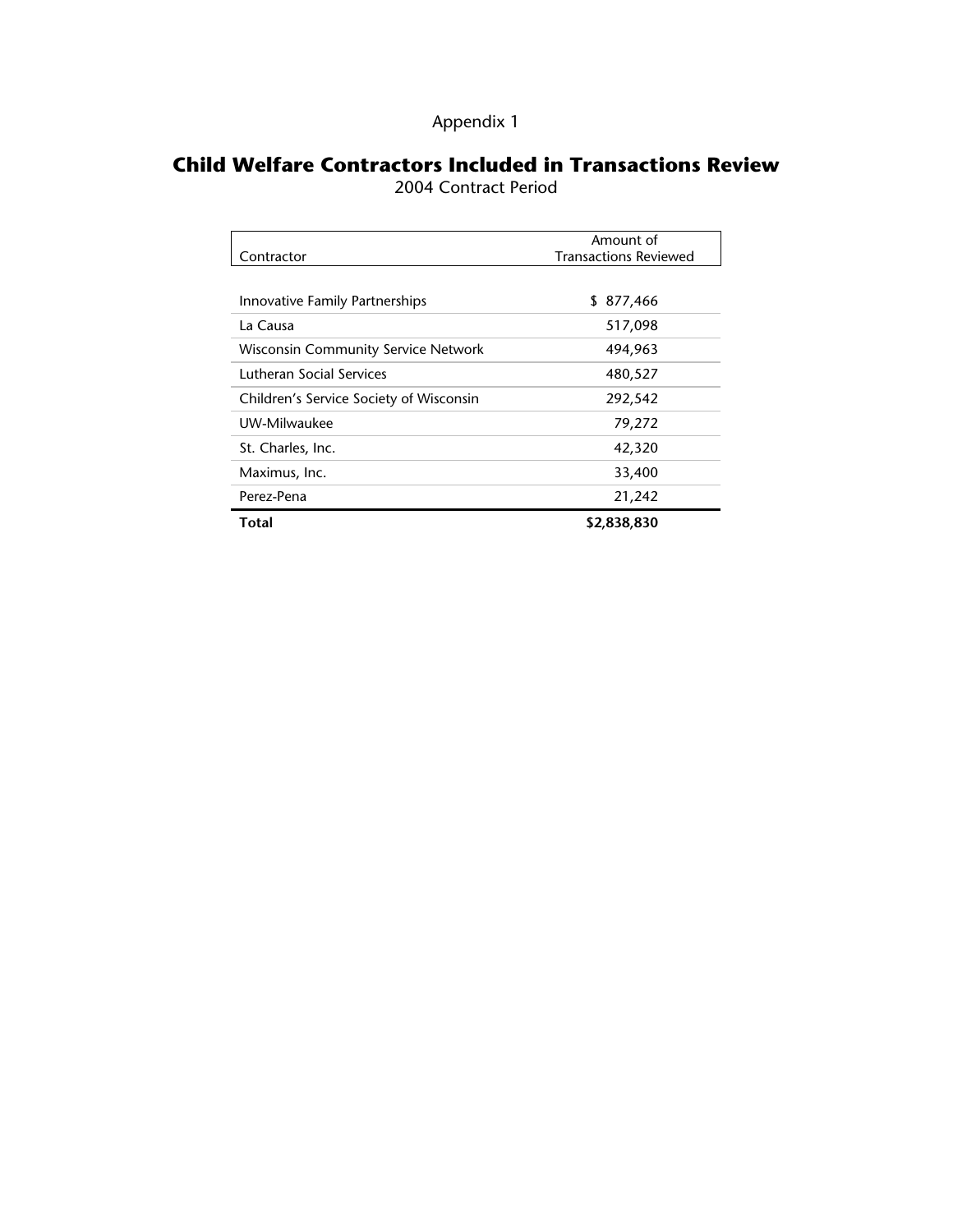| Appendix 1 |  |  |  |  |
|------------|--|--|--|--|
|            |  |  |  |  |

# **Child Welfare Contractors Included in Transactions Review**

2004 Contract Period

|                                            | Amount of                    |
|--------------------------------------------|------------------------------|
| Contractor                                 | <b>Transactions Reviewed</b> |
|                                            |                              |
| Innovative Family Partnerships             | 877,466<br>S.                |
| La Causa                                   | 517,098                      |
| <b>Wisconsin Community Service Network</b> | 494,963                      |
| Lutheran Social Services                   | 480,527                      |
| Children's Service Society of Wisconsin    | 292,542                      |
| UW-Milwaukee                               | 79,272                       |
| St. Charles, Inc.                          | 42,320                       |
| Maximus, Inc.                              | 33,400                       |
| Perez-Pena                                 | 21,242                       |
| Total                                      | \$2,838,830                  |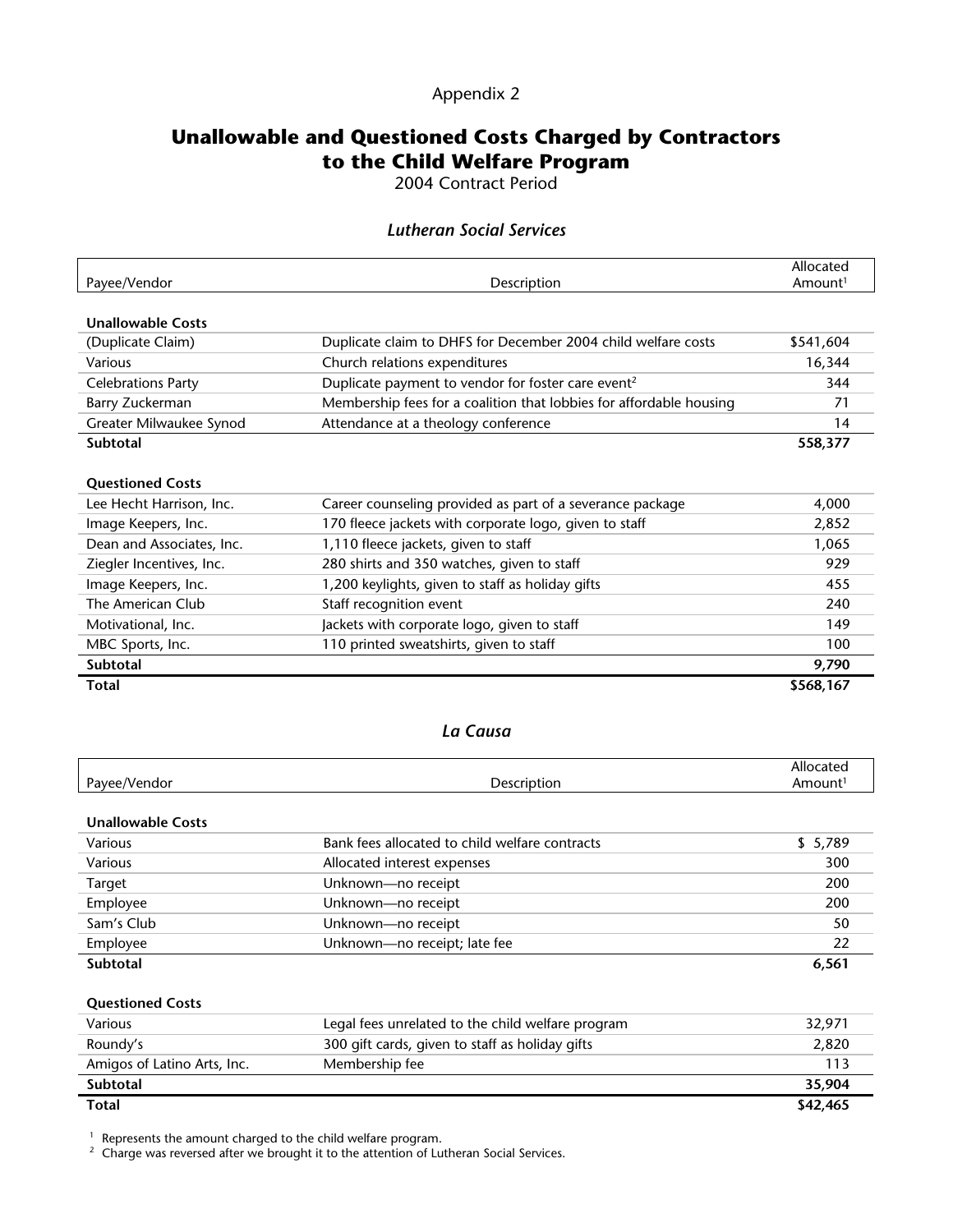### Appendix 2

# **Unallowable and Questioned Costs Charged by Contractors to the Child Welfare Program**

2004 Contract Period

#### *Lutheran Social Services*

|                             |                                                                     | Allocated           |
|-----------------------------|---------------------------------------------------------------------|---------------------|
| Payee/Vendor                | Description                                                         | Amount <sup>1</sup> |
| <b>Unallowable Costs</b>    |                                                                     |                     |
| (Duplicate Claim)           | Duplicate claim to DHFS for December 2004 child welfare costs       | \$541,604           |
| Various                     | Church relations expenditures                                       | 16,344              |
| <b>Celebrations Party</b>   | Duplicate payment to vendor for foster care event <sup>2</sup>      | 344                 |
| Barry Zuckerman             | Membership fees for a coalition that lobbies for affordable housing | 71                  |
| Greater Milwaukee Synod     | Attendance at a theology conference                                 | 14                  |
| Subtotal                    |                                                                     | 558,377             |
|                             |                                                                     |                     |
| <b>Questioned Costs</b>     |                                                                     |                     |
| Lee Hecht Harrison, Inc.    | Career counseling provided as part of a severance package           | 4,000               |
| Image Keepers, Inc.         | 170 fleece jackets with corporate logo, given to staff              | 2,852               |
| Dean and Associates, Inc.   | 1,110 fleece jackets, given to staff                                | 1,065               |
| Ziegler Incentives, Inc.    | 280 shirts and 350 watches, given to staff                          | 929                 |
| Image Keepers, Inc.         | 1,200 keylights, given to staff as holiday gifts                    | 455                 |
| The American Club           | Staff recognition event                                             | 240                 |
| Motivational, Inc.          | Jackets with corporate logo, given to staff                         | 149                 |
| MBC Sports, Inc.            | 110 printed sweatshirts, given to staff                             | 100                 |
| Subtotal                    |                                                                     | 9,790               |
| <b>Total</b>                |                                                                     | \$568,167           |
|                             |                                                                     |                     |
|                             | La Causa                                                            |                     |
|                             |                                                                     |                     |
|                             |                                                                     | Allocated           |
| Payee/Vendor                | Description                                                         | Amount <sup>1</sup> |
| <b>Unallowable Costs</b>    |                                                                     |                     |
| Various                     | Bank fees allocated to child welfare contracts                      | \$5,789             |
| Various                     | Allocated interest expenses                                         | 300                 |
| <b>Target</b>               | Unknown-no receipt                                                  | 200                 |
| Employee                    | Unknown-no receipt                                                  | 200                 |
| Sam's Club                  | Unknown-no receipt                                                  | 50                  |
| Employee                    | Unknown-no receipt; late fee                                        | 22                  |
| Subtotal                    |                                                                     | 6,561               |
|                             |                                                                     |                     |
| <b>Questioned Costs</b>     |                                                                     |                     |
| Various                     | Legal fees unrelated to the child welfare program                   | 32,971              |
| Roundy's                    | 300 gift cards, given to staff as holiday gifts                     | 2,820               |
| Amigos of Latino Arts, Inc. | Membership fee                                                      | 113                 |
| Subtotal                    |                                                                     | 35,904              |
| <b>Total</b>                |                                                                     | \$42,465            |

<sup>1</sup> Represents the amount charged to the child welfare program.<br><sup>2</sup> Charge was reversed after we brought it to the attention of Lutheran Social Services.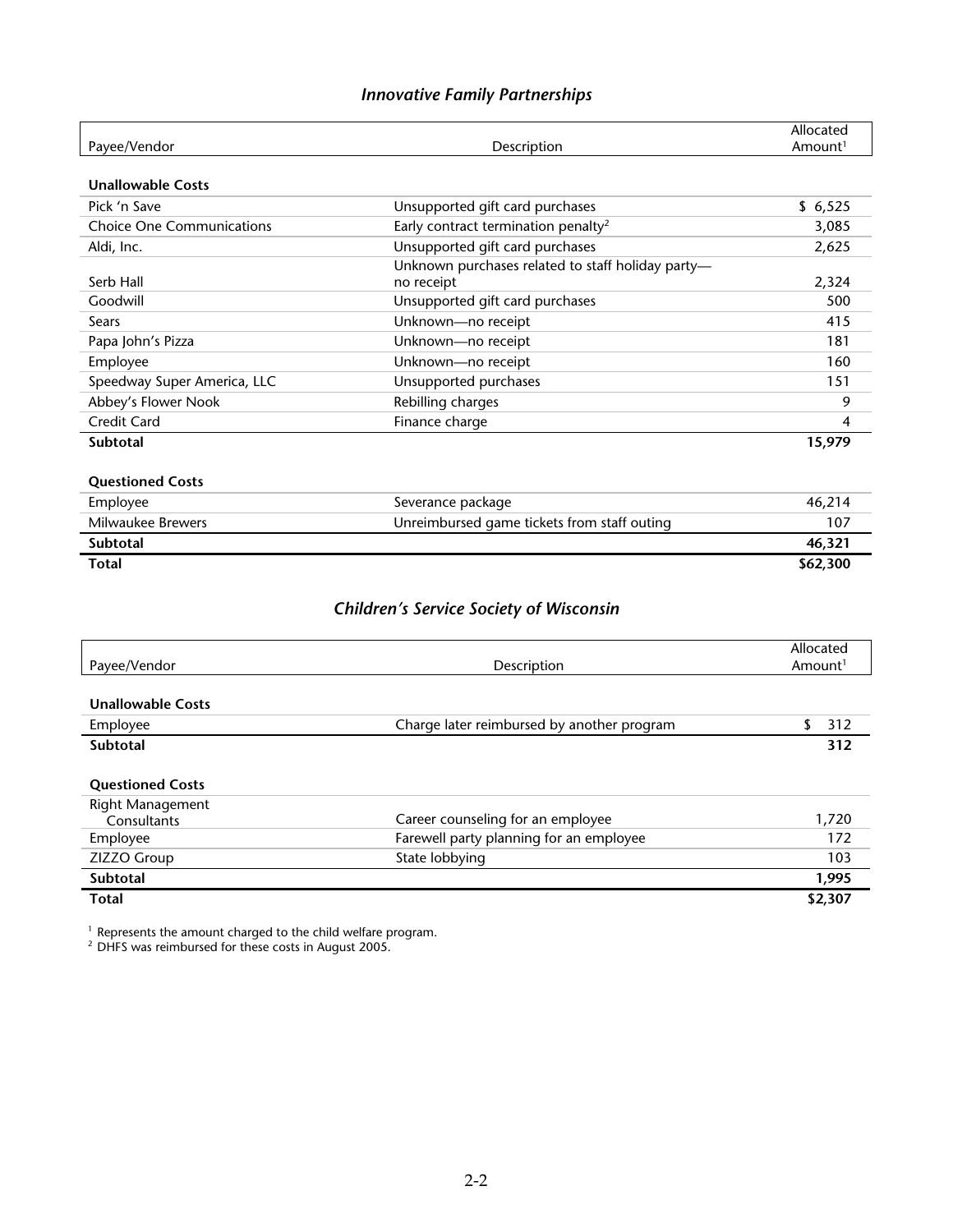|                                  |                                                   | Allocated           |
|----------------------------------|---------------------------------------------------|---------------------|
| Payee/Vendor                     | Description                                       | Amount <sup>1</sup> |
| <b>Unallowable Costs</b>         |                                                   |                     |
| Pick 'n Save                     | Unsupported gift card purchases                   | \$6,525             |
| <b>Choice One Communications</b> | Early contract termination penalty <sup>2</sup>   | 3,085               |
| Aldi, Inc.                       | Unsupported gift card purchases                   | 2,625               |
|                                  | Unknown purchases related to staff holiday party- |                     |
| Serb Hall                        | no receipt                                        | 2,324               |
| Goodwill                         | Unsupported gift card purchases                   | 500                 |
| Sears                            | Unknown-no receipt                                | 415                 |
| Papa John's Pizza                | Unknown-no receipt                                | 181                 |
| Employee                         | Unknown-no receipt                                | 160                 |
| Speedway Super America, LLC      | Unsupported purchases                             | 151                 |
| Abbey's Flower Nook              | Rebilling charges                                 | 9                   |
| Credit Card                      | Finance charge                                    | 4                   |
| <b>Subtotal</b>                  |                                                   | 15,979              |
|                                  |                                                   |                     |
| <b>Questioned Costs</b>          |                                                   |                     |
| Employee                         | Severance package                                 | 46,214              |
| Milwaukee Brewers                | Unreimbursed game tickets from staff outing       | 107                 |
| <b>Subtotal</b>                  |                                                   | 46,321              |
| <b>Total</b>                     |                                                   | \$62,300            |
|                                  |                                                   |                     |
|                                  | <b>Children's Service Society of Wisconsin</b>    |                     |
|                                  |                                                   |                     |
|                                  |                                                   | Allocated           |
| Payee/Vendor                     | Description                                       | Amount <sup>1</sup> |
|                                  |                                                   |                     |
| <b>Unallowable Costs</b>         |                                                   |                     |
| Employee                         | Charge later reimbursed by another program        | 312<br>\$           |
| <b>Subtotal</b>                  |                                                   | 312                 |
|                                  |                                                   |                     |
| <b>Questioned Costs</b>          |                                                   |                     |
| Right Management                 |                                                   |                     |

| Right Management |                                         |         |
|------------------|-----------------------------------------|---------|
| Consultants      | Career counseling for an employee       | 1,720   |
| Employee         | Farewell party planning for an employee | 172     |
| ZIZZO Group      | State lobbying                          | 103     |
| Subtotal         |                                         | 1.995   |
| <b>Total</b>     |                                         | \$2,307 |

 $1$  Represents the amount charged to the child welfare program.

 $2$  DHFS was reimbursed for these costs in August 2005.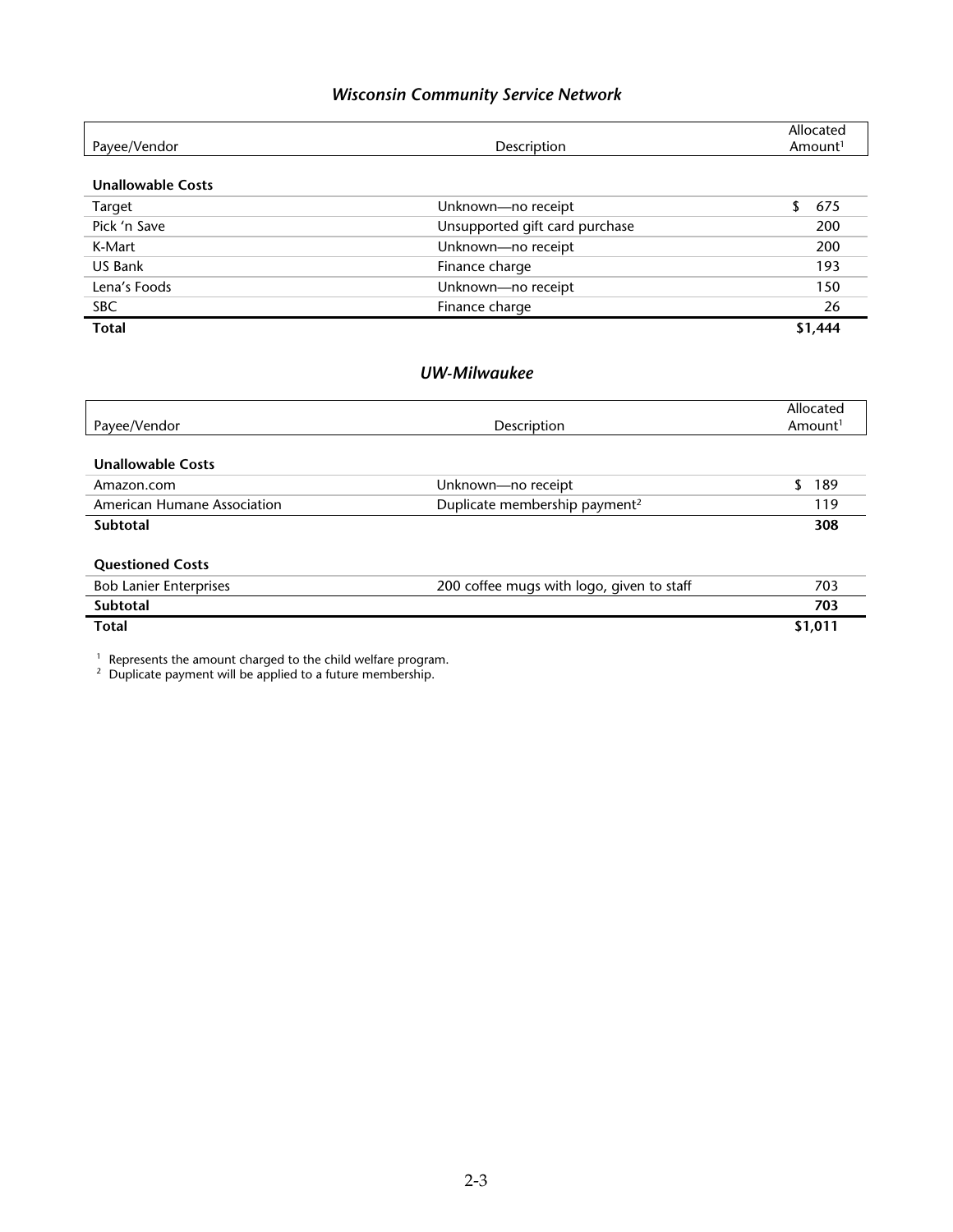# *Wisconsin Community Service Network*

| Payee/Vendor                       | Description                               | Allocated<br>Amount <sup>1</sup> |
|------------------------------------|-------------------------------------------|----------------------------------|
|                                    |                                           |                                  |
| <b>Unallowable Costs</b>           |                                           |                                  |
| Target                             | Unknown-no receipt                        | \$<br>675                        |
| Pick 'n Save                       | Unsupported gift card purchase            | 200                              |
| K-Mart                             | Unknown-no receipt                        | 200                              |
| <b>US Bank</b>                     | Finance charge                            | 193                              |
| Lena's Foods                       | Unknown-no receipt                        | 150                              |
| <b>SBC</b>                         | Finance charge                            | 26                               |
| <b>Total</b>                       |                                           | \$1,444                          |
|                                    | <b>UW-Milwaukee</b>                       |                                  |
|                                    |                                           | Allocated                        |
| Payee/Vendor                       | Description                               | Amount <sup>1</sup>              |
| <b>Unallowable Costs</b>           |                                           |                                  |
| Amazon.com                         | Unknown-no receipt                        | S<br>189                         |
| <b>American Humane Association</b> | Duplicate membership payment <sup>2</sup> | 119                              |
| <b>Subtotal</b>                    |                                           | 308                              |
| <b>Questioned Costs</b>            |                                           |                                  |
| <b>Bob Lanier Enterprises</b>      | 200 coffee mugs with logo, given to staff | 703                              |
| Subtotal                           |                                           | 703                              |
| <b>Total</b>                       |                                           | \$1,011                          |

<sup>1</sup> Represents the amount charged to the child welfare program.<br><sup>2</sup> Duplicate payment will be applied to a future membership.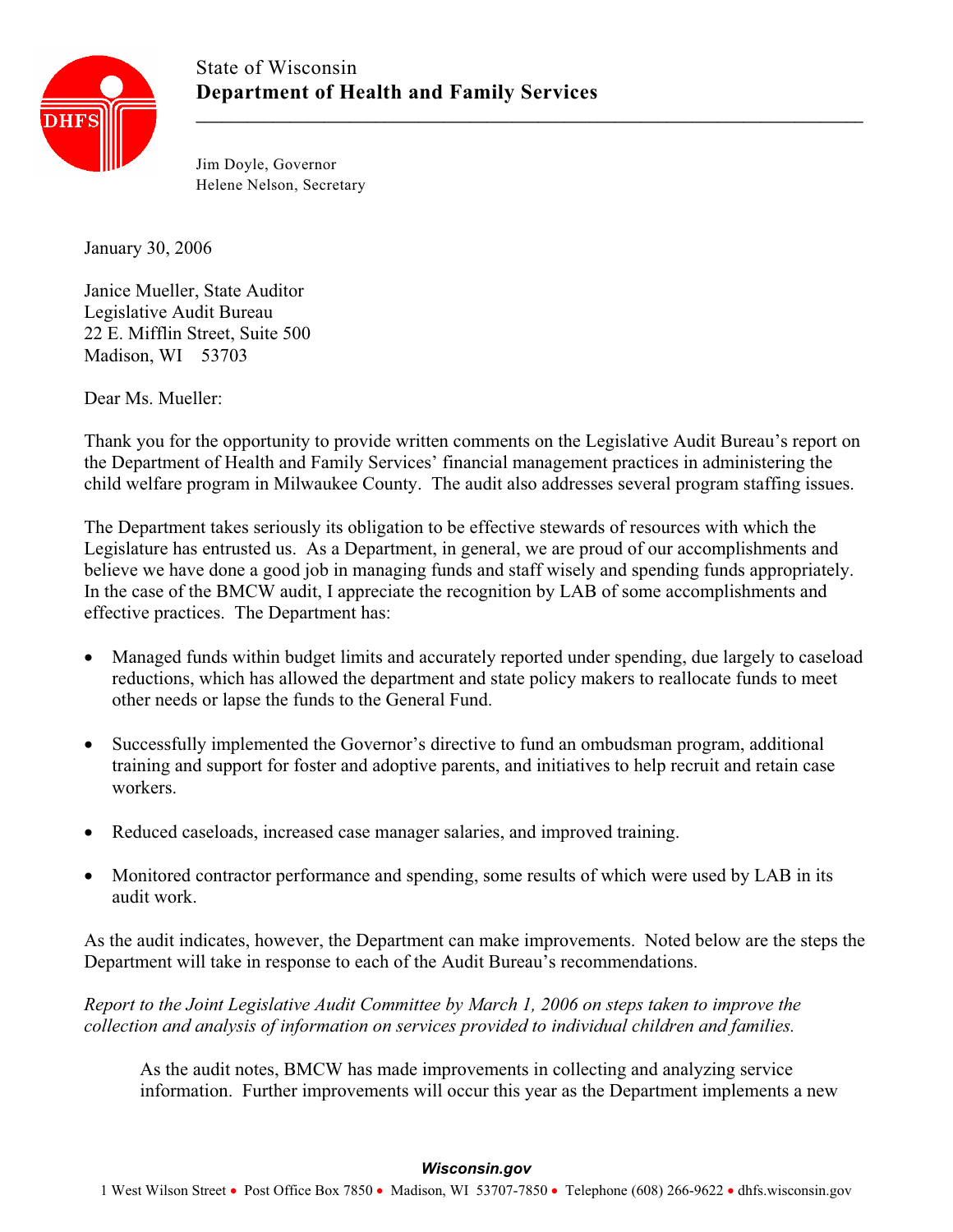

Jim Doyle, Governor Helene Nelson, Secretary

January 30, 2006

Janice Mueller, State Auditor Legislative Audit Bureau 22 E. Mifflin Street, Suite 500 Madison, WI 53703

Dear Ms. Mueller:

Thank you for the opportunity to provide written comments on the Legislative Audit Bureau's report on the Department of Health and Family Services' financial management practices in administering the child welfare program in Milwaukee County. The audit also addresses several program staffing issues.

The Department takes seriously its obligation to be effective stewards of resources with which the Legislature has entrusted us. As a Department, in general, we are proud of our accomplishments and believe we have done a good job in managing funds and staff wisely and spending funds appropriately. In the case of the BMCW audit, I appreciate the recognition by LAB of some accomplishments and effective practices. The Department has:

- Managed funds within budget limits and accurately reported under spending, due largely to caseload reductions, which has allowed the department and state policy makers to reallocate funds to meet other needs or lapse the funds to the General Fund.
- Successfully implemented the Governor's directive to fund an ombudsman program, additional training and support for foster and adoptive parents, and initiatives to help recruit and retain case workers.
- Reduced caseloads, increased case manager salaries, and improved training.
- Monitored contractor performance and spending, some results of which were used by LAB in its audit work.

As the audit indicates, however, the Department can make improvements. Noted below are the steps the Department will take in response to each of the Audit Bureau's recommendations.

*Report to the Joint Legislative Audit Committee by March 1, 2006 on steps taken to improve the collection and analysis of information on services provided to individual children and families.* 

As the audit notes, BMCW has made improvements in collecting and analyzing service information. Further improvements will occur this year as the Department implements a new

1 West Wilson Street • Post Office Box 7850 • Madison, WI 53707-7850 • Telephone (608) 266-9622 • dhfs.wisconsin.gov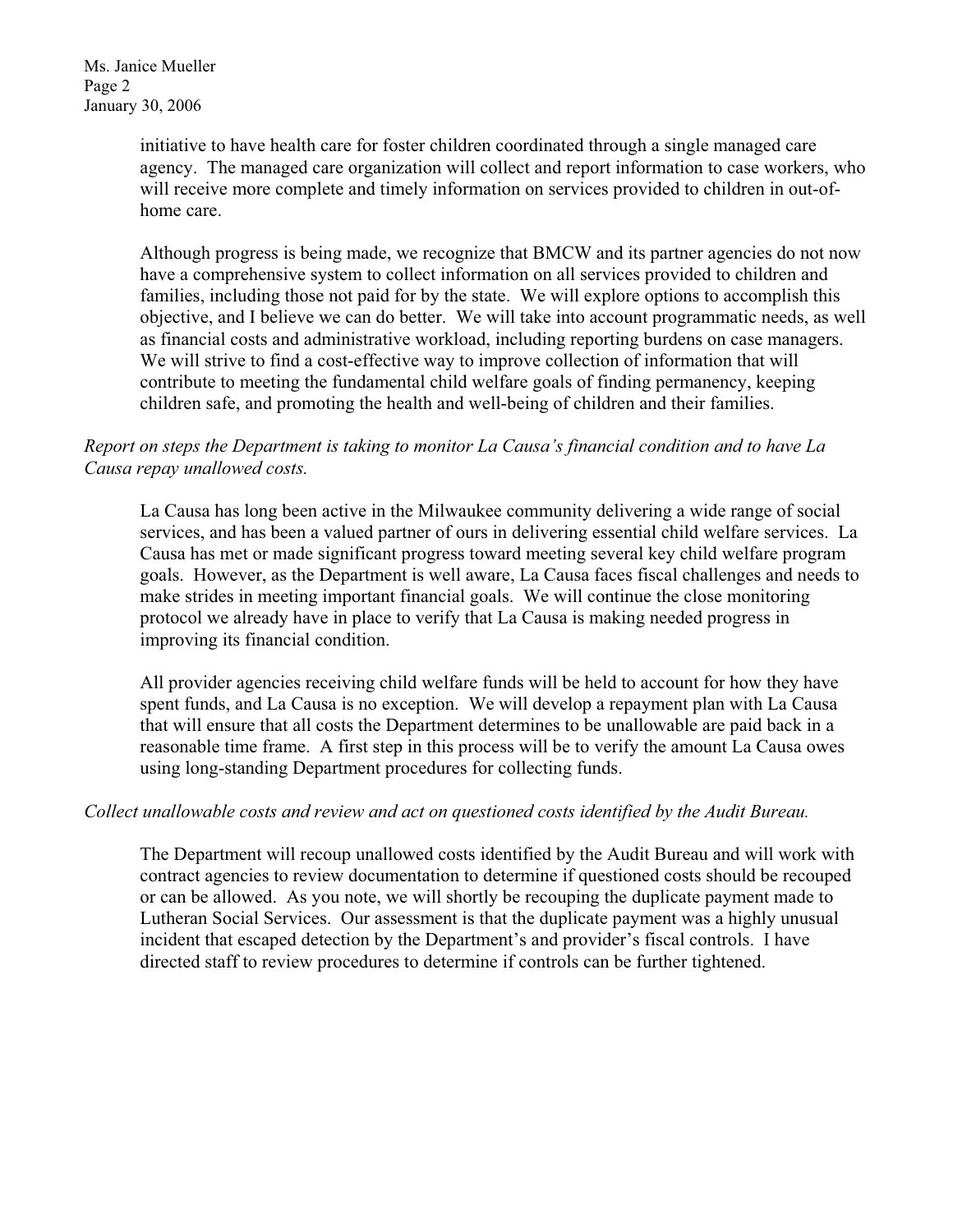Ms. Janice Mueller Page 2 January 30, 2006

> initiative to have health care for foster children coordinated through a single managed care agency. The managed care organization will collect and report information to case workers, who will receive more complete and timely information on services provided to children in out-ofhome care.

> Although progress is being made, we recognize that BMCW and its partner agencies do not now have a comprehensive system to collect information on all services provided to children and families, including those not paid for by the state. We will explore options to accomplish this objective, and I believe we can do better. We will take into account programmatic needs, as well as financial costs and administrative workload, including reporting burdens on case managers. We will strive to find a cost-effective way to improve collection of information that will contribute to meeting the fundamental child welfare goals of finding permanency, keeping children safe, and promoting the health and well-being of children and their families.

#### *Report on steps the Department is taking to monitor La Causa's financial condition and to have La Causa repay unallowed costs.*

La Causa has long been active in the Milwaukee community delivering a wide range of social services, and has been a valued partner of ours in delivering essential child welfare services. La Causa has met or made significant progress toward meeting several key child welfare program goals. However, as the Department is well aware, La Causa faces fiscal challenges and needs to make strides in meeting important financial goals. We will continue the close monitoring protocol we already have in place to verify that La Causa is making needed progress in improving its financial condition.

All provider agencies receiving child welfare funds will be held to account for how they have spent funds, and La Causa is no exception. We will develop a repayment plan with La Causa that will ensure that all costs the Department determines to be unallowable are paid back in a reasonable time frame. A first step in this process will be to verify the amount La Causa owes using long-standing Department procedures for collecting funds.

#### *Collect unallowable costs and review and act on questioned costs identified by the Audit Bureau.*

The Department will recoup unallowed costs identified by the Audit Bureau and will work with contract agencies to review documentation to determine if questioned costs should be recouped or can be allowed. As you note, we will shortly be recouping the duplicate payment made to Lutheran Social Services. Our assessment is that the duplicate payment was a highly unusual incident that escaped detection by the Department's and provider's fiscal controls. I have directed staff to review procedures to determine if controls can be further tightened.